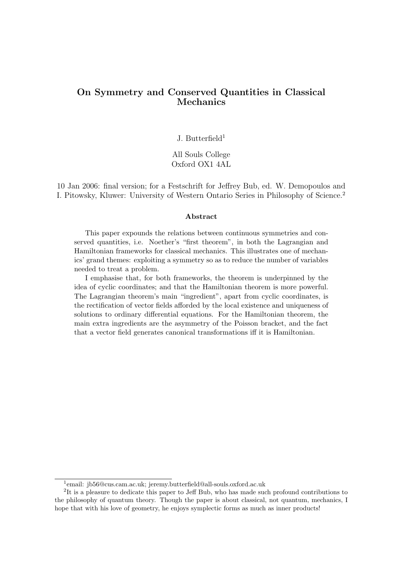# On Symmetry and Conserved Quantities in Classical Mechanics

J. Butterfield<sup>1</sup>

All Souls College Oxford OX1 4AL

10 Jan 2006: final version; for a Festschrift for Jeffrey Bub, ed. W. Demopoulos and I. Pitowsky, Kluwer: University of Western Ontario Series in Philosophy of Science.<sup>2</sup>

#### Abstract

This paper expounds the relations between continuous symmetries and conserved quantities, i.e. Noether's "first theorem", in both the Lagrangian and Hamiltonian frameworks for classical mechanics. This illustrates one of mechanics' grand themes: exploiting a symmetry so as to reduce the number of variables needed to treat a problem.

I emphasise that, for both frameworks, the theorem is underpinned by the idea of cyclic coordinates; and that the Hamiltonian theorem is more powerful. The Lagrangian theorem's main "ingredient", apart from cyclic coordinates, is the rectification of vector fields afforded by the local existence and uniqueness of solutions to ordinary differential equations. For the Hamiltonian theorem, the main extra ingredients are the asymmetry of the Poisson bracket, and the fact that a vector field generates canonical transformations iff it is Hamiltonian.

<sup>&</sup>lt;sup>1</sup>email: jb56@cus.cam.ac.uk; jeremy.butterfield@all-souls.oxford.ac.uk

<sup>&</sup>lt;sup>2</sup>It is a pleasure to dedicate this paper to Jeff Bub, who has made such profound contributions to the philosophy of quantum theory. Though the paper is about classical, not quantum, mechanics, I hope that with his love of geometry, he enjoys symplectic forms as much as inner products!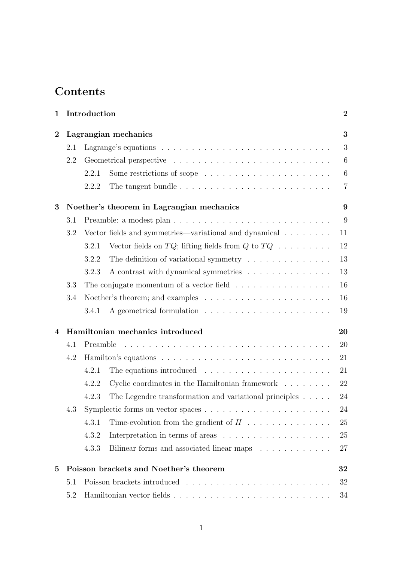# Contents

| Introduction<br>1 |                                                |                                                                                       |                                                                               | $\boldsymbol{2}$ |  |  |
|-------------------|------------------------------------------------|---------------------------------------------------------------------------------------|-------------------------------------------------------------------------------|------------------|--|--|
| $\bf{2}$          | Lagrangian mechanics                           |                                                                                       |                                                                               |                  |  |  |
|                   | 2.1                                            | Lagrange's equations $\ldots \ldots \ldots \ldots \ldots \ldots \ldots \ldots \ldots$ |                                                                               |                  |  |  |
|                   | 2.2                                            |                                                                                       | 6                                                                             |                  |  |  |
|                   |                                                | 2.2.1                                                                                 |                                                                               | $6\phantom{.}6$  |  |  |
|                   |                                                | 2.2.2                                                                                 |                                                                               | $\overline{7}$   |  |  |
| 3                 | 9<br>Noether's theorem in Lagrangian mechanics |                                                                                       |                                                                               |                  |  |  |
|                   | 3.1                                            |                                                                                       |                                                                               | 9                |  |  |
|                   | 3.2                                            |                                                                                       | Vector fields and symmetries—variational and dynamical                        | 11               |  |  |
|                   |                                                | 3.2.1                                                                                 | Vector fields on $TQ$ ; lifting fields from Q to $TQ \dots \dots \dots$       | 12               |  |  |
|                   |                                                | 3.2.2                                                                                 | The definition of variational symmetry $\ldots \ldots \ldots \ldots$          | 13               |  |  |
|                   |                                                | 3.2.3                                                                                 | A contrast with dynamical symmetries                                          | 13               |  |  |
|                   | 3.3                                            |                                                                                       | The conjugate momentum of a vector field $\ldots \ldots \ldots \ldots \ldots$ | 16               |  |  |
|                   | 3.4                                            |                                                                                       |                                                                               | 16               |  |  |
|                   |                                                | 3.4.1                                                                                 |                                                                               | 19               |  |  |
| 4                 | Hamiltonian mechanics introduced<br>20         |                                                                                       |                                                                               |                  |  |  |
|                   | 4.1                                            | Preamble                                                                              |                                                                               | 20               |  |  |
|                   | 4.2                                            |                                                                                       |                                                                               | 21               |  |  |
|                   |                                                | 4.2.1                                                                                 | The equations introduced $\ldots \ldots \ldots \ldots \ldots \ldots \ldots$   | 21               |  |  |
|                   |                                                | 4.2.2                                                                                 | Cyclic coordinates in the Hamiltonian framework                               | 22               |  |  |
|                   |                                                | 4.2.3                                                                                 | The Legendre transformation and variational principles $\dots$ .              | 24               |  |  |
|                   | 4.3                                            |                                                                                       |                                                                               | $24\,$           |  |  |
|                   |                                                | 4.3.1                                                                                 | Time-evolution from the gradient of $H$                                       | 25               |  |  |
|                   |                                                | 4.3.2                                                                                 |                                                                               | 25               |  |  |
|                   |                                                | 4.3.3                                                                                 | Bilinear forms and associated linear maps                                     | 27               |  |  |
| $\bf{5}$          | Poisson brackets and Noether's theorem<br>32   |                                                                                       |                                                                               |                  |  |  |
|                   | 5.1                                            |                                                                                       |                                                                               | 32               |  |  |
|                   | 5.2                                            |                                                                                       |                                                                               | 34               |  |  |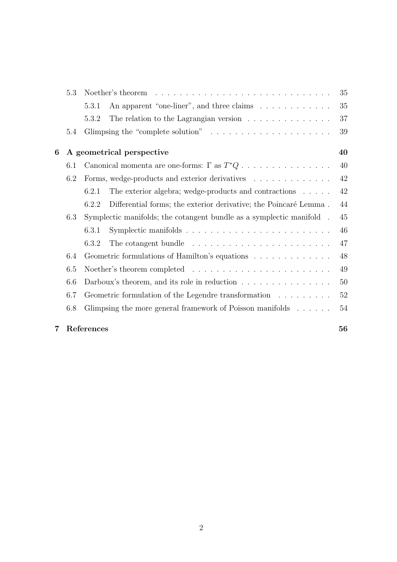|   | 5.3        | Noether's theorem $\dots \dots \dots \dots \dots \dots \dots \dots \dots \dots \dots$ |    |  |
|---|------------|---------------------------------------------------------------------------------------|----|--|
|   |            | An apparent "one-liner", and three claims<br>5.3.1                                    | 35 |  |
|   |            | 5.3.2                                                                                 | 37 |  |
|   | 5.4        | Glimpsing the "complete solution" $\ldots \ldots \ldots \ldots \ldots \ldots \ldots$  | 39 |  |
| 6 |            | A geometrical perspective                                                             | 40 |  |
|   | 6.1        |                                                                                       | 40 |  |
|   | 6.2        | Forms, wedge-products and exterior derivatives                                        | 42 |  |
|   |            | The exterior algebra; wedge-products and contractions $\ldots$ .<br>6.2.1             | 42 |  |
|   |            | Differential forms; the exterior derivative; the Poincaré Lemma.<br>6.2.2             | 44 |  |
|   | 6.3        | Symplectic manifolds; the cotangent bundle as a symplectic manifold.                  | 45 |  |
|   |            | 6.3.1                                                                                 | 46 |  |
|   |            | 6.3.2<br>The cotangent bundle $\dots \dots \dots \dots \dots \dots \dots \dots \dots$ | 47 |  |
|   | 6.4        | Geometric formulations of Hamilton's equations $\ldots \ldots \ldots \ldots$          | 48 |  |
|   | 6.5        |                                                                                       |    |  |
|   | 6.6        | Darboux's theorem, and its role in reduction $\ldots \ldots \ldots \ldots \ldots$     |    |  |
|   | 6.7        | Geometric formulation of the Legendre transformation                                  | 52 |  |
|   | 6.8        | Glimpsing the more general framework of Poisson manifolds                             | 54 |  |
| 7 | References |                                                                                       |    |  |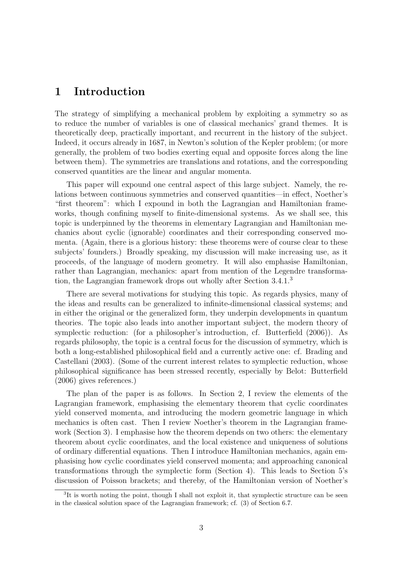# 1 Introduction

The strategy of simplifying a mechanical problem by exploiting a symmetry so as to reduce the number of variables is one of classical mechanics' grand themes. It is theoretically deep, practically important, and recurrent in the history of the subject. Indeed, it occurs already in 1687, in Newton's solution of the Kepler problem; (or more generally, the problem of two bodies exerting equal and opposite forces along the line between them). The symmetries are translations and rotations, and the corresponding conserved quantities are the linear and angular momenta.

This paper will expound one central aspect of this large subject. Namely, the relations between continuous symmetries and conserved quantities—in effect, Noether's "first theorem": which I expound in both the Lagrangian and Hamiltonian frameworks, though confining myself to finite-dimensional systems. As we shall see, this topic is underpinned by the theorems in elementary Lagrangian and Hamiltonian mechanics about cyclic (ignorable) coordinates and their corresponding conserved momenta. (Again, there is a glorious history: these theorems were of course clear to these subjects' founders.) Broadly speaking, my discussion will make increasing use, as it proceeds, of the language of modern geometry. It will also emphasise Hamiltonian, rather than Lagrangian, mechanics: apart from mention of the Legendre transformation, the Lagrangian framework drops out wholly after Section 3.4.1.<sup>3</sup>

There are several motivations for studying this topic. As regards physics, many of the ideas and results can be generalized to infinite-dimensional classical systems; and in either the original or the generalized form, they underpin developments in quantum theories. The topic also leads into another important subject, the modern theory of symplectic reduction: (for a philosopher's introduction, cf. Butterfield (2006)). As regards philosophy, the topic is a central focus for the discussion of symmetry, which is both a long-established philosophical field and a currently active one: cf. Brading and Castellani (2003). (Some of the current interest relates to symplectic reduction, whose philosophical significance has been stressed recently, especially by Belot: Butterfield (2006) gives references.)

The plan of the paper is as follows. In Section 2, I review the elements of the Lagrangian framework, emphasising the elementary theorem that cyclic coordinates yield conserved momenta, and introducing the modern geometric language in which mechanics is often cast. Then I review Noether's theorem in the Lagrangian framework (Section 3). I emphasise how the theorem depends on two others: the elementary theorem about cyclic coordinates, and the local existence and uniqueness of solutions of ordinary differential equations. Then I introduce Hamiltonian mechanics, again emphasising how cyclic coordinates yield conserved momenta; and approaching canonical transformations through the symplectic form (Section 4). This leads to Section 5's discussion of Poisson brackets; and thereby, of the Hamiltonian version of Noether's

<sup>&</sup>lt;sup>3</sup>It is worth noting the point, though I shall not exploit it, that symplectic structure can be seen in the classical solution space of the Lagrangian framework; cf. (3) of Section 6.7.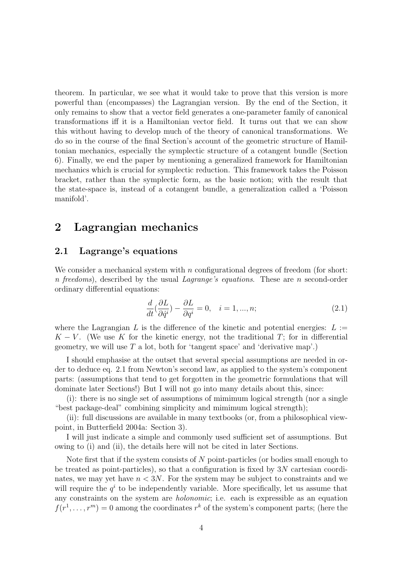theorem. In particular, we see what it would take to prove that this version is more powerful than (encompasses) the Lagrangian version. By the end of the Section, it only remains to show that a vector field generates a one-parameter family of canonical transformations iff it is a Hamiltonian vector field. It turns out that we can show this without having to develop much of the theory of canonical transformations. We do so in the course of the final Section's account of the geometric structure of Hamiltonian mechanics, especially the symplectic structure of a cotangent bundle (Section 6). Finally, we end the paper by mentioning a generalized framework for Hamiltonian mechanics which is crucial for symplectic reduction. This framework takes the Poisson bracket, rather than the symplectic form, as the basic notion; with the result that the state-space is, instead of a cotangent bundle, a generalization called a 'Poisson manifold'.

# 2 Lagrangian mechanics

# 2.1 Lagrange's equations

We consider a mechanical system with  $n$  configurational degrees of freedom (for short: n freedoms), described by the usual Lagrange's equations. These are n second-order ordinary differential equations:

$$
\frac{d}{dt}(\frac{\partial L}{\partial \dot{q}^i}) - \frac{\partial L}{\partial q^i} = 0, \quad i = 1, ..., n; \tag{2.1}
$$

where the Lagrangian L is the difference of the kinetic and potential energies:  $L :=$  $K - V$ . (We use K for the kinetic energy, not the traditional T; for in differential geometry, we will use  $T$  a lot, both for 'tangent space' and 'derivative map'.)

I should emphasise at the outset that several special assumptions are needed in order to deduce eq. 2.1 from Newton's second law, as applied to the system's component parts: (assumptions that tend to get forgotten in the geometric formulations that will dominate later Sections!) But I will not go into many details about this, since:

(i): there is no single set of assumptions of mimimum logical strength (nor a single "best package-deal" combining simplicity and mimimum logical strength);

(ii): full discussions are available in many textbooks (or, from a philosophical viewpoint, in Butterfield 2004a: Section 3).

I will just indicate a simple and commonly used sufficient set of assumptions. But owing to (i) and (ii), the details here will not be cited in later Sections.

Note first that if the system consists of N point-particles (or bodies small enough to be treated as point-particles), so that a configuration is fixed by 3N cartesian coordinates, we may yet have  $n < 3N$ . For the system may be subject to constraints and we will require the  $q<sup>i</sup>$  to be independently variable. More specifically, let us assume that any constraints on the system are holonomic; i.e. each is expressible as an equation  $f(r^1, \ldots, r^m) = 0$  among the coordinates  $r^k$  of the system's component parts; (here the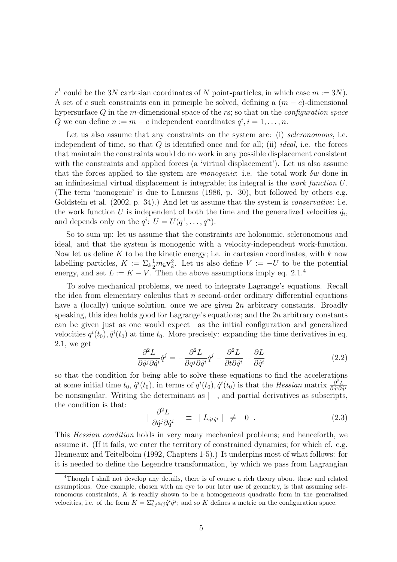$r^k$  could be the 3N cartesian coordinates of N point-particles, in which case  $m := 3N$ ). A set of c such constraints can in principle be solved, defining a  $(m - c)$ -dimensional hypersurface  $Q$  in the m-dimensional space of the rs; so that on the *configuration space* Q we can define  $n := m - c$  independent coordinates  $q^i, i = 1, \ldots, n$ .

Let us also assume that any constraints on the system are: (i) *scleronomous*, i.e. independent of time, so that  $Q$  is identified once and for all; (ii) *ideal*, i.e. the forces that maintain the constraints would do no work in any possible displacement consistent with the constraints and applied forces (a 'virtual displacement'). Let us also assume that the forces applied to the system are *monogenic*: i.e. the total work  $\delta w$  done in an infinitesimal virtual displacement is integrable; its integral is the work function U. (The term 'monogenic' is due to Lanczos (1986, p. 30), but followed by others e.g. Goldstein et al. (2002, p. 34).) And let us assume that the system is *conservative*: i.e. the work function U is independent of both the time and the generalized velocities  $\dot{q}_i$ , and depends only on the  $q^i: U = U(q^1, \ldots, q^n)$ .

So to sum up: let us assume that the constraints are holonomic, scleronomous and ideal, and that the system is monogenic with a velocity-independent work-function. Now let us define K to be the kinetic energy; i.e. in cartesian coordinates, with  $k$  now labelling particles,  $K := \sum_k \frac{1}{2} m_k \mathbf{v}_k^2$ . Let us also define  $V := -U$  to be the potential energy, and set  $L := K - V$ . Then the above assumptions imply eq. 2.1.<sup>4</sup>

To solve mechanical problems, we need to integrate Lagrange's equations. Recall the idea from elementary calculus that  $n$  second-order ordinary differential equations have a (locally) unique solution, once we are given  $2n$  arbitrary constants. Broadly speaking, this idea holds good for Lagrange's equations; and the  $2n$  arbitrary constants can be given just as one would expect—as the initial configuration and generalized velocities  $q^{i}(t_0), \dot{q}^{i}(t_0)$  at time  $t_0$ . More precisely: expanding the time derivatives in eq. 2.1, we get

$$
\frac{\partial^2 L}{\partial \dot{q}^j \partial \dot{q}^i} \ddot{q}^j = -\frac{\partial^2 L}{\partial q^j \partial \dot{q}^i} \dot{q}^j - \frac{\partial^2 L}{\partial t \partial \dot{q}^i} + \frac{\partial L}{\partial \dot{q}^i}
$$
(2.2)

so that the condition for being able to solve these equations to find the accelerations at some initial time  $t_0$ ,  $\ddot{q}^i(t_0)$ , in terms of  $q^i(t_0)$ ,  $\dot{q}^i(t_0)$  is that the Hessian matrix  $\frac{\partial^2 L}{\partial \dot{q}^i \partial \dot{q}}$  $\overline{\partial \dot{q}^i \partial \dot{q}^j}$ be nonsingular. Writing the determinant as  $| \cdot |$ , and partial derivatives as subscripts, the condition is that:

$$
|\frac{\partial^2 L}{\partial \dot{q}^j \partial \dot{q}^i}| \equiv |L_{\dot{q}^j \dot{q}^i}| \neq 0.
$$
 (2.3)

This Hessian condition holds in very many mechanical problems; and henceforth, we assume it. (If it fails, we enter the territory of constrained dynamics; for which cf. e.g. Henneaux and Teitelboim (1992, Chapters 1-5).) It underpins most of what follows: for it is needed to define the Legendre transformation, by which we pass from Lagrangian

<sup>4</sup>Though I shall not develop any details, there is of course a rich theory about these and related assumptions. One example, chosen with an eye to our later use of geometry, is that assuming scleronomous constraints,  $K$  is readily shown to be a homogeneous quadratic form in the generalized velocities, i.e. of the form  $K = \sum_{i,j}^n a_{ij} \dot{q}^i \dot{q}^j$ ; and so K defines a metric on the configuration space.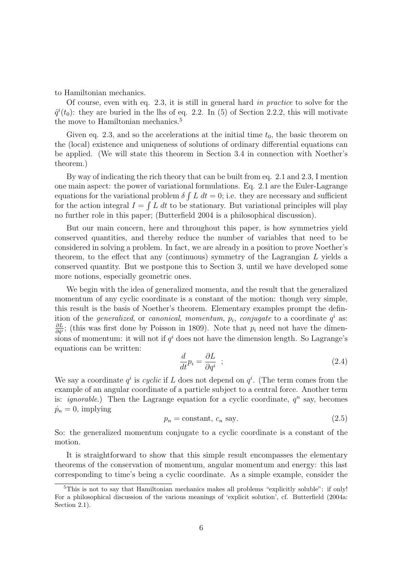to Hamiltonian mechanics.

Of course, even with eq. 2.3, it is still in general hard in practice to solve for the  $\ddot{q}^i(t_0)$ : they are buried in the lhs of eq. 2.2. In (5) of Section 2.2.2, this will motivate the move to Hamiltonian mechanics.<sup>5</sup>

Given eq. 2.3, and so the accelerations at the initial time  $t_0$ , the basic theorem on the (local) existence and uniqueness of solutions of ordinary differential equations can be applied. (We will state this theorem in Section 3.4 in connection with Noether's theorem.)

By way of indicating the rich theory that can be built from eq. 2.1 and 2.3, I mention one main aspect: the power of variational formulations. Eq. 2.1 are the Euler-Lagrange equations for the variational problem  $\delta \int L dt = 0$ ; i.e. they are necessary and sufficient for the action integral  $I = \int L dt$  to be stationary. But variational principles will play no further role in this paper; (Butterfield 2004 is a philosophical discussion).

But our main concern, here and throughout this paper, is how symmetries yield conserved quantities, and thereby reduce the number of variables that need to be considered in solving a problem. In fact, we are already in a position to prove Noether's theorem, to the effect that any (continuous) symmetry of the Lagrangian L yields a conserved quantity. But we postpone this to Section 3, until we have developed some more notions, especially geometric ones.

We begin with the idea of generalized momenta, and the result that the generalized momentum of any cyclic coordinate is a constant of the motion: though very simple, this result is the basis of Noether's theorem. Elementary examples prompt the definition of the *generalized*, or *canonical*, *momentum*,  $p_i$ , *conjugate* to a coordinate  $q^i$  as: ∂L  $\frac{\partial L}{\partial \dot{q}}$ ; (this was first done by Poisson in 1809). Note that  $p_i$  need not have the dimensions of momentum: it will not if  $q<sup>i</sup>$  does not have the dimension length. So Lagrange's equations can be written:

$$
\frac{d}{dt}p_i = \frac{\partial L}{\partial q^i} \quad ; \tag{2.4}
$$

We say a coordinate  $q^i$  is cyclic if L does not depend on  $q^i$ . (The term comes from the example of an angular coordinate of a particle subject to a central force. Another term is: *ignorable*.) Then the Lagrange equation for a cyclic coordinate,  $q^n$  say, becomes  $\dot{p}_n = 0$ , implying

$$
p_n = \text{constant}, \, c_n \text{ say.} \tag{2.5}
$$

So: the generalized momentum conjugate to a cyclic coordinate is a constant of the motion.

It is straightforward to show that this simple result encompasses the elementary theorems of the conservation of momentum, angular momentum and energy: this last corresponding to time's being a cyclic coordinate. As a simple example, consider the

 $5$ This is not to say that Hamiltonian mechanics makes all problems "explicitly soluble": if only! For a philosophical discussion of the various meanings of 'explicit solution', cf. Butterfield (2004a: Section 2.1).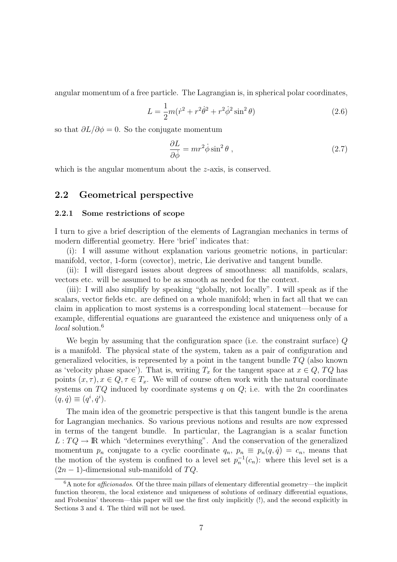angular momentum of a free particle. The Lagrangian is, in spherical polar coordinates,

$$
L = \frac{1}{2}m(\dot{r}^2 + r^2\dot{\theta}^2 + r^2\dot{\phi}^2\sin^2\theta)
$$
 (2.6)

so that  $\partial L/\partial \phi = 0$ . So the conjugate momentum

$$
\frac{\partial L}{\partial \dot{\phi}} = mr^2 \dot{\phi} \sin^2 \theta , \qquad (2.7)
$$

which is the angular momentum about the *z*-axis, is conserved.

# 2.2 Geometrical perspective

#### 2.2.1 Some restrictions of scope

I turn to give a brief description of the elements of Lagrangian mechanics in terms of modern differential geometry. Here 'brief' indicates that:

(i): I will assume without explanation various geometric notions, in particular: manifold, vector, 1-form (covector), metric, Lie derivative and tangent bundle.

(ii): I will disregard issues about degrees of smoothness: all manifolds, scalars, vectors etc. will be assumed to be as smooth as needed for the context.

(iii): I will also simplify by speaking "globally, not locally". I will speak as if the scalars, vector fields etc. are defined on a whole manifold; when in fact all that we can claim in application to most systems is a corresponding local statement—because for example, differential equations are guaranteed the existence and uniqueness only of a local solution.<sup>6</sup>

We begin by assuming that the configuration space (i.e. the constraint surface)  $Q$ is a manifold. The physical state of the system, taken as a pair of configuration and generalized velocities, is represented by a point in the tangent bundle  $TQ$  (also known as 'velocity phase space'). That is, writing  $T_x$  for the tangent space at  $x \in Q$ ,  $TQ$  has points  $(x, \tau)$ ,  $x \in Q$ ,  $\tau \in T_x$ . We will of course often work with the natural coordinate systems on  $TQ$  induced by coordinate systems q on  $Q$ ; i.e. with the 2n coordinates  $(q, \dot{q}) \equiv (q^i, \dot{q}^i).$ 

The main idea of the geometric perspective is that this tangent bundle is the arena for Lagrangian mechanics. So various previous notions and results are now expressed in terms of the tangent bundle. In particular, the Lagrangian is a scalar function  $L: TQ \to \mathbb{R}$  which "determines everything". And the conservation of the generalized momentum  $p_n$  conjugate to a cyclic coordinate  $q_n$ ,  $p_n \equiv p_n(q, \dot{q}) = c_n$ , means that the motion of the system is confined to a level set  $p_n^{-1}(c_n)$ : where this level set is a  $(2n - 1)$ -dimensional sub-manifold of  $TQ$ .

 ${}^{6}$ A note for *afficionados*. Of the three main pillars of elementary differential geometry—the implicit function theorem, the local existence and uniqueness of solutions of ordinary differential equations, and Frobenius' theorem—this paper will use the first only implicitly (!), and the second explicitly in Sections 3 and 4. The third will not be used.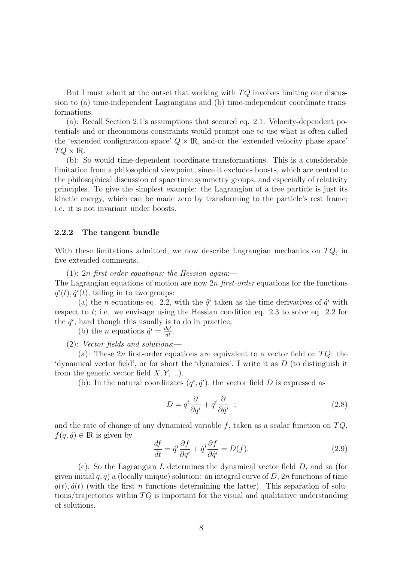But I must admit at the outset that working with  $TQ$  involves limiting our discussion to (a) time-independent Lagrangians and (b) time-independent coordinate transformations.

(a): Recall Section 2.1's assumptions that secured eq. 2.1. Velocity-dependent potentials and-or rheonomous constraints would prompt one to use what is often called the 'extended configuration space'  $Q \times \mathbb{R}$ , and-or the 'extended velocity phase space'  $TQ \times \text{I\!R}$  .

(b): So would time-dependent coordinate transformations. This is a considerable limitation from a philosophical viewpoint, since it excludes boosts, which are central to the philosophical discussion of spacetime symmetry groups, and especially of relativity principles. To give the simplest example: the Lagrangian of a free particle is just its kinetic energy, which can be made zero by transforming to the particle's rest frame; i.e. it is not invariant under boosts.

### 2.2.2 The tangent bundle

With these limitations admitted, we now describe Lagrangian mechanics on  $TQ$ , in five extended comments.

(1): 2n first-order equations; the Hessian again:—

The Lagrangian equations of motion are now 2n first-order equations for the functions  $q^{i}(t), \dot{q}^{i}(t)$ , falling in to two groups:

(a) the *n* equations eq. 2.2, with the  $\ddot{q}^i$  taken as the time derivatives of  $\dot{q}^i$  with respect to t; i.e. we envisage using the Hessian condition eq. 2.3 to solve eq. 2.2 for the  $\ddot{q}^i$ , hard though this usually is to do in practice;

(b) the *n* equations  $\dot{q}^i = \frac{dq^i}{dt}$ .

(2): Vector fields and solutions:—

(a): These 2n first-order equations are equivalent to a vector field on  $TQ$ : the 'dynamical vector field', or for short the 'dynamics'. I write it as D (to distinguish it from the generic vector field  $X, Y, \ldots$ ).

(b): In the natural coordinates  $(q^i, \dot{q}^i)$ , the vector field D is expressed as

$$
D = \dot{q}^i \frac{\partial}{\partial q^i} + \ddot{q}^i \frac{\partial}{\partial \dot{q}^i} \quad ; \tag{2.8}
$$

and the rate of change of any dynamical variable  $f$ , taken as a scalar function on  $TQ$ ,  $f(q, \dot{q}) \in \mathbb{R}$  is given by

$$
\frac{df}{dt} = \dot{q}^i \frac{\partial f}{\partial q^i} + \ddot{q}^i \frac{\partial f}{\partial \dot{q}^i} = D(f). \tag{2.9}
$$

 $(c)$ : So the Lagrangian L determines the dynamical vector field D, and so (for given initial  $q, \dot{q}$  a (locally unique) solution: an integral curve of D, 2n functions of time  $q(t), \dot{q}(t)$  (with the first n functions determining the latter). This separation of solutions/trajectories within  $TQ$  is important for the visual and qualitative understanding of solutions.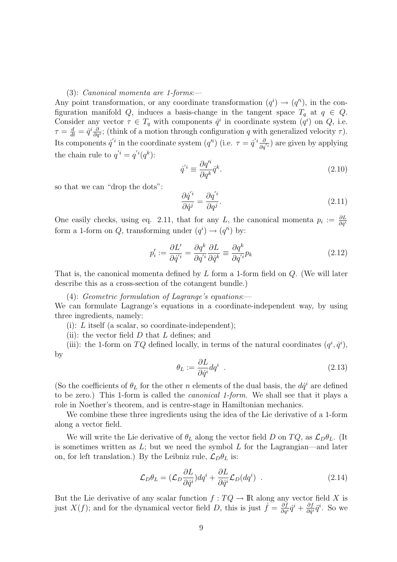#### (3): Canonical momenta are 1-forms:—

Any point transformation, or any coordinate transformation  $(q^i) \rightarrow (q'^i)$ , in the configuration manifold Q, induces a basis-change in the tangent space  $T_q$  at  $q \in Q$ . Consider any vector  $\tau \in T_q$  with components  $\dot{q}^i$  in coordinate system  $(q^i)$  on Q, i.e.  $\tau = \frac{d}{dt}$  $\frac{d}{dt}=\dot{q}^i\frac{\partial}{\partial q}$  $\frac{\partial}{\partial q^i}$ ; (think of a motion through configuration q with generalized velocity  $\tau$ ). Its components  $\dot{q}'^i$  in the coordinate system  $(q'^i)$  (i.e.  $\tau = \dot{q}'^i \frac{\partial}{\partial q'^i}$ ) are given by applying the chain rule to  $q'^i = q'^i(q^k)$ :

$$
\dot{q}^{'i} \equiv \frac{\partial q'^i}{\partial q^k} \dot{q}^k. \tag{2.10}
$$

so that we can "drop the dots":

$$
\frac{\partial \dot{q}^{'i}}{\partial \dot{q}^j} = \frac{\partial q^{'i}}{\partial q^j}.
$$
\n(2.11)

One easily checks, using eq. 2.11, that for any L, the canonical momenta  $p_i := \frac{\partial L}{\partial \dot{q}^i}$ form a 1-form on Q, transforming under  $(q^i) \rightarrow (q'^i)$  by:

$$
p_i' := \frac{\partial L'}{\partial \dot{q}^{i}} = \frac{\partial q^k}{\partial q^{i}} \frac{\partial L}{\partial \dot{q}^k} \equiv \frac{\partial q^k}{\partial q^{i}} p_k
$$
\n(2.12)

That is, the canonical momenta defined by  $L$  form a 1-form field on  $Q$ . (We will later describe this as a cross-section of the cotangent bundle.)

(4): Geometric formulation of Lagrange's equations:—

We can formulate Lagrange's equations in a coordinate-independent way, by using three ingredients, namely:

(i):  $L$  itself (a scalar, so coordinate-independent);

(ii): the vector field  $D$  that  $L$  defines; and

(iii): the 1-form on TQ defined locally, in terms of the natural coordinates  $(q^i, \dot{q}^i)$ , by

$$
\theta_L := \frac{\partial L}{\partial \dot{q}^i} dq^i \tag{2.13}
$$

(So the coefficients of  $\theta_L$  for the other n elements of the dual basis, the  $d\dot{q}^i$  are defined to be zero.) This 1-form is called the canonical 1-form. We shall see that it plays a role in Noether's theorem, and is centre-stage in Hamiltonian mechanics.

We combine these three ingredients using the idea of the Lie derivative of a 1-form along a vector field.

We will write the Lie derivative of  $\theta_L$  along the vector field D on  $TQ$ , as  $\mathcal{L}_D\theta_L$ . (It is sometimes written as  $L$ ; but we need the symbol  $L$  for the Lagrangian—and later on, for left translation.) By the Leibniz rule,  $\mathcal{L}_D \theta_L$  is:

$$
\mathcal{L}_D \theta_L = (\mathcal{L}_D \frac{\partial L}{\partial \dot{q}^i}) dq^i + \frac{\partial L}{\partial \dot{q}^i} \mathcal{L}_D (dq^i) \quad . \tag{2.14}
$$

But the Lie derivative of any scalar function  $f: TQ \to \mathbb{R}$  along any vector field X is just  $X(f)$ ; and for the dynamical vector field D, this is just  $\dot{f} = \frac{\partial f}{\partial q^i} \dot{q}^i + \frac{\partial f}{\partial \dot{q}^i}$  $\frac{\partial f}{\partial \dot{q}^i}\ddot{q}^i$ . So we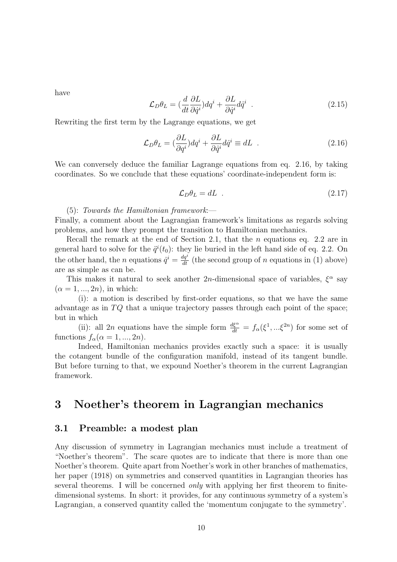have

$$
\mathcal{L}_D \theta_L = \left(\frac{d}{dt} \frac{\partial L}{\partial \dot{q}^i}\right) dq^i + \frac{\partial L}{\partial \dot{q}^i} d\dot{q}^i \quad . \tag{2.15}
$$

Rewriting the first term by the Lagrange equations, we get

$$
\mathcal{L}_D \theta_L = \left(\frac{\partial L}{\partial q^i}\right) dq^i + \frac{\partial L}{\partial \dot{q}^i} d\dot{q}^i \equiv dL \quad . \tag{2.16}
$$

We can conversely deduce the familiar Lagrange equations from eq. 2.16, by taking coordinates. So we conclude that these equations' coordinate-independent form is:

$$
\mathcal{L}_D \theta_L = dL \tag{2.17}
$$

(5): Towards the Hamiltonian framework:—

Finally, a comment about the Lagrangian framework's limitations as regards solving problems, and how they prompt the transition to Hamiltonian mechanics.

Recall the remark at the end of Section 2.1, that the n equations eq. 2.2 are in general hard to solve for the  $\ddot{q}^i(t_0)$ : they lie buried in the left hand side of eq. 2.2. On the other hand, the *n* equations  $\dot{q}^i = \frac{dq^i}{dt}$  (the second group of *n* equations in (1) above) are as simple as can be.

This makes it natural to seek another 2n-dimensional space of variables,  $\xi^{\alpha}$  say  $(\alpha = 1, ..., 2n)$ , in which:

(i): a motion is described by first-order equations, so that we have the same advantage as in  $TQ$  that a unique trajectory passes through each point of the space; but in which

(ii): all 2n equations have the simple form  $\frac{d\xi^{\alpha}}{dt} = f_{\alpha}(\xi^1, \dots \xi^{2n})$  for some set of functions  $f_{\alpha}(\alpha = 1, ..., 2n)$ .

Indeed, Hamiltonian mechanics provides exactly such a space: it is usually the cotangent bundle of the configuration manifold, instead of its tangent bundle. But before turning to that, we expound Noether's theorem in the current Lagrangian framework.

# 3 Noether's theorem in Lagrangian mechanics

# 3.1 Preamble: a modest plan

Any discussion of symmetry in Lagrangian mechanics must include a treatment of "Noether's theorem". The scare quotes are to indicate that there is more than one Noether's theorem. Quite apart from Noether's work in other branches of mathematics, her paper (1918) on symmetries and conserved quantities in Lagrangian theories has several theorems. I will be concerned only with applying her first theorem to finitedimensional systems. In short: it provides, for any continuous symmetry of a system's Lagrangian, a conserved quantity called the 'momentum conjugate to the symmetry'.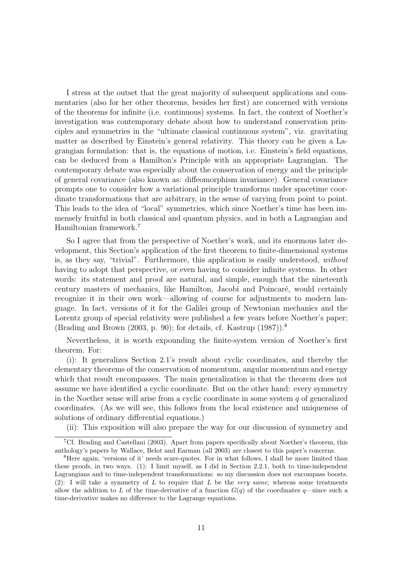I stress at the outset that the great majority of subsequent applications and commentaries (also for her other theorems, besides her first) are concerned with versions of the theorems for infinite (i.e. continuous) systems. In fact, the context of Noether's investigation was contemporary debate about how to understand conservation principles and symmetries in the "ultimate classical continuous system", viz. gravitating matter as described by Einstein's general relativity. This theory can be given a Lagrangian formulation: that is, the equations of motion, i.e. Einstein's field equations, can be deduced from a Hamilton's Principle with an appropriate Lagrangian. The contemporary debate was especially about the conservation of energy and the principle of general covariance (also known as: diffeomorphism invariance). General covariance prompts one to consider how a variational principle transforms under spacetime coordinate transformations that are arbitrary, in the sense of varying from point to point. This leads to the idea of "local" symmetries, which since Noether's time has been immensely fruitful in both classical and quantum physics, and in both a Lagrangian and Hamiltonian framework.<sup>7</sup>

So I agree that from the perspective of Noether's work, and its enormous later development, this Section's application of the first theorem to finite-dimensional systems is, as they say, "trivial". Furthermore, this application is easily understood, without having to adopt that perspective, or even having to consider infinite systems. In other words: its statement and proof are natural, and simple, enough that the nineteenth century masters of mechanics, like Hamilton, Jacobi and Poincar´e, would certainly recognize it in their own work—allowing of course for adjustments to modern language. In fact, versions of it for the Galilei group of Newtonian mechanics and the Lorentz group of special relativity were published a few years before Noether's paper; (Brading and Brown (2003, p. 90); for details, cf. Kastrup (1987)).<sup>8</sup>

Nevertheless, it is worth expounding the finite-system version of Noether's first theorem. For:

(i): It generalizes Section 2.1's result about cyclic coordinates, and thereby the elementary theorems of the conservation of momentum, angular momentum and energy which that result encompasses. The main generalization is that the theorem does not assume we have identified a cyclic coordinate. But on the other hand: every symmetry in the Noether sense will arise from a cyclic coordinate in some system  $q$  of generalized coordinates. (As we will see, this follows from the local existence and uniqueness of solutions of ordinary differential equations.)

(ii): This exposition will also prepare the way for our discussion of symmetry and

<sup>7</sup>Cf. Brading and Castellani (2003). Apart from papers specifically about Noether's theorem, this anthology's papers by Wallace, Belot and Earman (all 2003) are closest to this paper's concerns.

<sup>&</sup>lt;sup>8</sup>Here again, 'versions of it' needs scare-quotes. For in what follows, I shall be more limited than these proofs, in two ways. (1): I limit myself, as I did in Section 2.2.1, both to time-independent Lagrangians and to time-independent transformations: so my discussion does not encompass boosts. (2): I will take a symmetry of L to require that L be the very same; whereas some treatments allow the addition to L of the time-derivative of a function  $G(q)$  of the coordinates q—since such a time-derivative makes no difference to the Lagrange equations.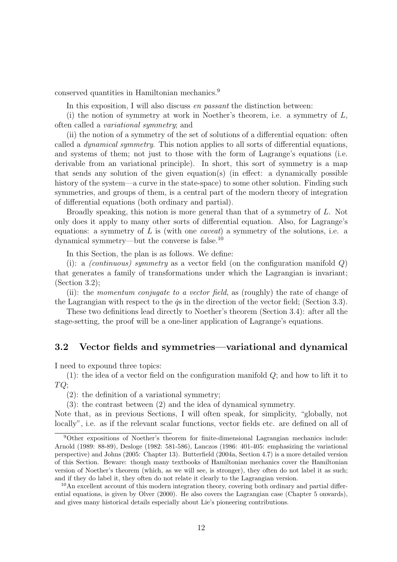conserved quantities in Hamiltonian mechanics.<sup>9</sup>

In this exposition, I will also discuss *en passant* the distinction between:

(i) the notion of symmetry at work in Noether's theorem, i.e. a symmetry of L, often called a variational symmetry; and

(ii) the notion of a symmetry of the set of solutions of a differential equation: often called a dynamical symmetry. This notion applies to all sorts of differential equations, and systems of them; not just to those with the form of Lagrange's equations (i.e. derivable from an variational principle). In short, this sort of symmetry is a map that sends any solution of the given equation(s) (in effect: a dynamically possible history of the system—a curve in the state-space) to some other solution. Finding such symmetries, and groups of them, is a central part of the modern theory of integration of differential equations (both ordinary and partial).

Broadly speaking, this notion is more general than that of a symmetry of L. Not only does it apply to many other sorts of differential equation. Also, for Lagrange's equations: a symmetry of L is (with one caveat) a symmetry of the solutions, i.e. a dynamical symmetry—but the converse is false.<sup>10</sup>

In this Section, the plan is as follows. We define:

(i): a *(continuous) symmetry* as a vector field (on the configuration manifold  $Q$ ) that generates a family of transformations under which the Lagrangian is invariant; (Section 3.2);

(ii): the momentum conjugate to a vector field, as (roughly) the rate of change of the Lagrangian with respect to the  $\dot{q}s$  in the direction of the vector field; (Section 3.3).

These two definitions lead directly to Noether's theorem (Section 3.4): after all the stage-setting, the proof will be a one-liner application of Lagrange's equations.

# 3.2 Vector fields and symmetries—variational and dynamical

I need to expound three topics:

(1): the idea of a vector field on the configuration manifold  $Q$ ; and how to lift it to  $TQ;$ 

(2): the definition of a variational symmetry;

(3): the contrast between (2) and the idea of dynamical symmetry.

Note that, as in previous Sections, I will often speak, for simplicity, "globally, not locally", i.e. as if the relevant scalar functions, vector fields etc. are defined on all of

<sup>9</sup>Other expositions of Noether's theorem for finite-dimensional Lagrangian mechanics include: Arnold (1989: 88-89), Desloge (1982: 581-586), Lanczos (1986: 401-405: emphasizing the variational perspective) and Johns (2005: Chapter 13). Butterfield (2004a, Section 4.7) is a more detailed version of this Section. Beware: though many textbooks of Hamiltonian mechanics cover the Hamiltonian version of Noether's theorem (which, as we will see, is stronger), they often do not label it as such; and if they do label it, they often do not relate it clearly to the Lagrangian version.

 $10$ An excellent account of this modern integration theory, covering both ordinary and partial differential equations, is given by Olver (2000). He also covers the Lagrangian case (Chapter 5 onwards), and gives many historical details especially about Lie's pioneering contributions.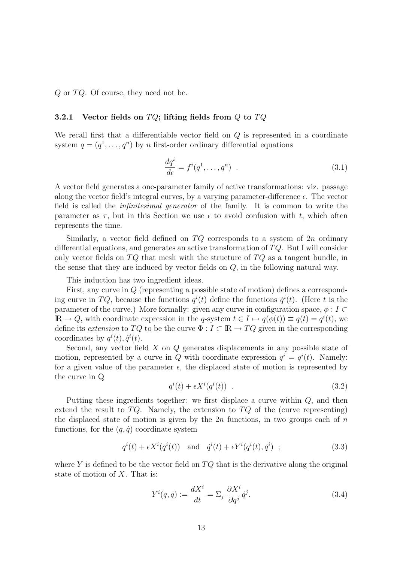$Q$  or  $TQ$ . Of course, they need not be.

#### 3.2.1 Vector fields on  $TQ$ ; lifting fields from Q to  $TQ$

We recall first that a differentiable vector field on Q is represented in a coordinate system  $q = (q^1, \ldots, q^n)$  by n first-order ordinary differential equations

$$
\frac{dq^i}{d\epsilon} = f^i(q^1, \dots, q^n) \quad . \tag{3.1}
$$

A vector field generates a one-parameter family of active transformations: viz. passage along the vector field's integral curves, by a varying parameter-difference  $\epsilon$ . The vector field is called the infinitesimal generator of the family. It is common to write the parameter as  $\tau$ , but in this Section we use  $\epsilon$  to avoid confusion with t, which often represents the time.

Similarly, a vector field defined on  $TQ$  corresponds to a system of  $2n$  ordinary differential equations, and generates an active transformation of  $TQ$ . But I will consider only vector fields on  $TQ$  that mesh with the structure of  $TQ$  as a tangent bundle, in the sense that they are induced by vector fields on Q, in the following natural way.

This induction has two ingredient ideas.

First, any curve in Q (representing a possible state of motion) defines a corresponding curve in TQ, because the functions  $q^{i}(t)$  define the functions  $\dot{q}^{i}(t)$ . (Here t is the parameter of the curve.) More formally: given any curve in configuration space,  $\phi : I \subset$  $\mathbb{R} \to Q$ , with coordinate expression in the q-system  $t \in I \mapsto q(\phi(t)) \equiv q(t) = q^{i}(t)$ , we define its extension to TQ to be the curve  $\Phi: I \subset \mathbb{R} \to TQ$  given in the corresponding coordinates by  $q^{i}(t), \dot{q}^{i}(t)$ .

Second, any vector field X on Q generates displacements in any possible state of motion, represented by a curve in Q with coordinate expression  $q^{i} = q^{i}(t)$ . Namely: for a given value of the parameter  $\epsilon$ , the displaced state of motion is represented by the curve in Q

$$
q^{i}(t) + \epsilon X^{i}(q^{i}(t)) \tag{3.2}
$$

Putting these ingredients together: we first displace a curve within Q, and then extend the result to  $TQ$ . Namely, the extension to  $TQ$  of the (curve representing) the displaced state of motion is given by the  $2n$  functions, in two groups each of n functions, for the  $(q, \dot{q})$  coordinate system

$$
q^{i}(t) + \epsilon X^{i}(q^{i}(t)) \quad \text{and} \quad \dot{q}^{i}(t) + \epsilon Y^{i}(q^{i}(t), \dot{q}^{i}) \tag{3.3}
$$

where Y is defined to be the vector field on  $TQ$  that is the derivative along the original state of motion of X. That is:

$$
Y^{i}(q, \dot{q}) := \frac{dX^{i}}{dt} = \Sigma_{j} \frac{\partial X^{i}}{\partial q^{j}} \dot{q}^{j}.
$$
\n(3.4)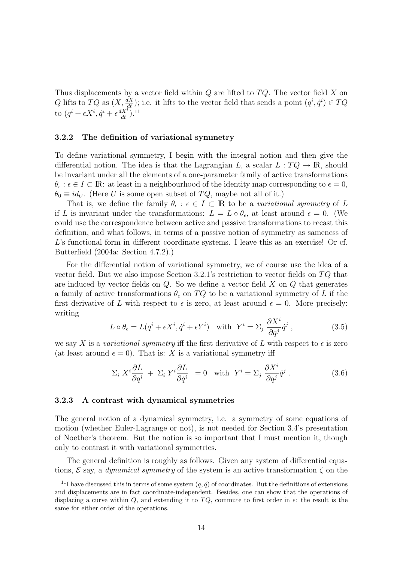Thus displacements by a vector field within  $Q$  are lifted to  $TQ$ . The vector field X on Q lifts to TQ as  $(X, \frac{dX}{dt})$ ; i.e. it lifts to the vector field that sends a point  $(q^i, \dot{q}^i) \in TQ$ to  $(q^i + \epsilon X^i, \dot{q}^i + \epsilon \frac{dX^i}{dt})$ .<sup>11</sup>

#### 3.2.2 The definition of variational symmetry

To define variational symmetry, I begin with the integral notion and then give the differential notion. The idea is that the Lagrangian L, a scalar  $L: TQ \to \mathbb{R}$ , should be invariant under all the elements of a one-parameter family of active transformations  $\theta_{\epsilon} : \epsilon \in I \subset \mathbb{R}$ : at least in a neighbourhood of the identity map corresponding to  $\epsilon = 0$ ,  $\theta_0 \equiv id_U$ . (Here U is some open subset of TQ, maybe not all of it.)

That is, we define the family  $\theta_{\epsilon} : \epsilon \in I \subset \mathbb{R}$  to be a variational symmetry of L if L is invariant under the transformations:  $L = L \circ \theta_{\epsilon}$ , at least around  $\epsilon = 0$ . (We could use the correspondence between active and passive transformations to recast this definition, and what follows, in terms of a passive notion of symmetry as sameness of L's functional form in different coordinate systems. I leave this as an exercise! Or cf. Butterfield (2004a: Section 4.7.2).)

For the differential notion of variational symmetry, we of course use the idea of a vector field. But we also impose Section 3.2.1's restriction to vector fields on  $TQ$  that are induced by vector fields on  $Q$ . So we define a vector field  $X$  on  $Q$  that generates a family of active transformations  $\theta_{\epsilon}$  on TQ to be a variational symmetry of L if the first derivative of L with respect to  $\epsilon$  is zero, at least around  $\epsilon = 0$ . More precisely: writing

$$
L \circ \theta_{\epsilon} = L(q^{i} + \epsilon X^{i}, \dot{q}^{i} + \epsilon Y^{i}) \quad \text{with} \quad Y^{i} = \Sigma_{j} \frac{\partial X^{i}}{\partial q^{j}} \dot{q}^{j} , \qquad (3.5)
$$

we say X is a variational symmetry iff the first derivative of L with respect to  $\epsilon$  is zero (at least around  $\epsilon = 0$ ). That is: X is a variational symmetry iff

$$
\Sigma_i X^i \frac{\partial L}{\partial q^i} + \Sigma_i Y^i \frac{\partial L}{\partial \dot{q}^i} = 0 \quad \text{with} \quad Y^i = \Sigma_j \frac{\partial X^i}{\partial q^j} \dot{q}^j \,. \tag{3.6}
$$

#### 3.2.3 A contrast with dynamical symmetries

The general notion of a dynamical symmetry, i.e. a symmetry of some equations of motion (whether Euler-Lagrange or not), is not needed for Section 3.4's presentation of Noether's theorem. But the notion is so important that I must mention it, though only to contrast it with variational symmetries.

The general definition is roughly as follows. Given any system of differential equations,  $\mathcal E$  say, a *dynamical symmetry* of the system is an active transformation  $\zeta$  on the

<sup>&</sup>lt;sup>11</sup>I have discussed this in terms of some system  $(q, \dot{q})$  of coordinates. But the definitions of extensions and displacements are in fact coordinate-independent. Besides, one can show that the operations of displacing a curve within  $Q$ , and extending it to  $TQ$ , commute to first order in  $\epsilon$ : the result is the same for either order of the operations.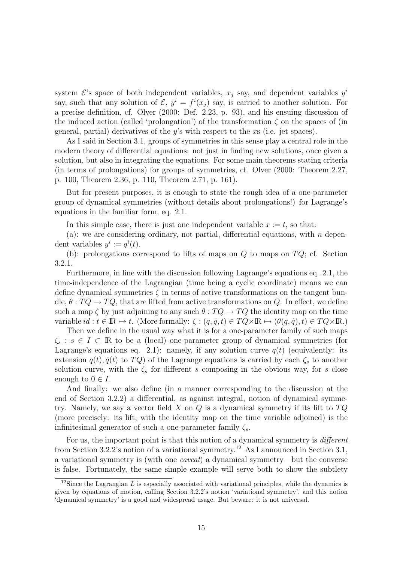system  $\mathcal{E}$ 's space of both independent variables,  $x_j$  say, and dependent variables  $y^i$ say, such that any solution of  $\mathcal{E}, y^i = f^i(x_j)$  say, is carried to another solution. For a precise definition, cf. Olver (2000: Def. 2.23, p. 93), and his ensuing discussion of the induced action (called 'prolongation') of the transformation  $\zeta$  on the spaces of (in general, partial) derivatives of the  $y$ 's with respect to the  $x$ s (i.e. jet spaces).

As I said in Section 3.1, groups of symmetries in this sense play a central role in the modern theory of differential equations: not just in finding new solutions, once given a solution, but also in integrating the equations. For some main theorems stating criteria (in terms of prolongations) for groups of symmetries, cf. Olver (2000: Theorem 2.27, p. 100, Theorem 2.36, p. 110, Theorem 2.71, p. 161).

But for present purposes, it is enough to state the rough idea of a one-parameter group of dynamical symmetries (without details about prolongations!) for Lagrange's equations in the familiar form, eq. 2.1.

In this simple case, there is just one independent variable  $x := t$ , so that:

(a): we are considering ordinary, not partial, differential equations, with  $n$  dependent variables  $y^i := q^i(t)$ .

(b): prolongations correspond to lifts of maps on  $Q$  to maps on  $TQ$ ; cf. Section 3.2.1.

Furthermore, in line with the discussion following Lagrange's equations eq. 2.1, the time-independence of the Lagrangian (time being a cyclic coordinate) means we can define dynamical symmetries  $\zeta$  in terms of active transformations on the tangent bundle,  $\theta: TQ \to TQ$ , that are lifted from active transformations on Q. In effect, we define such a map  $\zeta$  by just adjoining to any such  $\theta : TQ \to TQ$  the identity map on the time variable  $id : t \in \mathbb{R} \mapsto t$ . (More formally:  $\zeta : (q, \dot{q}, t) \in TQ \times \mathbb{R} \mapsto (\theta(q, \dot{q}), t) \in TQ \times \mathbb{R}$ .)

Then we define in the usual way what it is for a one-parameter family of such maps  $\zeta_s : s \in I \subset \mathbb{R}$  to be a (local) one-parameter group of dynamical symmetries (for Lagrange's equations eq. 2.1): namely, if any solution curve  $q(t)$  (equivalently: its extension  $q(t)$ ,  $\dot{q}(t)$  to  $TQ$ ) of the Lagrange equations is carried by each  $\zeta_s$  to another solution curve, with the  $\zeta_s$  for different s composing in the obvious way, for s close enough to  $0 \in I$ .

And finally: we also define (in a manner corresponding to the discussion at the end of Section 3.2.2) a differential, as against integral, notion of dynamical symmetry. Namely, we say a vector field X on  $Q$  is a dynamical symmetry if its lift to  $TQ$ (more precisely: its lift, with the identity map on the time variable adjoined) is the infinitesimal generator of such a one-parameter family  $\zeta_s$ .

For us, the important point is that this notion of a dynamical symmetry is different from Section 3.2.2's notion of a variational symmetry.<sup>12</sup> As I announced in Section 3.1, a variational symmetry is (with one caveat) a dynamical symmetry—but the converse is false. Fortunately, the same simple example will serve both to show the subtlety

<sup>&</sup>lt;sup>12</sup>Since the Lagrangian L is especially associated with variational principles, while the dynamics is given by equations of motion, calling Section 3.2.2's notion 'variational symmetry', and this notion 'dynamical symmetry' is a good and widespread usage. But beware: it is not universal.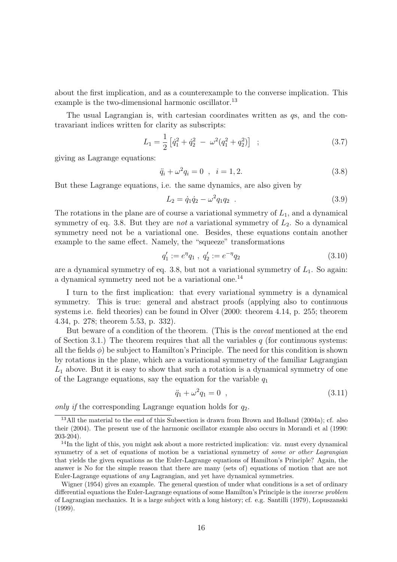about the first implication, and as a counterexample to the converse implication. This example is the two-dimensional harmonic oscillator.<sup>13</sup>

The usual Lagrangian is, with cartesian coordinates written as qs, and the contravariant indices written for clarity as subscripts:

$$
L_1 = \frac{1}{2} \left[ \dot{q}_1^2 + \dot{q}_2^2 - \omega^2 (q_1^2 + q_2^2) \right] ; \qquad (3.7)
$$

giving as Lagrange equations:

$$
\ddot{q}_i + \omega^2 q_i = 0 \quad , \quad i = 1, 2. \tag{3.8}
$$

But these Lagrange equations, i.e. the same dynamics, are also given by

$$
L_2 = \dot{q}_1 \dot{q}_2 - \omega^2 q_1 q_2 \tag{3.9}
$$

The rotations in the plane are of course a variational symmetry of  $L_1$ , and a dynamical symmetry of eq. 3.8. But they are *not* a variational symmetry of  $L_2$ . So a dynamical symmetry need not be a variational one. Besides, these equations contain another example to the same effect. Namely, the "squeeze" transformations

$$
q_1' := e^{\eta} q_1 , q_2' := e^{-\eta} q_2 \tag{3.10}
$$

are a dynamical symmetry of eq. 3.8, but not a variational symmetry of  $L_1$ . So again: a dynamical symmetry need not be a variational one.<sup>14</sup>

I turn to the first implication: that every variational symmetry is a dynamical symmetry. This is true: general and abstract proofs (applying also to continuous systems i.e. field theories) can be found in Olver (2000: theorem 4.14, p. 255; theorem 4.34, p. 278; theorem 5.53, p. 332).

But beware of a condition of the theorem. (This is the caveat mentioned at the end of Section 3.1.) The theorem requires that all the variables  $q$  (for continuous systems: all the fields  $\phi$ ) be subject to Hamilton's Principle. The need for this condition is shown by rotations in the plane, which are a variational symmetry of the familiar Lagrangian  $L_1$  above. But it is easy to show that such a rotation is a dynamical symmetry of one of the Lagrange equations, say the equation for the variable  $q_1$ 

$$
\ddot{q}_1 + \omega^2 q_1 = 0 \quad , \tag{3.11}
$$

only if the corresponding Lagrange equation holds for  $q_2$ .

<sup>&</sup>lt;sup>13</sup>All the material to the end of this Subsection is drawn from Brown and Holland (2004a); cf. also their (2004). The present use of the harmonic oscillator example also occurs in Morandi et al (1990: 203-204).

 $14$ In the light of this, you might ask about a more restricted implication: viz. must every dynamical symmetry of a set of equations of motion be a variational symmetry of *some or other Lagrangian* that yields the given equations as the Euler-Lagrange equations of Hamilton's Principle? Again, the answer is No for the simple reason that there are many (sets of) equations of motion that are not Euler-Lagrange equations of any Lagrangian, and yet have dynamical symmetries.

Wigner (1954) gives an example. The general question of under what conditions is a set of ordinary differential equations the Euler-Lagrange equations of some Hamilton's Principle is the inverse problem of Lagrangian mechanics. It is a large subject with a long history; cf. e.g. Santilli (1979), Lopuszanski (1999).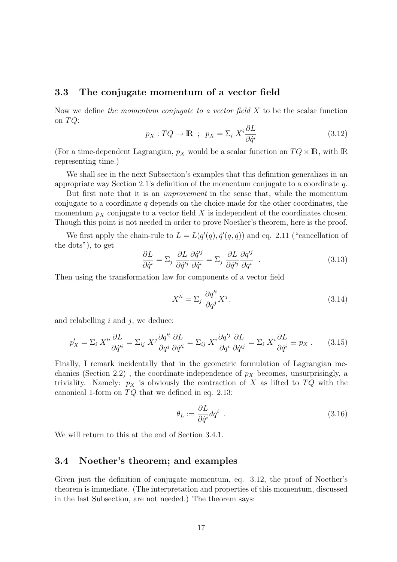### 3.3 The conjugate momentum of a vector field

Now we define the momentum conjugate to a vector field  $X$  to be the scalar function on  $TQ$ :

$$
p_X: TQ \to \mathbb{R} \; ; \; p_X = \Sigma_i X^i \frac{\partial L}{\partial \dot{q}^i} \tag{3.12}
$$

(For a time-dependent Lagrangian,  $p_X$  would be a scalar function on  $TQ \times \mathbb{R}$ , with  $\mathbb{R}$ representing time.)

We shall see in the next Subsection's examples that this definition generalizes in an appropriate way Section 2.1's definition of the momentum conjugate to a coordinate q.

But first note that it is an improvement in the sense that, while the momentum conjugate to a coordinate  $q$  depends on the choice made for the other coordinates, the momentum  $p<sub>X</sub>$  conjugate to a vector field X is independent of the coordinates chosen. Though this point is not needed in order to prove Noether's theorem, here is the proof.

We first apply the chain-rule to  $L = L(q'(q), \dot{q}'(q, \dot{q}))$  and eq. 2.11 ("cancellation of the dots"), to get

$$
\frac{\partial L}{\partial \dot{q}^i} = \Sigma_j \frac{\partial L}{\partial \dot{q}^{ij}} \frac{\partial \dot{q}^{ij}}{\partial \dot{q}^i} = \Sigma_j \frac{\partial L}{\partial \dot{q}^{ij}} \frac{\partial q^{ij}}{\partial q^i} . \tag{3.13}
$$

Then using the transformation law for components of a vector field

$$
X^{\prime i} = \Sigma_j \frac{\partial q^{\prime i}}{\partial q^j} X^j. \tag{3.14}
$$

and relabelling  $i$  and  $j$ , we deduce:

$$
p'_{X} = \sum_{i} X'^{i} \frac{\partial L}{\partial \dot{q}^{'i}} = \sum_{ij} X^{j} \frac{\partial q'^{i}}{\partial q^{j}} \frac{\partial L}{\partial \dot{q}^{i}} = \sum_{ij} X^{i} \frac{\partial q'^{j}}{\partial q^{i}} \frac{\partial L}{\partial \dot{q}^{j}} = \sum_{i} X^{i} \frac{\partial L}{\partial \dot{q}^{i}} \equiv p_{X}. \tag{3.15}
$$

Finally, I remark incidentally that in the geometric formulation of Lagrangian mechanics (Section 2.2), the coordinate-independence of  $p<sub>X</sub>$  becomes, unsurprisingly, a triviality. Namely:  $p_X$  is obviously the contraction of X as lifted to  $TQ$  with the canonical 1-form on  $TQ$  that we defined in eq. 2.13:

$$
\theta_L := \frac{\partial L}{\partial \dot{q}^i} dq^i \tag{3.16}
$$

We will return to this at the end of Section 3.4.1.

### 3.4 Noether's theorem; and examples

Given just the definition of conjugate momentum, eq. 3.12, the proof of Noether's theorem is immediate. (The interpretation and properties of this momentum, discussed in the last Subsection, are not needed.) The theorem says: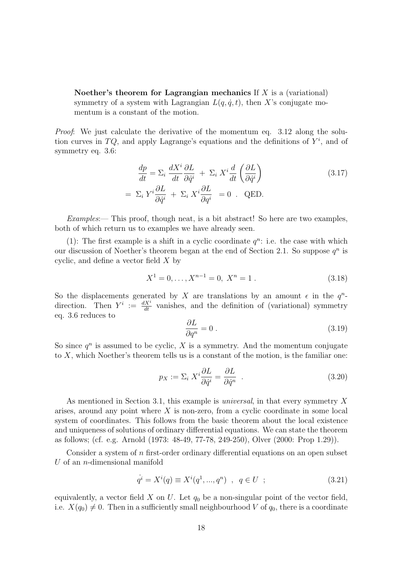Noether's theorem for Lagrangian mechanics If  $X$  is a (variational) symmetry of a system with Lagrangian  $L(q, \dot{q}, t)$ , then X's conjugate momentum is a constant of the motion.

Proof: We just calculate the derivative of the momentum eq. 3.12 along the solution curves in TQ, and apply Lagrange's equations and the definitions of  $Y^i$ , and of symmetry eq. 3.6:

$$
\frac{dp}{dt} = \Sigma_i \frac{dX^i}{dt} \frac{\partial L}{\partial \dot{q}^i} + \Sigma_i X^i \frac{d}{dt} \left(\frac{\partial L}{\partial \dot{q}^i}\right)
$$
\n
$$
= \Sigma_i Y^i \frac{\partial L}{\partial \dot{q}^i} + \Sigma_i X^i \frac{\partial L}{\partial q^i} = 0 \quad \text{QED}.
$$
\n(3.17)

Examples:— This proof, though neat, is a bit abstract! So here are two examples, both of which return us to examples we have already seen.

(1): The first example is a shift in a cyclic coordinate  $q^n$ : i.e. the case with which our discussion of Noether's theorem began at the end of Section 2.1. So suppose  $q^n$  is cyclic, and define a vector field X by

$$
X^1 = 0, \dots, X^{n-1} = 0, \ X^n = 1 \tag{3.18}
$$

So the displacements generated by X are translations by an amount  $\epsilon$  in the  $q^n$ direction. Then  $Y^i := \frac{dX^i}{dt}$  vanishes, and the definition of (variational) symmetry eq. 3.6 reduces to

$$
\frac{\partial L}{\partial q^n} = 0 \tag{3.19}
$$

So since  $q^n$  is assumed to be cyclic, X is a symmetry. And the momentum conjugate to  $X$ , which Noether's theorem tells us is a constant of the motion, is the familiar one:

$$
p_X := \Sigma_i X^i \frac{\partial L}{\partial \dot{q}^i} = \frac{\partial L}{\partial \dot{q}^n} \tag{3.20}
$$

As mentioned in Section 3.1, this example is universal, in that every symmetry X arises, around any point where  $X$  is non-zero, from a cyclic coordinate in some local system of coordinates. This follows from the basic theorem about the local existence and uniqueness of solutions of ordinary differential equations. We can state the theorem as follows; (cf. e.g. Arnold (1973: 48-49, 77-78, 249-250), Olver (2000: Prop 1.29)).

Consider a system of n first-order ordinary differential equations on an open subset  $U$  of an *n*-dimensional manifold

$$
q^{i} = X^{i}(q) \equiv X^{i}(q^{1}, ..., q^{n}) \quad , \quad q \in U \quad ; \tag{3.21}
$$

equivalently, a vector field  $X$  on  $U$ . Let  $q_0$  be a non-singular point of the vector field, i.e.  $X(q_0) \neq 0$ . Then in a sufficiently small neighbourhood V of  $q_0$ , there is a coordinate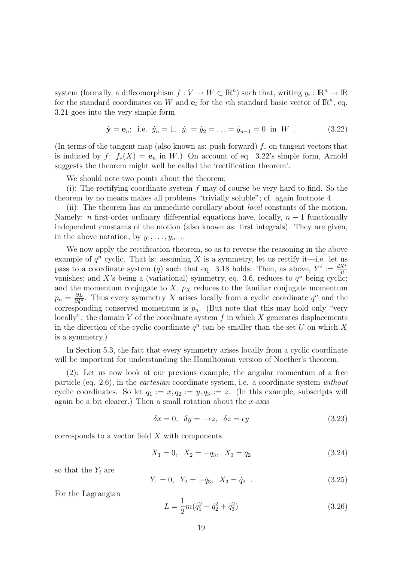system (formally, a diffeomorphism  $f: V \to W \subset \mathbb{R}^n$ ) such that, writing  $y_i : \mathbb{R}^n \to \mathbb{R}$ for the standard coordinates on W and  $e_i$  for the *i*th standard basic vector of  $\mathbb{R}^n$ , eq. 3.21 goes into the very simple form

$$
\dot{\mathbf{y}} = \mathbf{e}_n;
$$
 i.e.  $\dot{y}_n = 1$ ,  $\dot{y}_1 = \dot{y}_2 = \ldots = \dot{y}_{n-1} = 0$  in W . (3.22)

(In terms of the tangent map (also known as: push-forward)  $f_*$  on tangent vectors that is induced by  $f: f_*(X) = e_n$  in W.) On account of eq. 3.22's simple form, Arnold suggests the theorem might well be called the 'rectification theorem'.

We should note two points about the theorem:

(i): The rectifying coordinate system f may of course be very hard to find. So the theorem by no means makes all problems "trivially soluble"; cf. again footnote 4.

(ii): The theorem has an immediate corollary about local constants of the motion. Namely: n first-order ordinary differential equations have, locally,  $n-1$  functionally independent constants of the motion (also known as: first integrals). They are given, in the above notation, by  $y_1, \ldots, y_{n-1}$ .

We now apply the rectification theorem, so as to reverse the reasoning in the above example of  $q^n$  cyclic. That is: assuming X is a symmetry, let us rectify it—i.e. let us pass to a coordinate system (q) such that eq. 3.18 holds. Then, as above,  $Y^i := \frac{dX^i}{dt}$ vanishes; and X's being a (variational) symmetry, eq. 3.6, reduces to  $q^n$  being cyclic; and the momentum conjugate to  $X$ ,  $p_X$  reduces to the familiar conjugate momentum  $p_n = \frac{\partial L}{\partial \dot{q}^n}$ . Thus every symmetry X arises locally from a cyclic coordinate  $q^n$  and the corresponding conserved momentum is  $p_n$ . (But note that this may hold only "very locally": the domain V of the coordinate system f in which X generates displacements in the direction of the cyclic coordinate  $q^n$  can be smaller than the set U on which X is a symmetry.)

In Section 5.3, the fact that every symmetry arises locally from a cyclic coordinate will be important for understanding the Hamiltonian version of Noether's theorem.

(2): Let us now look at our previous example, the angular momentum of a free particle (eq. 2.6), in the cartesian coordinate system, i.e. a coordinate system without cyclic coordinates. So let  $q_1 := x, q_2 := y, q_3 := z$ . (In this example, subscripts will again be a bit clearer.) Then a small rotation about the  $x$ -axis

$$
\delta x = 0, \quad \delta y = -\epsilon z, \quad \delta z = \epsilon y \tag{3.23}
$$

corresponds to a vector field X with components

$$
X_1 = 0, \quad X_2 = -q_3, \quad X_3 = q_2 \tag{3.24}
$$

so that the  $Y_i$  are

$$
Y_1 = 0, \ Y_2 = -\dot{q}_3, \ X_3 = \dot{q}_2 \ . \tag{3.25}
$$

For the Lagrangian

$$
L = \frac{1}{2}m(\dot{q}_1^2 + \dot{q}_2^2 + \dot{q}_3^2)
$$
\n(3.26)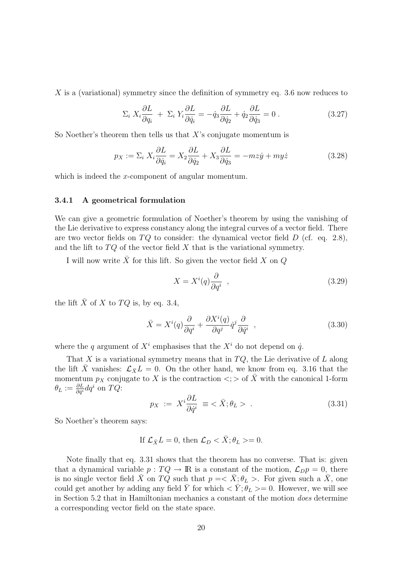X is a (variational) symmetry since the definition of symmetry eq. 3.6 now reduces to

$$
\Sigma_i X_i \frac{\partial L}{\partial q_i} + \Sigma_i Y_i \frac{\partial L}{\partial \dot{q}_i} = -\dot{q}_3 \frac{\partial L}{\partial \dot{q}_2} + \dot{q}_2 \frac{\partial L}{\partial \dot{q}_3} = 0.
$$
 (3.27)

So Noether's theorem then tells us that  $X$ 's conjugate momentum is

$$
p_X := \Sigma_i X_i \frac{\partial L}{\partial \dot{q}_i} = X_2 \frac{\partial L}{\partial \dot{q}_2} + X_3 \frac{\partial L}{\partial \dot{q}_3} = -mz\dot{y} + m\dot{y} \tag{3.28}
$$

which is indeed the x-component of angular momentum.

#### 3.4.1 A geometrical formulation

We can give a geometric formulation of Noether's theorem by using the vanishing of the Lie derivative to express constancy along the integral curves of a vector field. There are two vector fields on  $TQ$  to consider: the dynamical vector field D (cf. eq. 2.8), and the lift to  $TQ$  of the vector field X that is the variational symmetry.

I will now write  $\bar{X}$  for this lift. So given the vector field X on Q

$$
X = X^{i}(q)\frac{\partial}{\partial q^{i}} \t{,} \t(3.29)
$$

the lift  $\bar{X}$  of X to  $TQ$  is, by eq. 3.4,

$$
\bar{X} = X^{i}(q)\frac{\partial}{\partial q^{i}} + \frac{\partial X^{i}(q)}{\partial q^{j}}\dot{q}^{j}\frac{\partial}{\partial \dot{q}^{i}} , \qquad (3.30)
$$

where the q argument of  $X^i$  emphasises that the  $X^i$  do not depend on  $\dot{q}$ .

That X is a variational symmetry means that in  $TQ$ , the Lie derivative of L along the lift  $\bar{X}$  vanishes:  $\mathcal{L}_{\bar{X}}L = 0$ . On the other hand, we know from eq. 3.16 that the momentum  $p_X$  conjugate to X is the contraction  $\langle \cdot \rangle$  of  $\overline{X}$  with the canonical 1-form  $\theta_L := \frac{\partial L}{\partial \dot{q}^i} dq^i$  on  $TQ$ :

$$
p_X := X^i \frac{\partial L}{\partial \dot{q}^i} \equiv \langle \bar{X}; \theta_L \rangle . \tag{3.31}
$$

So Noether's theorem says:

If 
$$
\mathcal{L}_{\bar{X}}L = 0
$$
, then  $\mathcal{L}_D < \bar{X}$ ;  $\theta_L > = 0$ .

Note finally that eq. 3.31 shows that the theorem has no converse. That is: given that a dynamical variable  $p: TQ \to \mathbb{R}$  is a constant of the motion,  $\mathcal{L}_D p = 0$ , there is no single vector field  $\bar{X}$  on TQ such that  $p = \langle \bar{X}; \theta_L \rangle$ . For given such a  $\bar{X}$ , one could get another by adding any field  $\bar{Y}$  for which  $\langle \bar{Y}; \theta_L \rangle = 0$ . However, we will see in Section 5.2 that in Hamiltonian mechanics a constant of the motion does determine a corresponding vector field on the state space.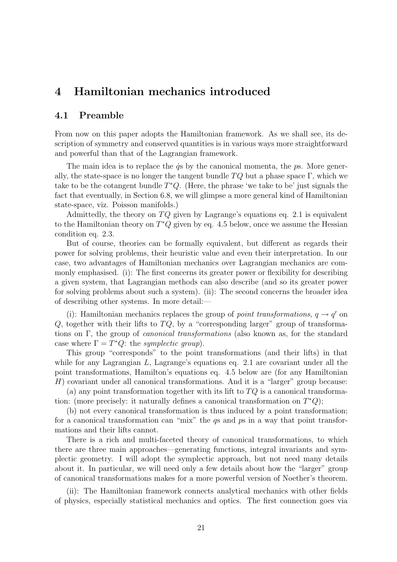# 4 Hamiltonian mechanics introduced

# 4.1 Preamble

From now on this paper adopts the Hamiltonian framework. As we shall see, its description of symmetry and conserved quantities is in various ways more straightforward and powerful than that of the Lagrangian framework.

The main idea is to replace the  $\dot{q}s$  by the canonical momenta, the  $p\bar{s}$ . More generally, the state-space is no longer the tangent bundle  $TQ$  but a phase space Γ, which we take to be the cotangent bundle  $T^*Q$ . (Here, the phrase 'we take to be' just signals the fact that eventually, in Section 6.8, we will glimpse a more general kind of Hamiltonian state-space, viz. Poisson manifolds.)

Admittedly, the theory on  $TQ$  given by Lagrange's equations eq. 2.1 is equivalent to the Hamiltonian theory on  $T^*Q$  given by eq. 4.5 below, once we assume the Hessian condition eq. 2.3.

But of course, theories can be formally equivalent, but different as regards their power for solving problems, their heuristic value and even their interpretation. In our case, two advantages of Hamiltonian mechanics over Lagrangian mechanics are commonly emphasised. (i): The first concerns its greater power or flexibility for describing a given system, that Lagrangian methods can also describe (and so its greater power for solving problems about such a system). (ii): The second concerns the broader idea of describing other systems. In more detail:—

(i): Hamiltonian mechanics replaces the group of *point transformations*,  $q \rightarrow q'$  on  $Q$ , together with their lifts to  $TQ$ , by a "corresponding larger" group of transformations on Γ, the group of canonical transformations (also known as, for the standard case where  $\Gamma = T^*Q$ : the *symplectic group*).

This group "corresponds" to the point transformations (and their lifts) in that while for any Lagrangian L, Lagrange's equations eq. 2.1 are covariant under all the point transformations, Hamilton's equations eq. 4.5 below are (for any Hamiltonian H) covariant under all canonical transformations. And it is a "larger" group because:

(a) any point transformation together with its lift to  $TQ$  is a canonical transformation: (more precisely: it naturally defines a canonical transformation on  $T^*Q$ );

(b) not every canonical transformation is thus induced by a point transformation; for a canonical transformation can "mix" the qs and ps in a way that point transformations and their lifts cannot.

There is a rich and multi-faceted theory of canonical transformations, to which there are three main approaches—generating functions, integral invariants and symplectic geometry. I will adopt the symplectic approach, but not need many details about it. In particular, we will need only a few details about how the "larger" group of canonical transformations makes for a more powerful version of Noether's theorem.

(ii): The Hamiltonian framework connects analytical mechanics with other fields of physics, especially statistical mechanics and optics. The first connection goes via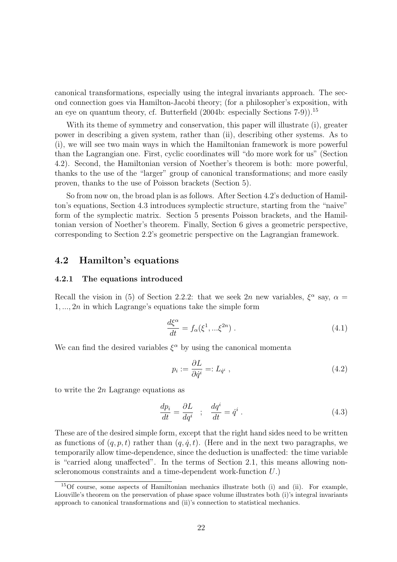canonical transformations, especially using the integral invariants approach. The second connection goes via Hamilton-Jacobi theory; (for a philosopher's exposition, with an eye on quantum theory, cf. Butterfield (2004b: especially Sections 7-9)).<sup>15</sup>

With its theme of symmetry and conservation, this paper will illustrate (i), greater power in describing a given system, rather than (ii), describing other systems. As to (i), we will see two main ways in which the Hamiltonian framework is more powerful than the Lagrangian one. First, cyclic coordinates will "do more work for us" (Section 4.2). Second, the Hamiltonian version of Noether's theorem is both: more powerful, thanks to the use of the "larger" group of canonical transformations; and more easily proven, thanks to the use of Poisson brackets (Section 5).

So from now on, the broad plan is as follows. After Section 4.2's deduction of Hamilton's equations, Section 4.3 introduces symplectic structure, starting from the "naive" form of the symplectic matrix. Section 5 presents Poisson brackets, and the Hamiltonian version of Noether's theorem. Finally, Section 6 gives a geometric perspective, corresponding to Section 2.2's geometric perspective on the Lagrangian framework.

# 4.2 Hamilton's equations

#### 4.2.1 The equations introduced

Recall the vision in (5) of Section 2.2.2: that we seek 2n new variables,  $\xi^{\alpha}$  say,  $\alpha =$  $1, \ldots, 2n$  in which Lagrange's equations take the simple form

$$
\frac{d\xi^{\alpha}}{dt} = f_{\alpha}(\xi^1, \dots, \xi^{2n}) . \tag{4.1}
$$

We can find the desired variables  $\xi^{\alpha}$  by using the canonical momenta

$$
p_i := \frac{\partial L}{\partial \dot{q}^i} =: L_{\dot{q}^i} \tag{4.2}
$$

to write the  $2n$  Lagrange equations as

$$
\frac{dp_i}{dt} = \frac{\partial L}{dq^i} \quad ; \quad \frac{dq^i}{dt} = \dot{q}^i \; . \tag{4.3}
$$

These are of the desired simple form, except that the right hand sides need to be written as functions of  $(q, p, t)$  rather than  $(q, \dot{q}, t)$ . (Here and in the next two paragraphs, we temporarily allow time-dependence, since the deduction is unaffected: the time variable is "carried along unaffected". In the terms of Section 2.1, this means allowing nonscleronomous constraints and a time-dependent work-function U.)

 $15$ Of course, some aspects of Hamiltonian mechanics illustrate both (i) and (ii). For example, Liouville's theorem on the preservation of phase space volume illustrates both (i)'s integral invariants approach to canonical transformations and (ii)'s connection to statistical mechanics.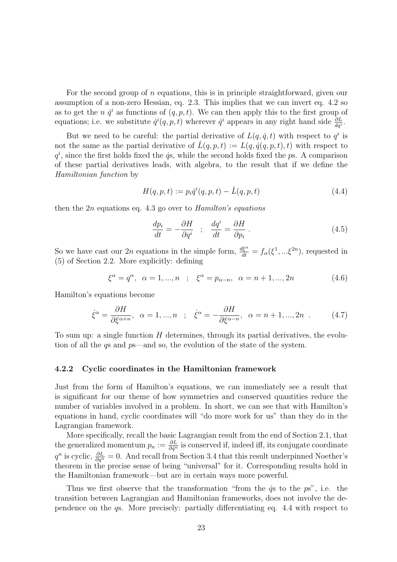For the second group of n equations, this is in principle straightforward, given our assumption of a non-zero Hessian, eq. 2.3. This implies that we can invert eq. 4.2 so as to get the *n*  $\dot{q}^i$  as functions of  $(q, p, t)$ . We can then apply this to the first group of equations; i.e. we substitute  $\dot{q}^i(q, p, t)$  wherever  $\dot{q}^i$  appears in any right hand side  $\frac{\partial L}{\partial q^i}$ .

But we need to be careful: the partial derivative of  $L(q, \dot{q}, t)$  with respect to  $q^i$  is not the same as the partial derivative of  $\hat{L}(q, p, t) := L(q, \dot{q}(q, p, t), t)$  with respect to  $q^i$ , since the first holds fixed the  $\dot{q}$ s, while the second holds fixed the ps. A comparison of these partial derivatives leads, with algebra, to the result that if we define the Hamiltonian function by

$$
H(q, p, t) := p_i \dot{q}^i(q, p, t) - \hat{L}(q, p, t)
$$
\n(4.4)

then the  $2n$  equations eq. 4.3 go over to *Hamilton's equations* 

$$
\frac{dp_i}{dt} = -\frac{\partial H}{\partial q^i} \quad ; \quad \frac{dq^i}{dt} = \frac{\partial H}{\partial p_i} \tag{4.5}
$$

So we have cast our 2n equations in the simple form,  $\frac{d\xi^{\alpha}}{dt} = f_{\alpha}(\xi^{1},...\xi^{2n})$ , requested in (5) of Section 2.2. More explicitly: defining

$$
\xi^{\alpha} = q^{\alpha}, \ \alpha = 1, ..., n \ \ ; \ \ \xi^{\alpha} = p_{\alpha - n}, \ \alpha = n + 1, ..., 2n \tag{4.6}
$$

Hamilton's equations become

$$
\dot{\xi}^{\alpha} = \frac{\partial H}{\partial \xi^{\alpha+n}}, \quad \alpha = 1, ..., n \quad ; \quad \dot{\xi}^{\alpha} = -\frac{\partial H}{\partial \xi^{\alpha-n}}, \quad \alpha = n+1, ..., 2n \quad . \tag{4.7}
$$

To sum up: a single function  $H$  determines, through its partial derivatives, the evolution of all the qs and ps—and so, the evolution of the state of the system.

#### 4.2.2 Cyclic coordinates in the Hamiltonian framework

Just from the form of Hamilton's equations, we can immediately see a result that is significant for our theme of how symmetries and conserved quantities reduce the number of variables involved in a problem. In short, we can see that with Hamilton's equations in hand, cyclic coordinates will "do more work for us" than they do in the Lagrangian framework.

More specifically, recall the basic Lagrangian result from the end of Section 2.1, that the generalized momentum  $p_n := \frac{\partial L}{\partial \dot{q}^n}$  is conserved if, indeed iff, its conjugate coordinate  $q^n$  is cyclic,  $\frac{\partial L}{\partial q^n} = 0$ . And recall from Section 3.4 that this result underpinned Noether's theorem in the precise sense of being "universal" for it. Corresponding results hold in the Hamiltonian framework—but are in certain ways more powerful.

Thus we first observe that the transformation "from the  $\dot{q}s$  to the  $p\dot{s}$ ", i.e. the transition between Lagrangian and Hamiltonian frameworks, does not involve the dependence on the qs. More precisely: partially differentiating eq. 4.4 with respect to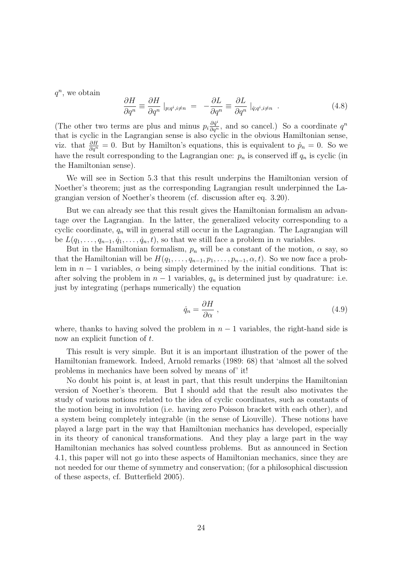$q^n$ , we obtain

$$
\frac{\partial H}{\partial q^n} \equiv \frac{\partial H}{\partial q^n} \mid_{p;q^i,i\neq n} = -\frac{\partial L}{\partial q^n} \equiv \frac{\partial L}{\partial q^n} \mid_{\dot{q};q^i,i\neq n} . \tag{4.8}
$$

(The other two terms are plus and minus  $p_i \frac{\partial \dot{q}^i}{\partial q^n}$ , and so cancel.) So a coordinate  $q^n$ that is cyclic in the Lagrangian sense is also cyclic in the obvious Hamiltonian sense, viz. that  $\frac{\partial H}{\partial q^n} = 0$ . But by Hamilton's equations, this is equivalent to  $\dot{p}_n = 0$ . So we have the result corresponding to the Lagrangian one:  $p_n$  is conserved iff  $q_n$  is cyclic (in the Hamiltonian sense).

We will see in Section 5.3 that this result underpins the Hamiltonian version of Noether's theorem; just as the corresponding Lagrangian result underpinned the Lagrangian version of Noether's theorem (cf. discussion after eq. 3.20).

But we can already see that this result gives the Hamiltonian formalism an advantage over the Lagrangian. In the latter, the generalized velocity corresponding to a cyclic coordinate,  $q_n$  will in general still occur in the Lagrangian. The Lagrangian will be  $L(q_1, \ldots, q_{n-1}, \dot{q}_1, \ldots, \dot{q}_n, t)$ , so that we still face a problem in *n* variables.

But in the Hamiltonian formalism,  $p_n$  will be a constant of the motion,  $\alpha$  say, so that the Hamiltonian will be  $H(q_1, \ldots, q_{n-1}, p_1, \ldots, p_{n-1}, \alpha, t)$ . So we now face a problem in  $n-1$  variables,  $\alpha$  being simply determined by the initial conditions. That is: after solving the problem in  $n-1$  variables,  $q_n$  is determined just by quadrature: i.e. just by integrating (perhaps numerically) the equation

$$
\dot{q}_n = \frac{\partial H}{\partial \alpha} \,, \tag{4.9}
$$

where, thanks to having solved the problem in  $n-1$  variables, the right-hand side is now an explicit function of t.

This result is very simple. But it is an important illustration of the power of the Hamiltonian framework. Indeed, Arnold remarks (1989: 68) that 'almost all the solved problems in mechanics have been solved by means of' it!

No doubt his point is, at least in part, that this result underpins the Hamiltonian version of Noether's theorem. But I should add that the result also motivates the study of various notions related to the idea of cyclic coordinates, such as constants of the motion being in involution (i.e. having zero Poisson bracket with each other), and a system being completely integrable (in the sense of Liouville). These notions have played a large part in the way that Hamiltonian mechanics has developed, especially in its theory of canonical transformations. And they play a large part in the way Hamiltonian mechanics has solved countless problems. But as announced in Section 4.1, this paper will not go into these aspects of Hamiltonian mechanics, since they are not needed for our theme of symmetry and conservation; (for a philosophical discussion of these aspects, cf. Butterfield 2005).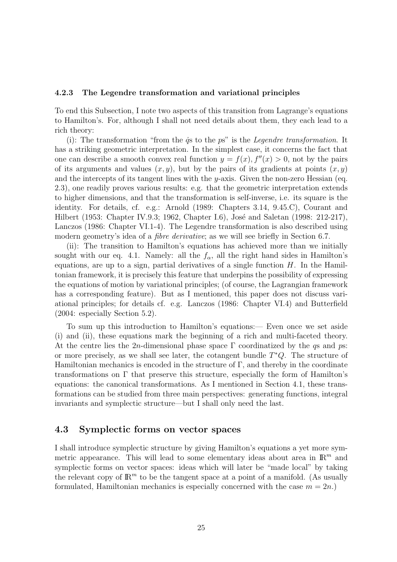#### 4.2.3 The Legendre transformation and variational principles

To end this Subsection, I note two aspects of this transition from Lagrange's equations to Hamilton's. For, although I shall not need details about them, they each lead to a rich theory:

(i): The transformation "from the  $\dot{q}s$  to the  $ps$ " is the *Legendre transformation*. It has a striking geometric interpretation. In the simplest case, it concerns the fact that one can describe a smooth convex real function  $y = f(x)$ ,  $f''(x) > 0$ , not by the pairs of its arguments and values  $(x, y)$ , but by the pairs of its gradients at points  $(x, y)$ and the intercepts of its tangent lines with the y-axis. Given the non-zero Hessian (eq. 2.3), one readily proves various results: e.g. that the geometric interpretation extends to higher dimensions, and that the transformation is self-inverse, i.e. its square is the identity. For details, cf. e.g.: Arnold (1989: Chapters 3.14, 9.45.C), Courant and Hilbert (1953: Chapter IV.9.3; 1962, Chapter I.6), José and Saletan (1998: 212-217), Lanczos (1986: Chapter VI.1-4). The Legendre transformation is also described using modern geometry's idea of a *fibre derivative*; as we will see briefly in Section 6.7.

(ii): The transition to Hamilton's equations has achieved more than we initially sought with our eq. 4.1. Namely: all the  $f_{\alpha}$ , all the right hand sides in Hamilton's equations, are up to a sign, partial derivatives of a single function  $H$ . In the Hamiltonian framework, it is precisely this feature that underpins the possibility of expressing the equations of motion by variational principles; (of course, the Lagrangian framework has a corresponding feature). But as I mentioned, this paper does not discuss variational principles; for details cf. e.g. Lanczos (1986: Chapter VI.4) and Butterfield (2004: especially Section 5.2).

To sum up this introduction to Hamilton's equations:— Even once we set aside (i) and (ii), these equations mark the beginning of a rich and multi-faceted theory. At the centre lies the 2n-dimensional phase space  $\Gamma$  coordinatized by the qs and ps: or more precisely, as we shall see later, the cotangent bundle  $T^*Q$ . The structure of Hamiltonian mechanics is encoded in the structure of  $\Gamma$ , and thereby in the coordinate transformations on  $\Gamma$  that preserve this structure, especially the form of Hamilton's equations: the canonical transformations. As I mentioned in Section 4.1, these transformations can be studied from three main perspectives: generating functions, integral invariants and symplectic structure—but I shall only need the last.

# 4.3 Symplectic forms on vector spaces

I shall introduce symplectic structure by giving Hamilton's equations a yet more symmetric appearance. This will lead to some elementary ideas about area in  $\mathbb{R}^m$  and symplectic forms on vector spaces: ideas which will later be "made local" by taking the relevant copy of  $\mathbb{R}^m$  to be the tangent space at a point of a manifold. (As usually formulated, Hamiltonian mechanics is especially concerned with the case  $m = 2n$ .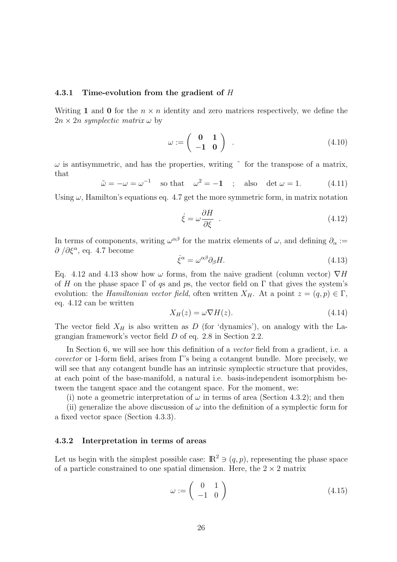#### 4.3.1 Time-evolution from the gradient of H

Writing 1 and 0 for the  $n \times n$  identity and zero matrices respectively, we define the  $2n \times 2n$  symplectic matrix  $\omega$  by

$$
\omega := \left(\begin{array}{cc} \mathbf{0} & \mathbf{1} \\ -\mathbf{1} & \mathbf{0} \end{array}\right) \tag{4.10}
$$

 $\omega$  is antisymmetric, and has the properties, writing  $\tilde{\phantom{a}}$  for the transpose of a matrix, that

$$
\tilde{\omega} = -\omega = \omega^{-1} \quad \text{so that} \quad \omega^2 = -1 \quad ; \quad \text{also} \quad \det \omega = 1. \tag{4.11}
$$

Using  $\omega$ , Hamilton's equations eq. 4.7 get the more symmetric form, in matrix notation

$$
\dot{\xi} = \omega \frac{\partial H}{\partial \xi} \quad . \tag{4.12}
$$

In terms of components, writing  $\omega^{\alpha\beta}$  for the matrix elements of  $\omega$ , and defining  $\partial_{\alpha}$  :=  $\partial/\partial \xi^{\alpha}$ , eq. 4.7 become

$$
\dot{\xi}^{\alpha} = \omega^{\alpha\beta} \partial_{\beta} H. \tag{4.13}
$$

Eq. 4.12 and 4.13 show how  $\omega$  forms, from the naive gradient (column vector)  $\nabla H$ of H on the phase space  $\Gamma$  of qs and ps, the vector field on  $\Gamma$  that gives the system's evolution: the *Hamiltonian vector field*, often written  $X_H$ . At a point  $z = (q, p) \in \Gamma$ , eq. 4.12 can be written

$$
X_H(z) = \omega \nabla H(z). \tag{4.14}
$$

The vector field  $X_H$  is also written as D (for 'dynamics'), on analogy with the Lagrangian framework's vector field D of eq. 2.8 in Section 2.2.

In Section 6, we will see how this definition of a *vector* field from a gradient, i.e. a covector or 1-form field, arises from Γ's being a cotangent bundle. More precisely, we will see that any cotangent bundle has an intrinsic symplectic structure that provides, at each point of the base-manifold, a natural i.e. basis-independent isomorphism between the tangent space and the cotangent space. For the moment, we:

(i) note a geometric interpretation of  $\omega$  in terms of area (Section 4.3.2); and then

(ii) generalize the above discussion of  $\omega$  into the definition of a symplectic form for a fixed vector space (Section 4.3.3).

#### 4.3.2 Interpretation in terms of areas

Let us begin with the simplest possible case:  $\mathbb{R}^2 \ni (q, p)$ , representing the phase space of a particle constrained to one spatial dimension. Here, the  $2 \times 2$  matrix

$$
\omega := \left(\begin{array}{cc} 0 & 1\\ -1 & 0 \end{array}\right) \tag{4.15}
$$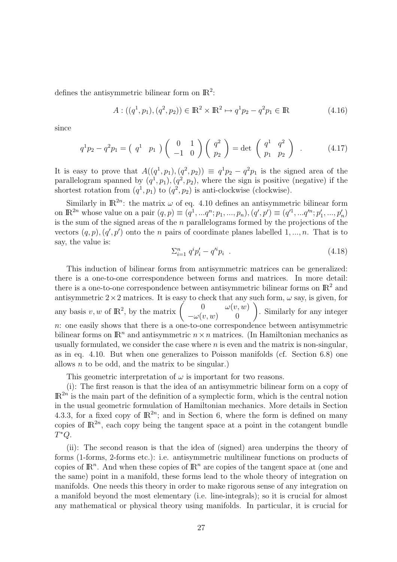defines the antisymmetric bilinear form on  $\mathbb{R}^2$ :

$$
A: ((q1, p1), (q2, p2)) \in \mathbb{R}^2 \times \mathbb{R}^2 \mapsto q1p2 - q2p1 \in \mathbb{R}
$$
 (4.16)

since

$$
q^{1}p_{2}-q^{2}p_{1}=\left(\begin{array}{cc}q^{1} & p_{1}\end{array}\right)\left(\begin{array}{cc}0 & 1\\-1 & 0\end{array}\right)\left(\begin{array}{c}q^{2}\\p_{2}\end{array}\right)=\det\left(\begin{array}{cc}q^{1} & q^{2}\\p_{1} & p_{2}\end{array}\right) . \tag{4.17}
$$

It is easy to prove that  $A((q<sup>1</sup>, p<sub>1</sub>), (q<sup>2</sup>, p<sub>2</sub>)) \equiv q<sup>1</sup>p<sub>2</sub> - q<sup>2</sup>p<sub>1</sub>$  is the signed area of the parallelogram spanned by  $(q<sup>1</sup>, p<sub>1</sub>), (q<sup>2</sup>, p<sub>2</sub>)$ , where the sign is positive (negative) if the shortest rotation from  $(q^1, p_1)$  to  $(q^2, p_2)$  is anti-clockwise (clockwise).

Similarly in  $\mathbb{R}^{2n}$ : the matrix  $\omega$  of eq. 4.10 defines an antisymmetric bilinear form on  $\mathbb{R}^{2n}$  whose value on a pair  $(q, p) \equiv (q^1, ..., q^n; p_1, ..., p_n), (q', p') \equiv (q'^1, ..., q'^n; p'_1, ..., p'_n)$ is the sum of the signed areas of the  $n$  parallelograms formed by the projections of the vectors  $(q, p), (q', p')$  onto the *n* pairs of coordinate planes labelled 1, ..., *n*. That is to say, the value is:

$$
\sum_{i=1}^{n} q^{i} p'_{i} - q'^{i} p_{i} \quad . \tag{4.18}
$$

This induction of bilinear forms from antisymmetric matrices can be generalized: there is a one-to-one correspondence between forms and matrices. In more detail: there is a one-to-one correspondence between antisymmetric bilinear forms on  $\mathbb{R}^2$  and antisymmetric  $2 \times 2$  matrices. It is easy to check that any such form,  $\omega$  say, is given, for antisymmetric 2 × 2 matrices. It is easy to check that any<br>any basis v, w of  $\mathbb{R}^2$ , by the matrix  $\begin{pmatrix} 0 & \omega(v, w) \\ \omega(v, w) & 0 \end{pmatrix}$ to check that any such form,  $\omega$  say, is given, for<br>  $\begin{pmatrix} 0 & \omega(v, w) \\ -\omega(v, w) & 0 \end{pmatrix}$ . Similarly for any integer n: one easily shows that there is a one-to-one correspondence between antisymmetric bilinear forms on  $\mathbb{R}^n$  and antisymmetric  $n \times n$  matrices. (In Hamiltonian mechanics as usually formulated, we consider the case where  $n$  is even and the matrix is non-singular, as in eq. 4.10. But when one generalizes to Poisson manifolds (cf. Section 6.8) one allows  $n$  to be odd, and the matrix to be singular.)

This geometric interpretation of  $\omega$  is important for two reasons.

(i): The first reason is that the idea of an antisymmetric bilinear form on a copy of  $\mathbb{R}^{2n}$  is the main part of the definition of a symplectic form, which is the central notion in the usual geometric formulation of Hamiltonian mechanics. More details in Section 4.3.3, for a fixed copy of  $\mathbb{R}^{2n}$ ; and in Section 6, where the form is defined on many copies of  $\mathbb{R}^{2n}$ , each copy being the tangent space at a point in the cotangent bundle  $T^*Q$ .

(ii): The second reason is that the idea of (signed) area underpins the theory of forms (1-forms, 2-forms etc.): i.e. antisymmetric multilinear functions on products of copies of  $\mathbb{R}^n$ . And when these copies of  $\mathbb{R}^n$  are copies of the tangent space at (one and the same) point in a manifold, these forms lead to the whole theory of integration on manifolds. One needs this theory in order to make rigorous sense of any integration on a manifold beyond the most elementary (i.e. line-integrals); so it is crucial for almost any mathematical or physical theory using manifolds. In particular, it is crucial for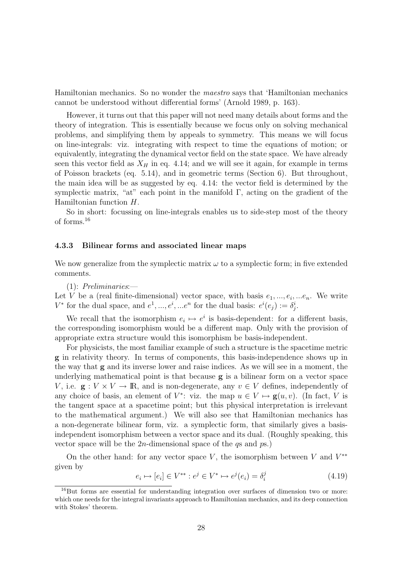Hamiltonian mechanics. So no wonder the maestro says that 'Hamiltonian mechanics cannot be understood without differential forms' (Arnold 1989, p. 163).

However, it turns out that this paper will not need many details about forms and the theory of integration. This is essentially because we focus only on solving mechanical problems, and simplifying them by appeals to symmetry. This means we will focus on line-integrals: viz. integrating with respect to time the equations of motion; or equivalently, integrating the dynamical vector field on the state space. We have already seen this vector field as  $X_H$  in eq. 4.14; and we will see it again, for example in terms of Poisson brackets (eq. 5.14), and in geometric terms (Section 6). But throughout, the main idea will be as suggested by eq. 4.14: the vector field is determined by the symplectic matrix, "at" each point in the manifold  $\Gamma$ , acting on the gradient of the Hamiltonian function H.

So in short: focussing on line-integrals enables us to side-step most of the theory of forms.<sup>16</sup>

#### 4.3.3 Bilinear forms and associated linear maps

We now generalize from the symplectic matrix  $\omega$  to a symplectic form; in five extended comments.

(1): Preliminaries:—

Let V be a (real finite-dimensional) vector space, with basis  $e_1, ..., e_i, ...e_n$ . We write  $V^*$  for the dual space, and  $e^1, ..., e^i, ...e^n$  for the dual basis:  $e^i(e_j) := \delta_j^i$ .

We recall that the isomorphism  $e_i \mapsto e^i$  is basis-dependent: for a different basis, the corresponding isomorphism would be a different map. Only with the provision of appropriate extra structure would this isomorphism be basis-independent.

For physicists, the most familiar example of such a structure is the spacetime metric g in relativity theory. In terms of components, this basis-independence shows up in the way that g and its inverse lower and raise indices. As we will see in a moment, the underlying mathematical point is that because g is a bilinear form on a vector space V, i.e.  $\mathbf{g}: V \times V \to \mathbb{R}$ , and is non-degenerate, any  $v \in V$  defines, independently of any choice of basis, an element of  $V^*$ : viz. the map  $u \in V \mapsto \mathbf{g}(u, v)$ . (In fact, V is the tangent space at a spacetime point; but this physical interpretation is irrelevant to the mathematical argument.) We will also see that Hamiltonian mechanics has a non-degenerate bilinear form, viz. a symplectic form, that similarly gives a basisindependent isomorphism between a vector space and its dual. (Roughly speaking, this vector space will be the 2*n*-dimensional space of the  $q_s$  and  $p_s$ .)

On the other hand: for any vector space  $V$ , the isomorphism between  $V$  and  $V^{**}$ given by

$$
e_i \mapsto [e_i] \in V^{**} : e^j \in V^* \mapsto e^j(e_i) = \delta_i^j \tag{4.19}
$$

<sup>&</sup>lt;sup>16</sup>But forms are essential for understanding integration over surfaces of dimension two or more: which one needs for the integral invariants approach to Hamiltonian mechanics, and its deep connection with Stokes' theorem.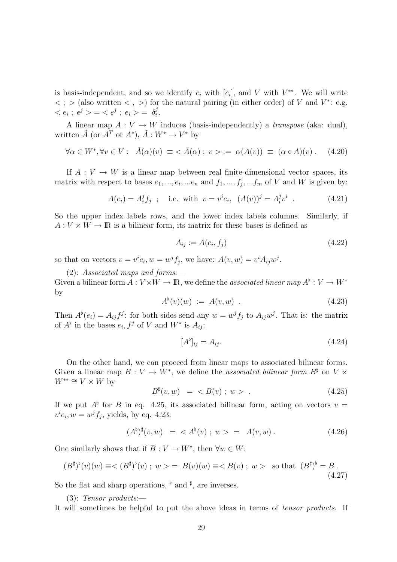is basis-independent, and so we identify  $e_i$  with  $[e_i]$ , and V with  $V^{**}$ . We will write  $\langle \cdot \rangle$  (also written  $\langle \cdot \rangle$ ) for the natural pairing (in either order) of V and V<sup>\*</sup>: e.g.  $\langle e_i; e^j \rangle = \langle e^j; e_i \rangle = \delta_i^j$  $\frac{j}{i}$  .

A linear map  $A: V \to W$  induces (basis-independently) a *transpose* (aka: dual), written  $\tilde{A}$  (or  $\tilde{A}^T$  or  $A^*$ ),  $\tilde{A}: W^* \to V^*$  by

$$
\forall \alpha \in W^*, \forall v \in V: \ \tilde{A}(\alpha)(v) \equiv \langle \tilde{A}(\alpha); v \rangle := \alpha(A(v)) \equiv (\alpha \circ A)(v). \tag{4.20}
$$

If  $A: V \to W$  is a linear map between real finite-dimensional vector spaces, its matrix with respect to bases  $e_1, ..., e_i, ...e_n$  and  $f_1, ..., f_j, ...f_m$  of V and W is given by:

$$
A(e_i) = A_i^j f_j
$$
; i.e. with  $v = v^i e_i$ ,  $(A(v))^j = A_i^j v^i$ . (4.21)

So the upper index labels rows, and the lower index labels columns. Similarly, if  $A: V \times W \to \mathbb{R}$  is a bilinear form, its matrix for these bases is defined as

$$
A_{ij} := A(e_i, f_j) \tag{4.22}
$$

so that on vectors  $v = v^i e_i$ ,  $w = w^j f_j$ , we have:  $A(v, w) = v^i A_{ij} w^j$ .

(2): Associated maps and forms:— Given a bilinear form  $A: V \times W \to \mathbb{R}$ , we define the *associated linear map*  $A^{\flat}: V \to W^*$ by

$$
A^{\flat}(v)(w) := A(v, w) . \t\t(4.23)
$$

Then  $A^{\flat}(e_i) = A_{ij} f^j$ : for both sides send any  $w = w^j f_j$  to  $A_{ij} w^j$ . That is: the matrix of  $A^{\flat}$  in the bases  $e_i, f^j$  of V and  $W^*$  is  $A_{ij}$ :

$$
[A^{\flat}]_{ij} = A_{ij}.\tag{4.24}
$$

On the other hand, we can proceed from linear maps to associated bilinear forms. Given a linear map  $B: V \to W^*$ , we define the *associated bilinear form*  $B^{\sharp}$  on  $V \times$  $W^{**} \cong V \times W$  by

$$
B^{\sharp}(v, w) = \langle B(v) ; w \rangle . \tag{4.25}
$$

If we put  $A^{\flat}$  for B in eq. 4.25, its associated bilinear form, acting on vectors  $v =$  $v^i e_i, w = w^j f_j$ , yields, by eq. 4.23:

$$
(A^{\flat})^{\sharp}(v, w) = \langle A^{\flat}(v) ; w \rangle = A(v, w) . \tag{4.26}
$$

One similarly shows that if  $B: V \to W^*$ , then  $\forall w \in W$ :

$$
(B^{\sharp})^{\flat}(v)(w) \equiv \langle (B^{\sharp})^{\flat}(v) \; ; \; w \rangle = B(v)(w) \equiv \langle B(v) \; ; \; w \rangle \quad \text{so that} \quad (B^{\sharp})^{\flat} = B \; . \tag{4.27}
$$

So the flat and sharp operations,  $\flat$  and  $\sharp$ , are inverses.

 $(3)$ : Tensor products:

It will sometimes be helpful to put the above ideas in terms of tensor products. If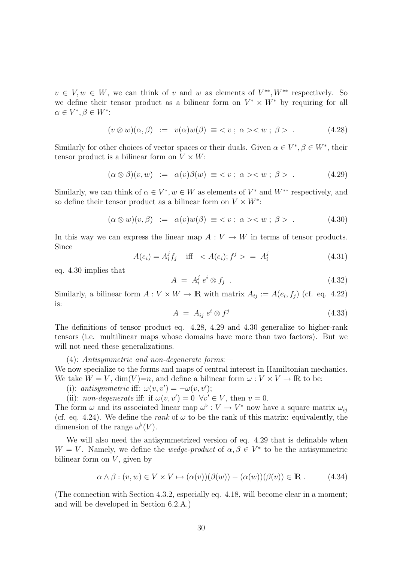$v \in V, w \in W$ , we can think of v and w as elements of  $V^{**}, W^{**}$  respectively. So we define their tensor product as a bilinear form on  $V^* \times W^*$  by requiring for all  $\alpha \in V^*, \beta \in W^*$ :

$$
(v \otimes w)(\alpha, \beta) := v(\alpha)w(\beta) \equiv \langle v \, ; \, \alpha \rangle \langle w \, ; \, \beta \rangle \tag{4.28}
$$

Similarly for other choices of vector spaces or their duals. Given  $\alpha \in V^*, \beta \in W^*$ , their tensor product is a bilinear form on  $V \times W$ :

$$
(\alpha \otimes \beta)(v, w) := \alpha(v)\beta(w) \equiv \langle v \, ; \, \alpha \rangle \langle w \, ; \, \beta \rangle \tag{4.29}
$$

Similarly, we can think of  $\alpha \in V^*$ ,  $w \in W$  as elements of  $V^*$  and  $W^{**}$  respectively, and so define their tensor product as a bilinear form on  $V \times W^*$ :

$$
(\alpha \otimes w)(v, \beta) := \alpha(v)w(\beta) \equiv \langle v \, ; \, \alpha \rangle \langle w \, ; \, \beta \rangle \tag{4.30}
$$

In this way we can express the linear map  $A: V \to W$  in terms of tensor products. Since

$$
A(e_i) = A_i^j f_j \quad \text{iff} \quad A(e_i); f^j > = A_i^j \tag{4.31}
$$

eq. 4.30 implies that

$$
A = A_i^j e^i \otimes f_j \tag{4.32}
$$

Similarly, a bilinear form  $A: V \times W \to \mathbb{R}$  with matrix  $A_{ij} := A(e_i, f_j)$  (cf. eq. 4.22) is:

$$
A = A_{ij} e^i \otimes f^j \tag{4.33}
$$

The definitions of tensor product eq. 4.28, 4.29 and 4.30 generalize to higher-rank tensors (i.e. multilinear maps whose domains have more than two factors). But we will not need these generalizations.

(4): Antisymmetric and non-degenerate forms:—

We now specialize to the forms and maps of central interest in Hamiltonian mechanics. We take  $W = V$ , dim(V)=n, and define a bilinear form  $\omega : V \times V \to \mathbb{R}$  to be:

- (i): antisymmetric iff:  $\omega(v, v') = -\omega(v, v');$
- (ii): non-degenerate iff: if  $\omega(v, v') = 0 \ \forall v' \in V$ , then  $v = 0$ .

The form  $\omega$  and its associated linear map  $\omega^{\flat}: V \to V^*$  now have a square matrix  $\omega_{ij}$ (cf. eq. 4.24). We define the rank of  $\omega$  to be the rank of this matrix: equivalently, the dimension of the range  $\omega^{\flat}(V)$ .

We will also need the antisymmetrized version of eq. 4.29 that is definable when  $W = V$ . Namely, we define the *wedge-product* of  $\alpha, \beta \in V^*$  to be the antisymmetric bilinear form on  $V$ , given by

$$
\alpha \wedge \beta : (v, w) \in V \times V \mapsto (\alpha(v))(\beta(w)) - (\alpha(w))(\beta(v)) \in \mathbb{R}.
$$
 (4.34)

(The connection with Section 4.3.2, especially eq. 4.18, will become clear in a moment; and will be developed in Section 6.2.A.)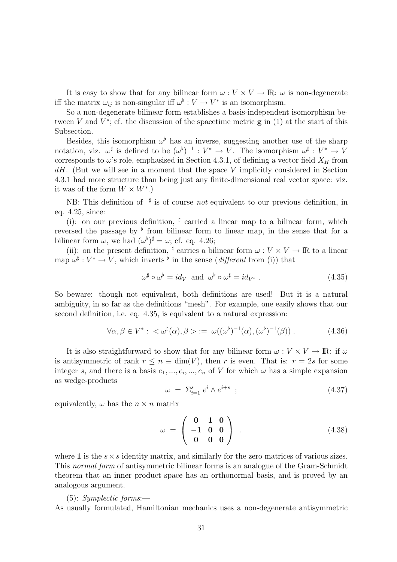It is easy to show that for any bilinear form  $\omega : V \times V \to \mathbb{R}$ :  $\omega$  is non-degenerate iff the matrix  $\omega_{ij}$  is non-singular iff  $\omega^{\flat}: V \to V^*$  is an isomorphism.

So a non-degenerate bilinear form establishes a basis-independent isomorphism between V and  $V^*$ ; cf. the discussion of the spacetime metric  $g$  in (1) at the start of this Subsection.

Besides, this isomorphism  $\omega^{\flat}$  has an inverse, suggesting another use of the sharp notation, viz.  $\omega^{\sharp}$  is defined to be  $(\omega^{\flat})^{-1}: V^* \to V$ . The isomorphism  $\omega^{\sharp}: V^* \to V$ corresponds to  $\omega$ 's role, emphasised in Section 4.3.1, of defining a vector field  $X_H$  from  $dH$ . (But we will see in a moment that the space V implicitly considered in Section 4.3.1 had more structure than being just any finite-dimensional real vector space: viz. it was of the form  $W \times W^*$ .)

NB: This definition of  $\sharp$  is of course not equivalent to our previous definition, in eq. 4.25, since:

(i): on our previous definition,  $\sharp$  carried a linear map to a bilinear form, which reversed the passage by  $\flat$  from bilinear form to linear map, in the sense that for a bilinear form  $\omega$ , we had  $({\omega}^{\flat})^{\sharp} = \omega$ ; cf. eq. 4.26;

(ii): on the present definition,  $^{\sharp}$  carries a bilinear form  $\omega : V \times V \to \mathbb{R}$  to a linear map  $\omega^{\sharp}: V^* \to V$ , which inverts <sup>b</sup> in the sense (*different* from (i)) that

$$
\omega^{\sharp} \circ \omega^{\flat} = id_{V} \text{ and } \omega^{\flat} \circ \omega^{\sharp} = id_{V^*} . \tag{4.35}
$$

So beware: though not equivalent, both definitions are used! But it is a natural ambiguity, in so far as the definitions "mesh". For example, one easily shows that our second definition, i.e. eq. 4.35, is equivalent to a natural expression:

$$
\forall \alpha, \beta \in V^* : \langle \omega^\sharp(\alpha), \beta \rangle := \omega((\omega^\flat)^{-1}(\alpha), (\omega^\flat)^{-1}(\beta)). \tag{4.36}
$$

It is also straightforward to show that for any bilinear form  $\omega : V \times V \to \mathbb{R}$ : if  $\omega$ is antisymmetric of rank  $r \leq n \equiv \dim(V)$ , then r is even. That is:  $r = 2s$  for some integer s, and there is a basis  $e_1, ..., e_i, ..., e_n$  of V for which  $\omega$  has a simple expansion as wedge-products

$$
\omega = \sum_{i=1}^{s} e^i \wedge e^{i+s} \tag{4.37}
$$

equivalently,  $\omega$  has the  $n \times n$  matrix

$$
\omega = \left(\begin{array}{ccc} 0 & 1 & 0 \\ -1 & 0 & 0 \\ 0 & 0 & 0 \end{array}\right) . \tag{4.38}
$$

where 1 is the  $s \times s$  identity matrix, and similarly for the zero matrices of various sizes. This normal form of antisymmetric bilinear forms is an analogue of the Gram-Schmidt theorem that an inner product space has an orthonormal basis, and is proved by an analogous argument.

#### $(5)$ : Symplectic forms:

As usually formulated, Hamiltonian mechanics uses a non-degenerate antisymmetric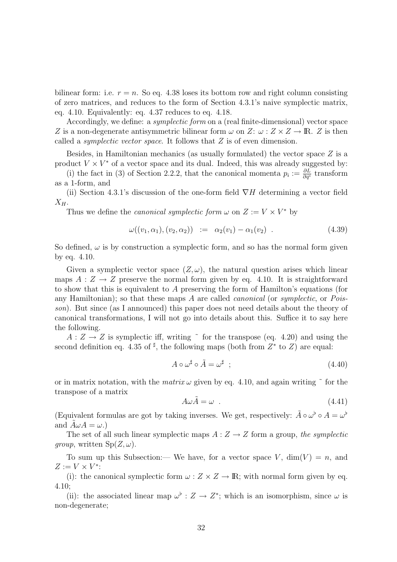bilinear form: i.e.  $r = n$ . So eq. 4.38 loses its bottom row and right column consisting of zero matrices, and reduces to the form of Section 4.3.1's naive symplectic matrix, eq. 4.10. Equivalently: eq. 4.37 reduces to eq. 4.18.

Accordingly, we define: a symplectic form on a (real finite-dimensional) vector space Z is a non-degenerate antisymmetric bilinear form  $\omega$  on Z:  $\omega$  :  $Z \times Z \rightarrow \mathbb{R}$ . Z is then called a *symplectic vector space*. It follows that  $Z$  is of even dimension.

Besides, in Hamiltonian mechanics (as usually formulated) the vector space  $Z$  is a product  $V \times V^*$  of a vector space and its dual. Indeed, this was already suggested by:

(i) the fact in (3) of Section 2.2.2, that the canonical momenta  $p_i := \frac{\partial L}{\partial \dot{q}^i}$  transform as a 1-form, and

(ii) Section 4.3.1's discussion of the one-form field  $\nabla H$  determining a vector field  $X_H$ .

Thus we define the *canonical symplectic form*  $\omega$  on  $Z := V \times V^*$  by

$$
\omega((v_1, \alpha_1), (v_2, \alpha_2)) := \alpha_2(v_1) - \alpha_1(v_2) . \qquad (4.39)
$$

So defined,  $\omega$  is by construction a symplectic form, and so has the normal form given by eq. 4.10.

Given a symplectic vector space  $(Z, \omega)$ , the natural question arises which linear maps  $A: Z \to Z$  preserve the normal form given by eq. 4.10. It is straightforward to show that this is equivalent to A preserving the form of Hamilton's equations (for any Hamiltonian); so that these maps  $A$  are called *canonical* (or *symplectic*, or *Pois*son). But since (as I announced) this paper does not need details about the theory of canonical transformations, I will not go into details about this. Suffice it to say here the following.

 $A: Z \to Z$  is symplectic iff, writing  $\tilde{\ }$  for the transpose (eq. 4.20) and using the second definition eq. 4.35 of  $\frac{1}{r}$ , the following maps (both from  $Z^*$  to  $Z$ ) are equal:

$$
A \circ \omega^{\sharp} \circ \tilde{A} = \omega^{\sharp} \quad ; \tag{4.40}
$$

or in matrix notation, with the *matrix*  $\omega$  given by eq. 4.10, and again writing  $\tilde{ }$  for the transpose of a matrix

$$
A\omega \tilde{A} = \omega \quad . \tag{4.41}
$$

(Equivalent formulas are got by taking inverses. We get, respectively:  $\tilde{A} \circ \omega^{\flat} \circ A = \omega^{\flat}$ and  $A\omega A = \omega$ .)

The set of all such linear symplectic maps  $A: Z \to Z$  form a group, the symplectic *group*, written  $Sp(Z, \omega)$ .

To sum up this Subsection:— We have, for a vector space V,  $\dim(V) = n$ , and  $Z := V \times V^*$ :

(i): the canonical symplectic form  $\omega : Z \times Z \to \mathbb{R}$ ; with normal form given by eq. 4.10;

(ii): the associated linear map  $\omega^{\flat}: Z \to Z^*$ ; which is an isomorphism, since  $\omega$  is non-degenerate;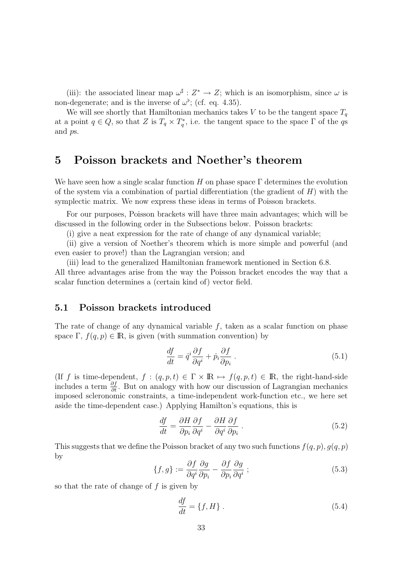(iii): the associated linear map  $\omega^{\sharp}: Z^* \to Z$ ; which is an isomorphism, since  $\omega$  is non-degenerate; and is the inverse of  $\omega^{\flat}$ ; (cf. eq. 4.35).

We will see shortly that Hamiltonian mechanics takes V to be the tangent space  $T_q$ at a point  $q \in Q$ , so that Z is  $T_q \times T_q^*$ , i.e. the tangent space to the space  $\Gamma$  of the qs and ps.

# 5 Poisson brackets and Noether's theorem

We have seen how a single scalar function  $H$  on phase space  $\Gamma$  determines the evolution of the system via a combination of partial differentiation (the gradient of  $H$ ) with the symplectic matrix. We now express these ideas in terms of Poisson brackets.

For our purposes, Poisson brackets will have three main advantages; which will be discussed in the following order in the Subsections below. Poisson brackets:

(i) give a neat expression for the rate of change of any dynamical variable;

(ii) give a version of Noether's theorem which is more simple and powerful (and even easier to prove!) than the Lagrangian version; and

(iii) lead to the generalized Hamiltonian framework mentioned in Section 6.8. All three advantages arise from the way the Poisson bracket encodes the way that a scalar function determines a (certain kind of) vector field.

# 5.1 Poisson brackets introduced

The rate of change of any dynamical variable f, taken as a scalar function on phase space  $\Gamma$ ,  $f(q, p) \in \mathbb{R}$ , is given (with summation convention) by

$$
\frac{df}{dt} = \dot{q}^i \frac{\partial f}{\partial q^i} + \dot{p}_i \frac{\partial f}{\partial p_i} \,. \tag{5.1}
$$

(If f is time-dependent,  $f : (q, p, t) \in \Gamma \times \mathbb{R} \mapsto f(q, p, t) \in \mathbb{R}$ , the right-hand-side includes a term  $\frac{\partial f}{\partial t}$ . But on analogy with how our discussion of Lagrangian mechanics imposed scleronomic constraints, a time-independent work-function etc., we here set aside the time-dependent case.) Applying Hamilton's equations, this is

$$
\frac{df}{dt} = \frac{\partial H}{\partial p_i} \frac{\partial f}{\partial q^i} - \frac{\partial H}{\partial q^i} \frac{\partial f}{\partial p_i} \tag{5.2}
$$

This suggests that we define the Poisson bracket of any two such functions  $f(q, p), g(q, p)$ by

$$
\{f,g\} := \frac{\partial f}{\partial q^i} \frac{\partial g}{\partial p_i} - \frac{\partial f}{\partial p_i} \frac{\partial g}{\partial q^i} ;\tag{5.3}
$$

so that the rate of change of  $f$  is given by

$$
\frac{df}{dt} = \{f, H\} \tag{5.4}
$$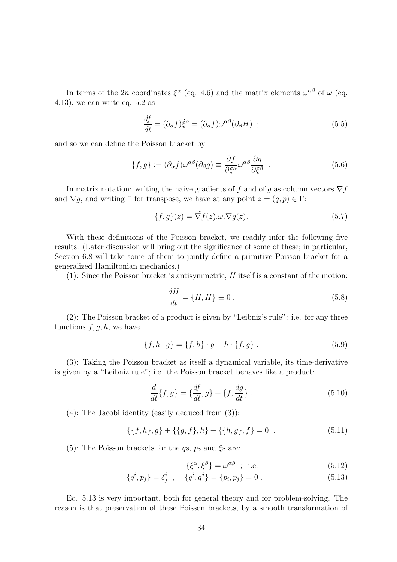In terms of the 2n coordinates  $\xi^{\alpha}$  (eq. 4.6) and the matrix elements  $\omega^{\alpha\beta}$  of  $\omega$  (eq. 4.13), we can write eq. 5.2 as

$$
\frac{df}{dt} = (\partial_{\alpha}f)\dot{\xi}^{\alpha} = (\partial_{\alpha}f)\omega^{\alpha\beta}(\partial_{\beta}H) ; \qquad (5.5)
$$

and so we can define the Poisson bracket by

$$
\{f,g\} := (\partial_{\alpha}f)\omega^{\alpha\beta}(\partial_{\beta}g) \equiv \frac{\partial f}{\partial \xi^{\alpha}}\omega^{\alpha\beta}\frac{\partial g}{\partial \xi^{\beta}} . \tag{5.6}
$$

In matrix notation: writing the naive gradients of f and of g as column vectors  $\nabla f$ and  $\nabla g$ , and writing  $\tilde{ }$  for transpose, we have at any point  $z = (q, p) \in \Gamma$ :

$$
\{f,g\}(z) = \tilde{\nabla}f(z)\cdot\omega \cdot \nabla g(z). \tag{5.7}
$$

With these definitions of the Poisson bracket, we readily infer the following five results. (Later discussion will bring out the significance of some of these; in particular, Section 6.8 will take some of them to jointly define a primitive Poisson bracket for a generalized Hamiltonian mechanics.)

 $(1)$ : Since the Poisson bracket is antisymmetric, H itself is a constant of the motion:

$$
\frac{dH}{dt} = \{H, H\} \equiv 0.
$$
\n<sup>(5.8)</sup>

(2): The Poisson bracket of a product is given by "Leibniz's rule": i.e. for any three functions  $f, g, h$ , we have

$$
\{f, h \cdot g\} = \{f, h\} \cdot g + h \cdot \{f, g\} . \tag{5.9}
$$

(3): Taking the Poisson bracket as itself a dynamical variable, its time-derivative is given by a "Leibniz rule"; i.e. the Poisson bracket behaves like a product:

$$
\frac{d}{dt}\{f,g\} = \{\frac{df}{dt},g\} + \{f,\frac{dg}{dt}\} \,.
$$
\n(5.10)

(4): The Jacobi identity (easily deduced from (3)):

$$
\{\{f,h\},g\} + \{\{g,f\},h\} + \{\{h,g\},f\} = 0
$$
\n(5.11)

(5): The Poisson brackets for the  $q_s$ ,  $p_s$  and  $\xi_s$  are:

$$
\{\xi^{\alpha}, \xi^{\beta}\} = \omega^{\alpha\beta} \quad ; \quad \text{i.e.} \tag{5.12}
$$

$$
\{q^i, p_j\} = \delta^i_j \ , \quad \{q^i, q^j\} = \{p_i, p_j\} = 0 \ . \tag{5.13}
$$

Eq. 5.13 is very important, both for general theory and for problem-solving. The reason is that preservation of these Poisson brackets, by a smooth transformation of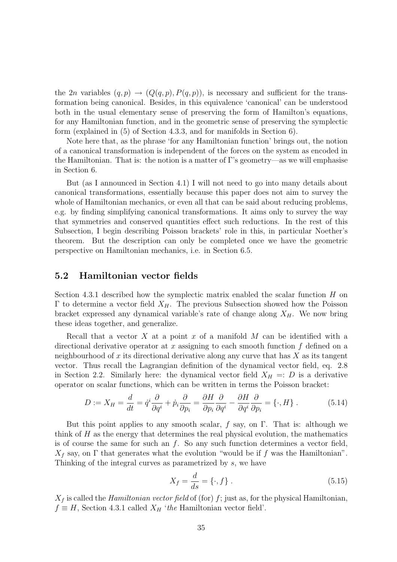the 2n variables  $(q, p) \rightarrow (Q(q, p), P(q, p))$ , is necessary and sufficient for the transformation being canonical. Besides, in this equivalence 'canonical' can be understood both in the usual elementary sense of preserving the form of Hamilton's equations, for any Hamiltonian function, and in the geometric sense of preserving the symplectic form (explained in (5) of Section 4.3.3, and for manifolds in Section 6).

Note here that, as the phrase 'for any Hamiltonian function' brings out, the notion of a canonical transformation is independent of the forces on the system as encoded in the Hamiltonian. That is: the notion is a matter of Γ's geometry—as we will emphasise in Section 6.

But (as I announced in Section 4.1) I will not need to go into many details about canonical transformations, essentially because this paper does not aim to survey the whole of Hamiltonian mechanics, or even all that can be said about reducing problems, e.g. by finding simplifying canonical transformations. It aims only to survey the way that symmetries and conserved quantities effect such reductions. In the rest of this Subsection, I begin describing Poisson brackets' role in this, in particular Noether's theorem. But the description can only be completed once we have the geometric perspective on Hamiltonian mechanics, i.e. in Section 6.5.

# 5.2 Hamiltonian vector fields

Section 4.3.1 described how the symplectic matrix enabled the scalar function  $H$  on Γ to determine a vector field  $X<sub>H</sub>$ . The previous Subsection showed how the Poisson bracket expressed any dynamical variable's rate of change along  $X_H$ . We now bring these ideas together, and generalize.

Recall that a vector X at a point x of a manifold M can be identified with a directional derivative operator at x assigning to each smooth function  $f$  defined on a neighbourhood of x its directional derivative along any curve that has  $X$  as its tangent vector. Thus recall the Lagrangian definition of the dynamical vector field, eq. 2.8 in Section 2.2. Similarly here: the dynamical vector field  $X_H =: D$  is a derivative operator on scalar functions, which can be written in terms the Poisson bracket:

$$
D := X_H = \frac{d}{dt} = \dot{q}^i \frac{\partial}{\partial q^i} + \dot{p}_i \frac{\partial}{\partial p_i} = \frac{\partial H}{\partial p_i} \frac{\partial}{\partial q^i} - \frac{\partial H}{\partial q^i} \frac{\partial}{\partial p_i} = \{\cdot, H\}.
$$
 (5.14)

But this point applies to any smooth scalar, f say, on  $\Gamma$ . That is: although we think of  $H$  as the energy that determines the real physical evolution, the mathematics is of course the same for such an  $f$ . So any such function determines a vector field,  $X_f$  say, on  $\Gamma$  that generates what the evolution "would be if f was the Hamiltonian". Thinking of the integral curves as parametrized by s, we have

$$
X_f = \frac{d}{ds} = \{\cdot, f\} \ . \tag{5.15}
$$

 $X_f$  is called the Hamiltonian vector field of (for) f; just as, for the physical Hamiltonian,  $f \equiv H$ , Section 4.3.1 called  $X_H$  'the Hamiltonian vector field'.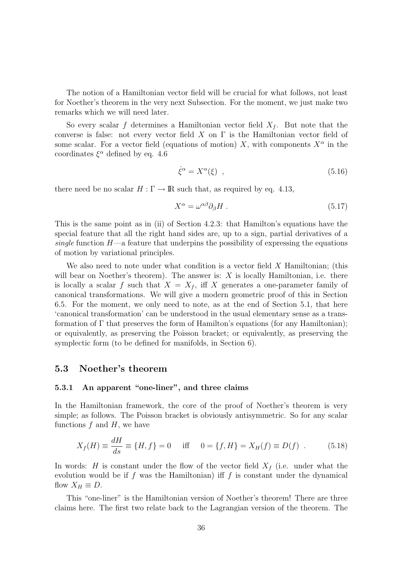The notion of a Hamiltonian vector field will be crucial for what follows, not least for Noether's theorem in the very next Subsection. For the moment, we just make two remarks which we will need later.

So every scalar f determines a Hamiltonian vector field  $X_f$ . But note that the converse is false: not every vector field X on  $\Gamma$  is the Hamiltonian vector field of some scalar. For a vector field (equations of motion) X, with components  $X^{\alpha}$  in the coordinates  $\xi^{\alpha}$  defined by eq. 4.6

$$
\dot{\xi}^{\alpha} = X^{\alpha}(\xi) \quad , \tag{5.16}
$$

there need be no scalar  $H : \Gamma \to \mathbb{R}$  such that, as required by eq. 4.13,

$$
X^{\alpha} = \omega^{\alpha\beta} \partial_{\beta} H . \tag{5.17}
$$

This is the same point as in (ii) of Section 4.2.3: that Hamilton's equations have the special feature that all the right hand sides are, up to a sign, partial derivatives of a single function  $H$ —a feature that underpins the possibility of expressing the equations of motion by variational principles.

We also need to note under what condition is a vector field  $X$  Hamiltonian; (this will bear on Noether's theorem). The answer is:  $X$  is locally Hamiltonian, i.e. there is locally a scalar f such that  $X = X_f$ , iff X generates a one-parameter family of canonical transformations. We will give a modern geometric proof of this in Section 6.5. For the moment, we only need to note, as at the end of Section 5.1, that here 'canonical transformation' can be understood in the usual elementary sense as a transformation of Γ that preserves the form of Hamilton's equations (for any Hamiltonian); or equivalently, as preserving the Poisson bracket; or equivalently, as preserving the symplectic form (to be defined for manifolds, in Section 6).

### 5.3 Noether's theorem

#### 5.3.1 An apparent "one-liner", and three claims

In the Hamiltonian framework, the core of the proof of Noether's theorem is very simple; as follows. The Poisson bracket is obviously antisymmetric. So for any scalar functions  $f$  and  $H$ , we have

$$
X_f(H) \equiv \frac{dH}{ds} \equiv \{H, f\} = 0 \quad \text{iff} \quad 0 = \{f, H\} = X_H(f) \equiv D(f) \quad . \tag{5.18}
$$

In words: H is constant under the flow of the vector field  $X_f$  (i.e. under what the evolution would be if f was the Hamiltonian) iff f is constant under the dynamical flow  $X_H \equiv D$ .

This "one-liner" is the Hamiltonian version of Noether's theorem! There are three claims here. The first two relate back to the Lagrangian version of the theorem. The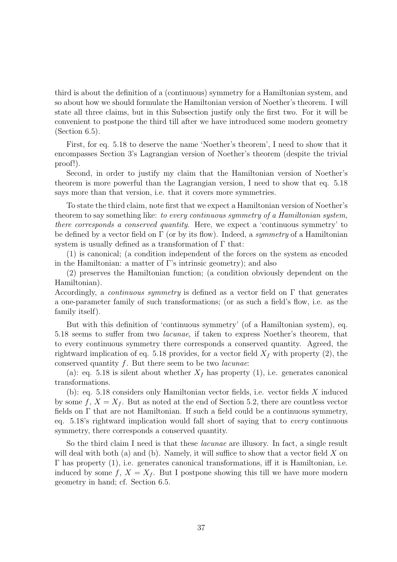third is about the definition of a (continuous) symmetry for a Hamiltonian system, and so about how we should formulate the Hamiltonian version of Noether's theorem. I will state all three claims, but in this Subsection justify only the first two. For it will be convenient to postpone the third till after we have introduced some modern geometry (Section 6.5).

First, for eq. 5.18 to deserve the name 'Noether's theorem', I need to show that it encompasses Section 3's Lagrangian version of Noether's theorem (despite the trivial proof!).

Second, in order to justify my claim that the Hamiltonian version of Noether's theorem is more powerful than the Lagrangian version, I need to show that eq. 5.18 says more than that version, i.e. that it covers more symmetries.

To state the third claim, note first that we expect a Hamiltonian version of Noether's theorem to say something like: to every continuous symmetry of a Hamiltonian system, there corresponds a conserved quantity. Here, we expect a 'continuous symmetry' to be defined by a vector field on  $\Gamma$  (or by its flow). Indeed, a *symmetry* of a Hamiltonian system is usually defined as a transformation of  $\Gamma$  that:

(1) is canonical; (a condition independent of the forces on the system as encoded in the Hamiltonian: a matter of Γ's intrinsic geometry); and also

(2) preserves the Hamiltonian function; (a condition obviously dependent on the Hamiltonian).

Accordingly, a *continuous symmetry* is defined as a vector field on  $\Gamma$  that generates a one-parameter family of such transformations; (or as such a field's flow, i.e. as the family itself).

But with this definition of 'continuous symmetry' (of a Hamiltonian system), eq. 5.18 seems to suffer from two lacunae, if taken to express Noether's theorem, that to every continuous symmetry there corresponds a conserved quantity. Agreed, the rightward implication of eq. 5.18 provides, for a vector field  $X_f$  with property (2), the conserved quantity  $f$ . But there seem to be two *lacunae*:

(a): eq. 5.18 is silent about whether  $X_f$  has property (1), i.e. generates canonical transformations.

(b): eq. 5.18 considers only Hamiltonian vector fields, i.e. vector fields X induced by some  $f, X = X_f$ . But as noted at the end of Section 5.2, there are countless vector fields on Γ that are not Hamiltonian. If such a field could be a continuous symmetry, eq. 5.18's rightward implication would fall short of saying that to every continuous symmetry, there corresponds a conserved quantity.

So the third claim I need is that these *lacunae* are illusory. In fact, a single result will deal with both (a) and (b). Namely, it will suffice to show that a vector field  $X$  on Γ has property (1), i.e. generates canonical transformations, iff it is Hamiltonian, i.e. induced by some f,  $X = X_f$ . But I postpone showing this till we have more modern geometry in hand; cf. Section 6.5.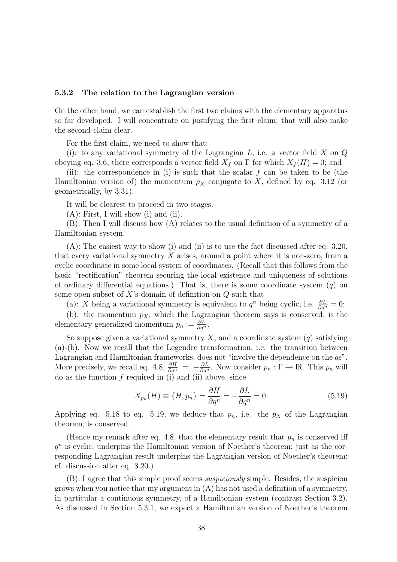#### 5.3.2 The relation to the Lagrangian version

On the other hand, we can establish the first two claims with the elementary apparatus so far developed. I will concentrate on justifying the first claim; that will also make the second claim clear.

For the first claim, we need to show that:

(i): to any variational symmetry of the Lagrangian  $L$ , i.e. a vector field  $X$  on  $Q$ obeying eq. 3.6, there corresponds a vector field  $X_f$  on  $\Gamma$  for which  $X_f(H) = 0$ ; and

(ii): the correspondence in (i) is such that the scalar  $f$  can be taken to be (the Hamiltonian version of) the momentum  $p<sub>X</sub>$  conjugate to X, defined by eq. 3.12 (or geometrically, by 3.31).

It will be clearest to proceed in two stages.

 $(A)$ : First, I will show (i) and (ii).

(B): Then I will discuss how (A) relates to the usual definition of a symmetry of a Hamiltonian system.

 $(A)$ : The easiest way to show (i) and (ii) is to use the fact discussed after eq. 3.20, that every variational symmetry  $X$  arises, around a point where it is non-zero, from a cyclic coordinate in some local system of coordinates. (Recall that this follows from the basic "rectification" theorem securing the local existence and uniqueness of solutions of ordinary differential equations.) That is, there is some coordinate system  $(q)$  on some open subset of  $X$ 's domain of definition on  $Q$  such that

(a): X being a variational symmetry is equivalent to  $q^n$  being cyclic, i.e.  $\frac{\partial L}{\partial q^n} = 0$ ;

(b): the momentum  $p_X$ , which the Lagrangian theorem says is conserved, is the elementary generalized momentum  $p_n := \frac{\partial L}{\partial \dot{q}^n}$ .

So suppose given a variational symmetry X, and a coordinate system  $(q)$  satisfying (a)-(b). Now we recall that the Legendre transformation, i.e. the transition between Lagrangian and Hamiltonian frameworks, does not "involve the dependence on the  $q\mathbf{s}$ ". More precisely, we recall eq. 4.8,  $\frac{\partial H}{\partial q^n} = -\frac{\partial L}{\partial q^n}$ . Now consider  $p_n : \Gamma \to \mathbb{R}$ . This  $p_n$  will do as the function  $f$  required in (i) and (ii) above, since

$$
X_{p_n}(H) \equiv \{H, p_n\} = \frac{\partial H}{\partial q^n} = -\frac{\partial L}{\partial q^n} = 0.
$$
\n(5.19)

Applying eq. 5.18 to eq. 5.19, we deduce that  $p_n$ , i.e. the  $p<sub>X</sub>$  of the Lagrangian theorem, is conserved.

(Hence my remark after eq. 4.8, that the elementary result that  $p_n$  is conserved iff  $q<sup>n</sup>$  is cyclic, underpins the Hamiltonian version of Noether's theorem; just as the corresponding Lagrangian result underpins the Lagrangian version of Noether's theorem: cf. discussion after eq. 3.20.)

(B): I agree that this simple proof seems suspiciously simple. Besides, the suspicion grows when you notice that my argument in  $(A)$  has not used a definition of a symmetry, in particular a continuous symmetry, of a Hamiltonian system (contrast Section 3.2). As discussed in Section 5.3.1, we expect a Hamiltonian version of Noether's theorem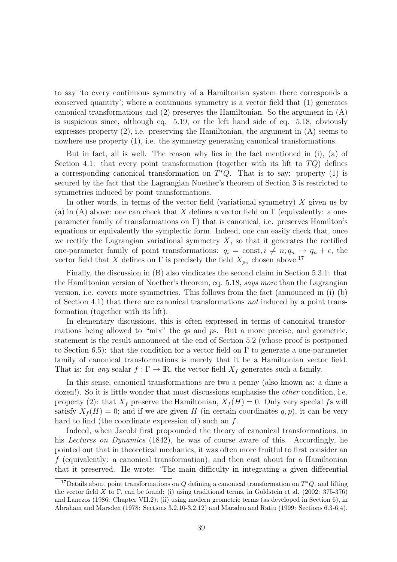to say 'to every continuous symmetry of a Hamiltonian system there corresponds a conserved quantity'; where a continuous symmetry is a vector field that (1) generates canonical transformations and (2) preserves the Hamiltonian. So the argument in (A) is suspicious since, although eq. 5.19, or the left hand side of eq. 5.18, obviously expresses property  $(2)$ , i.e. preserving the Hamiltonian, the argument in  $(A)$  seems to nowhere use property  $(1)$ , i.e. the symmetry generating canonical transformations.

But in fact, all is well. The reason why lies in the fact mentioned in (i), (a) of Section 4.1: that every point transformation (together with its lift to  $TQ$ ) defines a corresponding canonical transformation on  $T^*Q$ . That is to say: property (1) is secured by the fact that the Lagrangian Noether's theorem of Section 3 is restricted to symmetries induced by point transformations.

In other words, in terms of the vector field (variational symmetry)  $X$  given us by (a) in (A) above: one can check that X defines a vector field on  $\Gamma$  (equivalently: a oneparameter family of transformations on Γ) that is canonical, i.e. preserves Hamilton's equations or equivalently the symplectic form. Indeed, one can easily check that, once we rectify the Lagrangian variational symmetry  $X$ , so that it generates the rectified one-parameter family of point transformations:  $q_i = \text{const}, i \neq n; q_n \mapsto q_n + \epsilon$ , the vector field that X defines on  $\Gamma$  is precisely the field  $X_{p_n}$  chosen above.<sup>17</sup>

Finally, the discussion in (B) also vindicates the second claim in Section 5.3.1: that the Hamiltonian version of Noether's theorem, eq. 5.18, says more than the Lagrangian version, i.e. covers more symmetries. This follows from the fact (announced in (i) (b) of Section 4.1) that there are canonical transformations not induced by a point transformation (together with its lift).

In elementary discussions, this is often expressed in terms of canonical transformations being allowed to "mix" the qs and ps. But a more precise, and geometric, statement is the result announced at the end of Section 5.2 (whose proof is postponed to Section 6.5): that the condition for a vector field on  $\Gamma$  to generate a one-parameter family of canonical transformations is merely that it be a Hamiltonian vector field. That is: for any scalar  $f : \Gamma \to \mathbb{R}$ , the vector field  $X_f$  generates such a family.

In this sense, canonical transformations are two a penny (also known as: a dime a dozen!). So it is little wonder that most discussions emphasise the *other* condition, i.e. property (2): that  $X_f$  preserve the Hamiltonian,  $X_f(H) = 0$ . Only very special fs will satisfy  $X_f(H) = 0$ ; and if we are given H (in certain coordinates q, p), it can be very hard to find (the coordinate expression of) such an f.

Indeed, when Jacobi first propounded the theory of canonical transformations, in his Lectures on Dynamics (1842), he was of course aware of this. Accordingly, he pointed out that in theoretical mechanics, it was often more fruitful to first consider an  $f$  (equivalently: a canonical transformation), and then cast about for a Hamiltonian that it preserved. He wrote: 'The main difficulty in integrating a given differential

<sup>&</sup>lt;sup>17</sup>Details about point transformations on Q defining a canonical transformation on  $T^*Q$ , and lifting the vector field X to Γ, can be found: (i) using traditional terms, in Goldstein et al. (2002: 375-376) and Lanczos (1986: Chapter VII.2); (ii) using modern geometric terms (as developed in Section 6), in Abraham and Marsden (1978: Sections 3.2.10-3.2.12) and Marsden and Ratiu (1999: Sections 6.3-6.4).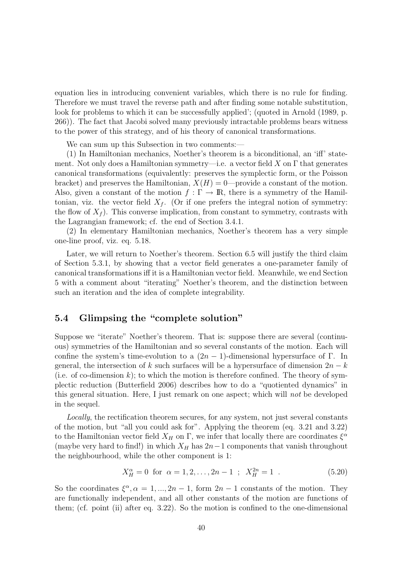equation lies in introducing convenient variables, which there is no rule for finding. Therefore we must travel the reverse path and after finding some notable substitution, look for problems to which it can be successfully applied'; (quoted in Arnold  $(1989, p.$ 266)). The fact that Jacobi solved many previously intractable problems bears witness to the power of this strategy, and of his theory of canonical transformations.

We can sum up this Subsection in two comments:—

(1) In Hamiltonian mechanics, Noether's theorem is a biconditional, an 'iff' statement. Not only does a Hamiltonian symmetry—i.e. a vector field X on  $\Gamma$  that generates canonical transformations (equivalently: preserves the symplectic form, or the Poisson bracket) and preserves the Hamiltonian,  $X(H) = 0$ —provide a constant of the motion. Also, given a constant of the motion  $f : \Gamma \to \mathbb{R}$ , there is a symmetry of the Hamiltonian, viz. the vector field  $X_f$ . (Or if one prefers the integral notion of symmetry: the flow of  $X_f$ ). This converse implication, from constant to symmetry, contrasts with the Lagrangian framework; cf. the end of Section 3.4.1.

(2) In elementary Hamiltonian mechanics, Noether's theorem has a very simple one-line proof, viz. eq. 5.18.

Later, we will return to Noether's theorem. Section 6.5 will justify the third claim of Section 5.3.1, by showing that a vector field generates a one-parameter family of canonical transformations iff it is a Hamiltonian vector field. Meanwhile, we end Section 5 with a comment about "iterating" Noether's theorem, and the distinction between such an iteration and the idea of complete integrability.

# 5.4 Glimpsing the "complete solution"

Suppose we "iterate" Noether's theorem. That is: suppose there are several (continuous) symmetries of the Hamiltonian and so several constants of the motion. Each will confine the system's time-evolution to a  $(2n - 1)$ -dimensional hypersurface of Γ. In general, the intersection of k such surfaces will be a hypersurface of dimension  $2n - k$ (i.e. of co-dimension  $k$ ); to which the motion is therefore confined. The theory of symplectic reduction (Butterfield 2006) describes how to do a "quotiented dynamics" in this general situation. Here, I just remark on one aspect; which will not be developed in the sequel.

Locally, the rectification theorem secures, for any system, not just several constants of the motion, but "all you could ask for". Applying the theorem (eq. 3.21 and 3.22) to the Hamiltonian vector field  $X_H$  on  $\Gamma$ , we infer that locally there are coordinates  $\xi^{\alpha}$ (maybe very hard to find!) in which  $X_H$  has  $2n-1$  components that vanish throughout the neighbourhood, while the other component is 1:

$$
X_H^{\alpha} = 0 \text{ for } \alpha = 1, 2, ..., 2n - 1 ; X_H^{2n} = 1 .
$$
 (5.20)

So the coordinates  $\xi^{\alpha}, \alpha = 1, ..., 2n-1$ , form  $2n-1$  constants of the motion. They are functionally independent, and all other constants of the motion are functions of them; (cf. point (ii) after eq. 3.22). So the motion is confined to the one-dimensional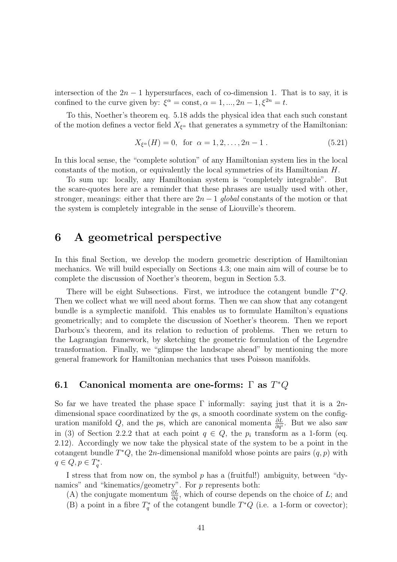intersection of the  $2n - 1$  hypersurfaces, each of co-dimension 1. That is to say, it is confined to the curve given by:  $\xi^{\alpha} = \text{const}, \alpha = 1, ..., 2n - 1, \xi^{2n} = t$ .

To this, Noether's theorem eq. 5.18 adds the physical idea that each such constant of the motion defines a vector field  $X_{\xi^{\alpha}}$  that generates a symmetry of the Hamiltonian:

$$
X_{\xi^{\alpha}}(H) = 0, \text{ for } \alpha = 1, 2, \dots, 2n - 1.
$$
 (5.21)

In this local sense, the "complete solution" of any Hamiltonian system lies in the local constants of the motion, or equivalently the local symmetries of its Hamiltonian H.

To sum up: locally, any Hamiltonian system is "completely integrable". But the scare-quotes here are a reminder that these phrases are usually used with other, stronger, meanings: either that there are  $2n-1$  global constants of the motion or that the system is completely integrable in the sense of Liouville's theorem.

# 6 A geometrical perspective

In this final Section, we develop the modern geometric description of Hamiltonian mechanics. We will build especially on Sections 4.3; one main aim will of course be to complete the discussion of Noether's theorem, begun in Section 5.3.

There will be eight Subsections. First, we introduce the cotangent bundle  $T^*Q$ . Then we collect what we will need about forms. Then we can show that any cotangent bundle is a symplectic manifold. This enables us to formulate Hamilton's equations geometrically; and to complete the discussion of Noether's theorem. Then we report Darboux's theorem, and its relation to reduction of problems. Then we return to the Lagrangian framework, by sketching the geometric formulation of the Legendre transformation. Finally, we "glimpse the landscape ahead" by mentioning the more general framework for Hamiltonian mechanics that uses Poisson manifolds.

# 6.1 Canonical momenta are one-forms:  $\Gamma$  as  $T^*Q$

So far we have treated the phase space  $\Gamma$  informally: saying just that it is a 2ndimensional space coordinatized by the  $q_s$ , a smooth coordinate system on the configuration manifold Q, and the ps, which are canonical momenta  $\frac{\partial L}{\partial \dot{q}^i}$ . But we also saw in (3) of Section 2.2.2 that at each point  $q \in Q$ , the  $p_i$  transform as a 1-form (eq. 2.12). Accordingly we now take the physical state of the system to be a point in the cotangent bundle  $T^*Q$ , the 2n-dimensional manifold whose points are pairs  $(q, p)$  with  $q \in Q, p \in T_q^*.$ 

I stress that from now on, the symbol p has a (fruitful!) ambiguity, between "dynamics" and "kinematics/geometry". For  $p$  represents both:

(A) the conjugate momentum  $\frac{\partial L}{\partial \dot{q}}$ , which of course depends on the choice of L; and (B) a point in a fibre  $T_q^*$  of the cotangent bundle  $T^*Q$  (i.e. a 1-form or covector);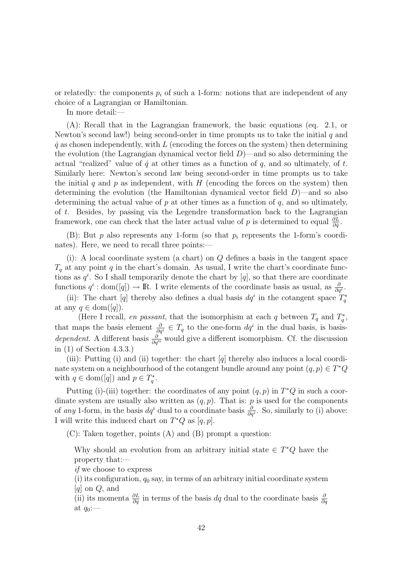or relatedly: the components  $p_i$  of such a 1-form: notions that are independent of any choice of a Lagrangian or Hamiltonian.

In more detail:—

(A): Recall that in the Lagrangian framework, the basic equations (eq. 2.1, or Newton's second law!) being second-order in time prompts us to take the initial  $q$  and  $\dot{q}$  as chosen independently, with L (encoding the forces on the system) then determining the evolution (the Lagrangian dynamical vector field  $D$ )—and so also determining the actual "realized" value of  $\dot{q}$  at other times as a function of  $q$ , and so ultimately, of  $t$ . Similarly here: Newton's second law being second-order in time prompts us to take the initial q and p as independent, with  $H$  (encoding the forces on the system) then determining the evolution (the Hamiltonian dynamical vector field  $D$ )—and so also determining the actual value of  $p$  at other times as a function of  $q$ , and so ultimately, of t. Besides, by passing via the Legendre transformation back to the Lagrangian framework, one can check that the later actual value of p is determined to equal  $\frac{\partial L}{\partial \dot{q}}$ .

(B): But p also represents any 1-form (so that  $p_i$  represents the 1-form's coordinates). Here, we need to recall three points:

(i): A local coordinate system (a chart) on  $Q$  defines a basis in the tangent space  $T_q$  at any point q in the chart's domain. As usual, I write the chart's coordinate functions as  $q^i$ . So I shall temporarily denote the chart by [q], so that there are coordinate functions  $q^i : dom([q]) \to \mathbb{R}$ . I write elements of the coordinate basis as usual, as  $\frac{\partial}{\partial q^i}$ .

(ii): The chart [q] thereby also defines a dual basis  $dq^i$  in the cotangent space  $\overline{T}_q^*$ at any  $q \in \text{dom}([q]).$ 

(Here I recall, en passant, that the isomorphism at each q between  $T_q$  and  $T_q^*$ , that maps the basis element  $\frac{\partial}{\partial q^i} \in T_q$  to the one-form  $dq^i$  in the dual basis, is basis*dependent.* A different basis  $\frac{\partial}{\partial q^{i}}$  would give a different isomorphism. Cf. the discussion in (1) of Section 4.3.3.)

(iii): Putting (i) and (ii) together: the chart  $[q]$  thereby also induces a local coordinate system on a neighbourhood of the cotangent bundle around any point  $(q, p) \in T^*Q$ with  $q \in \text{dom}([q])$  and  $p \in T_q^*$ .

Putting (i)-(iii) together: the coordinates of any point  $(q, p)$  in  $T^*Q$  in such a coordinate system are usually also written as  $(q, p)$ . That is: p is used for the components of any 1-form, in the basis  $dq^i$  dual to a coordinate basis  $\frac{\partial}{\partial q^i}$ . So, similarly to (i) above: I will write this induced chart on  $T^*Q$  as  $[q, p]$ .

(C): Taken together, points (A) and (B) prompt a question:

Why should an evolution from an arbitrary initial state  $\in T^*Q$  have the property that:—

if we choose to express

(i) its configuration,  $q_0$  say, in terms of an arbitrary initial coordinate system  $[q]$  on  $Q$ , and

(ii) its momenta  $\frac{\partial L}{\partial \dot{q}}$  in terms of the basis  $dq$  dual to the coordinate basis  $\frac{\partial}{\partial q}$ at  $q_0$ :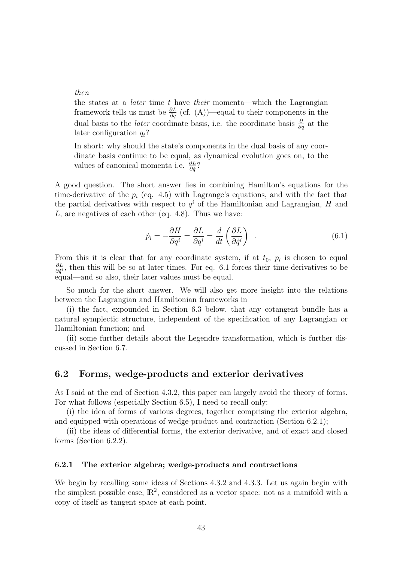### then

the states at a *later* time  $t$  have *their* momenta—which the Lagrangian framework tells us must be  $\frac{\partial L}{\partial \dot{q}}$  (cf. (A))—equal to their components in the dual basis to the *later* coordinate basis, i.e. the coordinate basis  $\frac{\partial}{\partial q}$  at the later configuration  $q_t$ ?

In short: why should the state's components in the dual basis of any coordinate basis continue to be equal, as dynamical evolution goes on, to the values of canonical momenta i.e.  $\frac{\partial L}{\partial \dot{q}}$ ?

A good question. The short answer lies in combining Hamilton's equations for the time-derivative of the  $p_i$  (eq. 4.5) with Lagrange's equations, and with the fact that the partial derivatives with respect to  $q<sup>i</sup>$  of the Hamiltonian and Lagrangian, H and L, are negatives of each other (eq. 4.8). Thus we have:

$$
\dot{p}_i = -\frac{\partial H}{\partial q^i} = \frac{\partial L}{\partial q^i} = \frac{d}{dt} \left( \frac{\partial L}{\partial \dot{q}^i} \right) \quad . \tag{6.1}
$$

From this it is clear that for any coordinate system, if at  $t_0$ ,  $p_i$  is chosen to equal ∂L  $\frac{\partial L}{\partial \dot{q}i}$ , then this will be so at later times. For eq. 6.1 forces their time-derivatives to be equal—and so also, their later values must be equal.

So much for the short answer. We will also get more insight into the relations between the Lagrangian and Hamiltonian frameworks in

(i) the fact, expounded in Section 6.3 below, that any cotangent bundle has a natural symplectic structure, independent of the specification of any Lagrangian or Hamiltonian function; and

(ii) some further details about the Legendre transformation, which is further discussed in Section 6.7.

# 6.2 Forms, wedge-products and exterior derivatives

As I said at the end of Section 4.3.2, this paper can largely avoid the theory of forms. For what follows (especially Section 6.5), I need to recall only:

(i) the idea of forms of various degrees, together comprising the exterior algebra, and equipped with operations of wedge-product and contraction (Section 6.2.1);

(ii) the ideas of differential forms, the exterior derivative, and of exact and closed forms (Section 6.2.2).

### 6.2.1 The exterior algebra; wedge-products and contractions

We begin by recalling some ideas of Sections 4.3.2 and 4.3.3. Let us again begin with the simplest possible case,  $\mathbb{R}^2$ , considered as a vector space: not as a manifold with a copy of itself as tangent space at each point.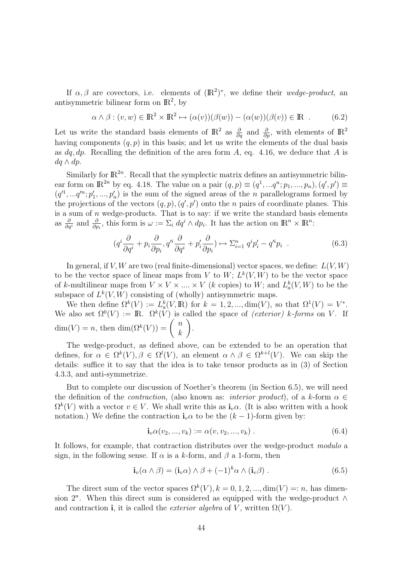If  $\alpha, \beta$  are covectors, i.e. elements of  $(\mathbb{R}^2)^*$ , we define their wedge-product, an antisymmetric bilinear form on  $\mathbb{R}^2$ , by

$$
\alpha \wedge \beta : (v, w) \in \mathbb{R}^2 \times \mathbb{R}^2 \mapsto (\alpha(v))(\beta(w)) - (\alpha(w))(\beta(v)) \in \mathbb{R} \tag{6.2}
$$

Let us write the standard basis elements of  $\mathbb{R}^2$  as  $\frac{\partial}{\partial q}$  and  $\frac{\partial}{\partial p}$ , with elements of  $\mathbb{R}^2$ having components  $(q, p)$  in this basis; and let us write the elements of the dual basis as  $dq, dp$ . Recalling the definition of the area form A, eq. 4.16, we deduce that A is  $dq \wedge dp$ .

Similarly for  $\mathbb{R}^{2n}$ . Recall that the symplectic matrix defines an antisymmetric bilinear form on  $\mathbb{R}^{2n}$  by eq. 4.18. The value on a pair  $(q, p) \equiv (q^1, ..., q^n; p_1, ..., p_n), (q', p') \equiv$  $(q<sup>1</sup>, ... q<sup>n</sup>; p'<sub>1</sub>, ..., p'<sub>n</sub>)$  is the sum of the signed areas of the *n* parallelograms formed by the projections of the vectors  $(q, p), (q', p')$  onto the *n* pairs of coordinate planes. This is a sum of  $n$  wedge-products. That is to say: if we write the standard basis elements as  $\frac{\partial}{\partial q^i}$  and  $\frac{\partial}{\partial p_i}$ , this form is  $\omega := \sum_i dq^i \wedge dp_i$ . It has the action on  $\mathbb{R}^n \times \mathbb{R}^n$ :

$$
(q^{i}\frac{\partial}{\partial q^{i}} + p_{i}\frac{\partial}{\partial p_{i}}, q'^{i}\frac{\partial}{\partial q^{i}} + p'_{i}\frac{\partial}{\partial p_{i}}) \mapsto \sum_{i=1}^{n} q^{i}p'_{i} - q'^{i}p_{i} \quad . \tag{6.3}
$$

In general, if  $V, W$  are two (real finite-dimensional) vector spaces, we define:  $L(V, W)$ to be the vector space of linear maps from V to  $W; L^k(V, W)$  to be the vector space of k-multilinear maps from  $V \times V \times \dots \times V$  (k copies) to W; and  $L_a^k(V, W)$  to be the subspace of  $L^k(V, W)$  consisting of (wholly) antisymmetric maps.

We then define  $\Omega^k(V) := L^k_a(V, \mathbb{R})$  for  $k = 1, 2, ..., \dim(V)$ , so that  $\Omega^1(V) = V^*$ . We also set  $\Omega^0(V) := \mathbb{R}$ .  $\Omega^k(V)$  is called the space of *(exterior)* k-forms on V. If We also set  $\Omega^k(V) := \mathbb{R}$ .  $\Omega^k(V)$  is<br>dim(V) = n, then dim( $\Omega^k(V)$ ) =  $\begin{pmatrix} n \\ n \end{pmatrix}$  $\binom{n}{k}$ .

The wedge-product, as defined above, can be extended to be an operation that defines, for  $\alpha \in \Omega^k(V)$ ,  $\beta \in \Omega^l(V)$ , an element  $\alpha \wedge \beta \in \Omega^{k+l}(V)$ . We can skip the details: suffice it to say that the idea is to take tensor products as in (3) of Section 4.3.3, and anti-symmetrize.

But to complete our discussion of Noether's theorem (in Section 6.5), we will need the definition of the *contraction*, (also known as: *interior product*), of a k-form  $\alpha \in$  $\Omega^k(V)$  with a vector  $v \in V$ . We shall write this as  $\mathbf{i}_v \alpha$ . (It is also written with a hook notation.) We define the contraction  $\mathbf{i}_{v} \alpha$  to be the  $(k-1)$ -form given by:

$$
\mathbf{i}_{v} \alpha(v_{2},...,v_{k}) := \alpha(v,v_{2},...,v_{k}). \qquad (6.4)
$$

It follows, for example, that contraction distributes over the wedge-product modulo a sign, in the following sense. If  $\alpha$  is a k-form, and  $\beta$  a 1-form, then

$$
\mathbf{i}_{v}(\alpha \wedge \beta) = (\mathbf{i}_{v}\alpha) \wedge \beta + (-1)^{k}\alpha \wedge (\mathbf{i}_{v}\beta) . \qquad (6.5)
$$

The direct sum of the vector spaces  $\Omega^k(V)$ ,  $k = 0, 1, 2, ..., dim(V) =: n$ , has dimension  $2^n$ . When this direct sum is considered as equipped with the wedge-product  $\wedge$ and contraction i, it is called the *exterior algebra* of V, written  $\Omega(V)$ .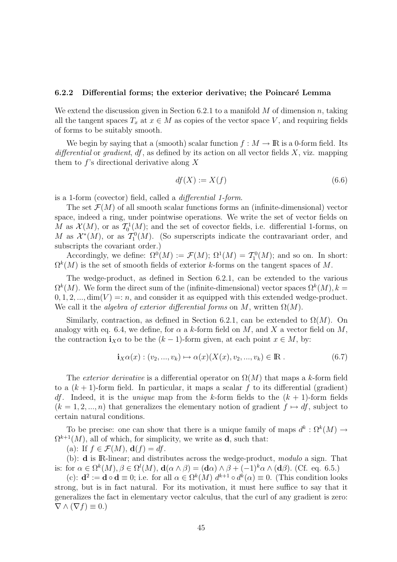#### 6.2.2 Differential forms; the exterior derivative; the Poincaré Lemma

We extend the discussion given in Section 6.2.1 to a manifold  $M$  of dimension  $n$ , taking all the tangent spaces  $T_x$  at  $x \in M$  as copies of the vector space V, and requiring fields of forms to be suitably smooth.

We begin by saying that a (smooth) scalar function  $f : M \to \mathbb{R}$  is a 0-form field. Its differential or gradient,  $df$ , as defined by its action on all vector fields  $X$ , viz. mapping them to  $f$ 's directional derivative along X

$$
df(X) := X(f) \tag{6.6}
$$

is a 1-form (covector) field, called a differential 1-form.

The set  $\mathcal{F}(M)$  of all smooth scalar functions forms an (infinite-dimensional) vector space, indeed a ring, under pointwise operations. We write the set of vector fields on M as  $\mathcal{X}(M)$ , or as  $\mathcal{T}_0^1(M)$ ; and the set of covector fields, i.e. differential 1-forms, on M as  $\mathcal{X}^*(M)$ , or as  $\mathcal{T}_1^0(M)$ . (So superscripts indicate the contravariant order, and subscripts the covariant order.)

Accordingly, we define:  $\Omega^0(M) := \mathcal{F}(M)$ ;  $\Omega^1(M) = \mathcal{T}_1^0(M)$ ; and so on. In short:  $\Omega^k(M)$  is the set of smooth fields of exterior k-forms on the tangent spaces of M.

The wedge-product, as defined in Section 6.2.1, can be extended to the various  $\Omega^{k}(M)$ . We form the direct sum of the (infinite-dimensional) vector spaces  $\Omega^{k}(M)$ ,  $k =$  $0, 1, 2, \ldots$ , dim(V) =: n, and consider it as equipped with this extended wedge-product. We call it the *algebra of exterior differential forms* on M, written  $\Omega(M)$ .

Similarly, contraction, as defined in Section 6.2.1, can be extended to  $\Omega(M)$ . On analogy with eq. 6.4, we define, for  $\alpha$  a k-form field on M, and X a vector field on M, the contraction  $\mathbf{i}_{X}\alpha$  to be the  $(k-1)$ -form given, at each point  $x \in M$ , by:

$$
\mathbf{i}_{X}\alpha(x) : (v_{2},...,v_{k}) \mapsto \alpha(x)(X(x),v_{2},...,v_{k}) \in \mathbb{R} . \tag{6.7}
$$

The exterior derivative is a differential operator on  $\Omega(M)$  that maps a k-form field to a  $(k + 1)$ -form field. In particular, it maps a scalar f to its differential (gradient) *df*. Indeed, it is the *unique* map from the k-form fields to the  $(k + 1)$ -form fields  $(k = 1, 2, ..., n)$  that generalizes the elementary notion of gradient  $f \mapsto df$ , subject to certain natural conditions.

To be precise: one can show that there is a unique family of maps  $d^k : \Omega^k(M) \to$  $\Omega^{k+1}(M)$ , all of which, for simplicity, we write as **d**, such that:

(a): If  $f \in \mathcal{F}(M)$ ,  $\mathbf{d}(f) = df$ .

(b): d is IR-linear; and distributes across the wedge-product, modulo a sign. That is: for  $\alpha \in \Omega^k(M)$ ,  $\beta \in \Omega^l(M)$ ,  $\mathbf{d}(\alpha \wedge \beta) = (\mathbf{d}\alpha) \wedge \beta + (-1)^k \alpha \wedge (\mathbf{d}\beta)$ . (Cf. eq. 6.5.)

(c):  $\mathbf{d}^2 := \mathbf{d} \circ \mathbf{d} \equiv 0$ ; i.e. for all  $\alpha \in \Omega^k(M)$   $d^{k+1} \circ d^k(\alpha) \equiv 0$ . (This condition looks strong, but is in fact natural. For its motivation, it must here suffice to say that it generalizes the fact in elementary vector calculus, that the curl of any gradient is zero:  $\nabla \wedge (\nabla f) \equiv 0.$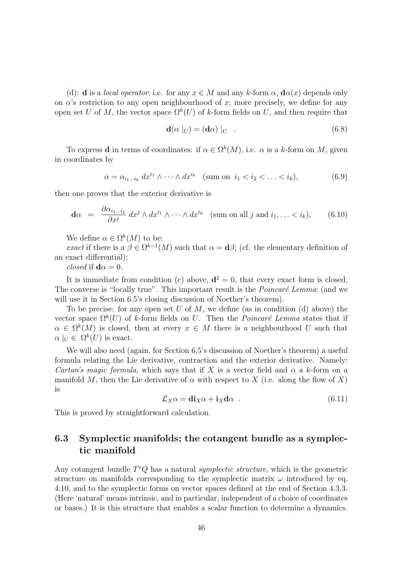(d): **d** is a *local operator*; i.e. for any  $x \in M$  and any k-form  $\alpha$ ,  $\mathbf{d}\alpha(x)$  depends only on  $\alpha$ 's restriction to any open neighbourhood of x; more precisely, we define for any open set U of M, the vector space  $\Omega^k(U)$  of k-form fields on U, and then require that

$$
\mathbf{d}(\alpha \mid_{U}) = (\mathbf{d}\alpha) \mid_{U} \tag{6.8}
$$

To express **d** in terms of coordinates: if  $\alpha \in \Omega^k(M)$ , i.e.  $\alpha$  is a k-form on M, given in coordinates by

$$
\alpha = \alpha_{i_1 \dots i_k} dx^{i_1} \wedge \dots \wedge dx^{i_k} \quad \text{(sum on } i_1 < i_2 < \dots < i_k),\tag{6.9}
$$

then one proves that the exterior derivative is

$$
\mathbf{d}\alpha = \frac{\partial \alpha_{i_1 \dots i_k}}{\partial x^j} dx^j \wedge dx^{i_1} \wedge \dots \wedge dx^{i_k} \quad \text{(sum on all } j \text{ and } i_1, \dots < i_k), \tag{6.10}
$$

We define  $\alpha \in \Omega^k(M)$  to be:

exact if there is a  $\beta \in \Omega^{k-1}(M)$  such that  $\alpha = \mathbf{d}\beta$ ; (cf. the elementary definition of an exact differential);

*closed* if  $d\alpha = 0$ .

It is immediate from condition (c) above,  $\mathbf{d}^2 = 0$ , that every exact form is closed. The converse is "locally true". This important result is the *Poincaré Lemma*; (and we will use it in Section 6.5's closing discussion of Noether's theorem).

To be precise: for any open set U of M, we define (as in condition (d) above) the vector space  $\Omega^k(U)$  of k-form fields on U. Then the *Poincaré Lemma* states that if  $\alpha \in \Omega^k(M)$  is closed, then at every  $x \in M$  there is a neighbourhood U such that  $\alpha\mid_{U} \in \Omega^{k}(U)$  is exact.

We will also need (again, for Section 6.5's discussion of Noether's theorem) a useful formula relating the Lie derivative, contraction and the exterior derivative. Namely: Cartan's magic formula, which says that if X is a vector field and  $\alpha$  a k-form on a manifold M, then the Lie derivative of  $\alpha$  with respect to X (i.e. along the flow of X) is

$$
\mathcal{L}_X \alpha = \mathbf{di}_X \alpha + \mathbf{i}_X \mathbf{d} \alpha \tag{6.11}
$$

This is proved by straightforward calculation.

# 6.3 Symplectic manifolds; the cotangent bundle as a symplectic manifold

Any cotangent bundle  $T^*Q$  has a natural *symplectic structure*, which is the geometric structure on manifolds corresponding to the symplectic matrix  $\omega$  introduced by eq. 4.10, and to the symplectic forms on vector spaces defined at the end of Section 4.3.3. (Here 'natural' means intrinsic, and in particular, independent of a choice of coordinates or bases.) It is this structure that enables a scalar function to determine a dynamics.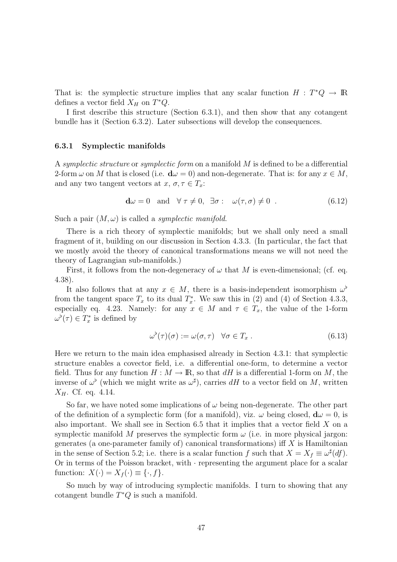That is: the symplectic structure implies that any scalar function  $H : T^*Q \to \mathbb{R}$ defines a vector field  $X_H$  on  $T^*Q$ .

I first describe this structure (Section 6.3.1), and then show that any cotangent bundle has it (Section 6.3.2). Later subsections will develop the consequences.

#### 6.3.1 Symplectic manifolds

A symplectic structure or symplectic form on a manifold M is defined to be a differential 2-form  $\omega$  on M that is closed (i.e.  $d\omega = 0$ ) and non-degenerate. That is: for any  $x \in M$ , and any two tangent vectors at  $x, \sigma, \tau \in T_x$ :

$$
\mathbf{d}\omega = 0 \quad \text{and} \quad \forall \tau \neq 0, \quad \exists \sigma : \quad \omega(\tau, \sigma) \neq 0 \quad . \tag{6.12}
$$

Such a pair  $(M, \omega)$  is called a *symplectic manifold*.

There is a rich theory of symplectic manifolds; but we shall only need a small fragment of it, building on our discussion in Section 4.3.3. (In particular, the fact that we mostly avoid the theory of canonical transformations means we will not need the theory of Lagrangian sub-manifolds.)

First, it follows from the non-degeneracy of  $\omega$  that M is even-dimensional; (cf. eq. 4.38).

It also follows that at any  $x \in M$ , there is a basis-independent isomorphism  $\omega^{\flat}$ from the tangent space  $T_x$  to its dual  $T_x^*$ . We saw this in (2) and (4) of Section 4.3.3, especially eq. 4.23. Namely: for any  $x \in M$  and  $\tau \in T_x$ , the value of the 1-form  $\omega^{\flat}(\tau) \in T_x^*$  is defined by

$$
\omega^{\flat}(\tau)(\sigma) := \omega(\sigma, \tau) \quad \forall \sigma \in T_x . \tag{6.13}
$$

Here we return to the main idea emphasised already in Section 4.3.1: that symplectic structure enables a covector field, i.e. a differential one-form, to determine a vector field. Thus for any function  $H : M \to \mathbb{R}$ , so that dH is a differential 1-form on M, the inverse of  $\omega^{\flat}$  (which we might write as  $\omega^{\sharp}$ ), carries dH to a vector field on M, written  $X_H$ . Cf. eq. 4.14.

So far, we have noted some implications of  $\omega$  being non-degenerate. The other part of the definition of a symplectic form (for a manifold), viz.  $\omega$  being closed,  $d\omega = 0$ , is also important. We shall see in Section 6.5 that it implies that a vector field X on a symplectic manifold M preserves the symplectic form  $\omega$  (i.e. in more physical jargon: generates (a one-parameter family of) canonical transformations) if  $X$  is Hamiltonian in the sense of Section 5.2; i.e. there is a scalar function f such that  $X = X_f \equiv \omega^{\sharp}(df)$ . Or in terms of the Poisson bracket, with · representing the argument place for a scalar function:  $X(\cdot) = X_f(\cdot) \equiv \{\cdot, f\}.$ 

So much by way of introducing symplectic manifolds. I turn to showing that any cotangent bundle  $T^*Q$  is such a manifold.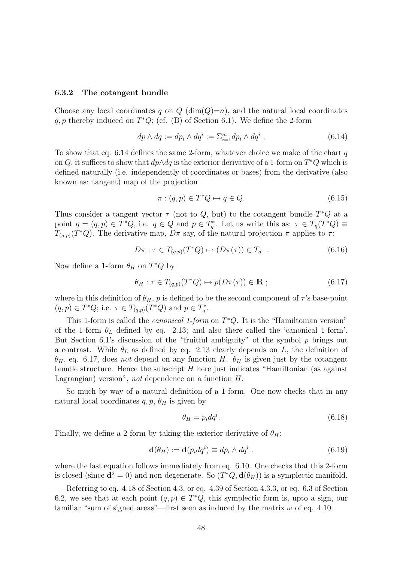#### 6.3.2 The cotangent bundle

Choose any local coordinates q on  $Q(\dim(Q)=n)$ , and the natural local coordinates  $q, p$  thereby induced on  $T^*Q$ ; (cf. (B) of Section 6.1). We define the 2-form

$$
dp \wedge dq := dp_i \wedge dq^i := \sum_{i=1}^n dp_i \wedge dq^i . \tag{6.14}
$$

To show that eq. 6.14 defines the same 2-form, whatever choice we make of the chart  $q$ on Q, it suffices to show that  $dp \wedge dq$  is the exterior derivative of a 1-form on  $T^*Q$  which is defined naturally (i.e. independently of coordinates or bases) from the derivative (also known as: tangent) map of the projection

$$
\pi: (q, p) \in T^*Q \mapsto q \in Q. \tag{6.15}
$$

Thus consider a tangent vector  $\tau$  (not to Q, but) to the cotangent bundle  $T^*Q$  at a point  $\eta = (q, p) \in T^*Q$ , i.e.  $q \in Q$  and  $p \in T_q^*$ . Let us write this as:  $\tau \in T_\eta(T^*Q) \equiv$  $T_{(q,p)}(T^*Q)$ . The derivative map,  $D\pi$  say, of the natural projection  $\pi$  applies to  $\tau$ :

$$
D\pi : \tau \in T_{(q,p)}(T^*Q) \mapsto (D\pi(\tau)) \in T_q \tag{6.16}
$$

Now define a 1-form  $\theta_H$  on  $T^*Q$  by

$$
\theta_H : \tau \in T_{(q,p)}(T^*Q) \mapsto p(D\pi(\tau)) \in \mathbb{R} ; \qquad (6.17)
$$

where in this definition of  $\theta_H$ , p is defined to be the second component of  $\tau$ 's base-point  $(q, p) \in T^*Q$ ; i.e.  $\tau \in T_{(q,p)}(T^*Q)$  and  $p \in T_q^*$ .

This 1-form is called the *canonical 1-form* on  $T^*Q$ . It is the "Hamiltonian version" of the 1-form  $\theta_L$  defined by eq. 2.13; and also there called the 'canonical 1-form'. But Section 6.1's discussion of the "fruitful ambiguity" of the symbol  $p$  brings out a contrast. While  $\theta_L$  as defined by eq. 2.13 clearly depends on L, the definition of  $\theta_H$ , eq. 6.17, does not depend on any function H.  $\theta_H$  is given just by the cotangent bundle structure. Hence the subscript  $H$  here just indicates "Hamiltonian (as against Lagrangian) version", not dependence on a function H.

So much by way of a natural definition of a 1-form. One now checks that in any natural local coordinates  $q, p, \theta_H$  is given by

$$
\theta_H = p_i dq^i. \tag{6.18}
$$

Finally, we define a 2-form by taking the exterior derivative of  $\theta_H$ :

$$
\mathbf{d}(\theta_H) := \mathbf{d}(p_i dq^i) \equiv dp_i \wedge dq^i . \tag{6.19}
$$

where the last equation follows immediately from eq. 6.10. One checks that this 2-form is closed (since  $\mathbf{d}^2 = 0$ ) and non-degenerate. So  $(T^*Q, \mathbf{d}(\theta_H))$  is a symplectic manifold.

Referring to eq. 4.18 of Section 4.3, or eq. 4.39 of Section 4.3.3, or eq. 6.3 of Section 6.2, we see that at each point  $(q, p) \in T^*Q$ , this symplectic form is, upto a sign, our familiar "sum of signed areas"—first seen as induced by the matrix  $\omega$  of eq. 4.10.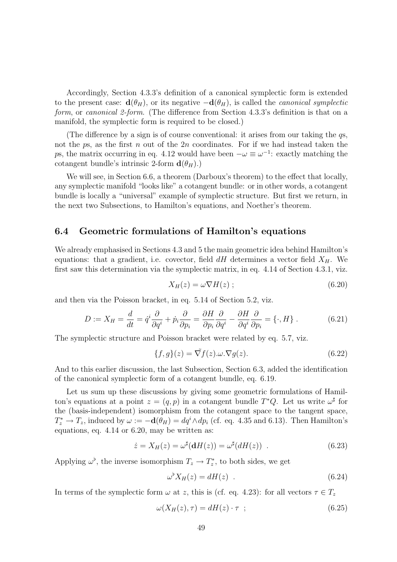Accordingly, Section 4.3.3's definition of a canonical symplectic form is extended to the present case:  $\mathbf{d}(\theta_H)$ , or its negative  $-\mathbf{d}(\theta_H)$ , is called the *canonical symplectic* form, or canonical 2-form. (The difference from Section 4.3.3's definition is that on a manifold, the symplectic form is required to be closed.)

(The difference by a sign is of course conventional: it arises from our taking the qs, not the ps, as the first n out of the  $2n$  coordinates. For if we had instead taken the ps, the matrix occurring in eq. 4.12 would have been  $-\omega \equiv \omega^{-1}$ : exactly matching the cotangent bundle's intrinsic 2-form  $\mathbf{d}(\theta_H)$ .)

We will see, in Section 6.6, a theorem (Darboux's theorem) to the effect that locally, any symplectic manifold "looks like" a cotangent bundle: or in other words, a cotangent bundle is locally a "universal" example of symplectic structure. But first we return, in the next two Subsections, to Hamilton's equations, and Noether's theorem.

# 6.4 Geometric formulations of Hamilton's equations

We already emphasised in Sections 4.3 and 5 the main geometric idea behind Hamilton's equations: that a gradient, i.e. covector, field  $dH$  determines a vector field  $X_H$ . We first saw this determination via the symplectic matrix, in eq. 4.14 of Section 4.3.1, viz.

$$
X_H(z) = \omega \nabla H(z) ; \qquad (6.20)
$$

and then via the Poisson bracket, in eq. 5.14 of Section 5.2, viz.

$$
D := X_H = \frac{d}{dt} = \dot{q}^i \frac{\partial}{\partial q^i} + \dot{p}_i \frac{\partial}{\partial p_i} = \frac{\partial H}{\partial p_i} \frac{\partial}{\partial q^i} - \frac{\partial H}{\partial q^i} \frac{\partial}{\partial p_i} = \{\cdot, H\}.
$$
 (6.21)

The symplectic structure and Poisson bracket were related by eq. 5.7, viz.

$$
\{f, g\}(z) = \tilde{\nabla}f(z) \cdot \omega \cdot \nabla g(z). \tag{6.22}
$$

And to this earlier discussion, the last Subsection, Section 6.3, added the identification of the canonical symplectic form of a cotangent bundle, eq. 6.19.

Let us sum up these discussions by giving some geometric formulations of Hamilton's equations at a point  $z = (q, p)$  in a cotangent bundle  $T^*Q$ . Let us write  $\omega^{\sharp}$  for the (basis-independent) isomorphism from the cotangent space to the tangent space,  $T_z^* \to T_z$ , induced by  $\omega := -\mathbf{d}(\theta_H) = dq^i \wedge dp_i$  (cf. eq. 4.35 and 6.13). Then Hamilton's equations, eq. 4.14 or 6.20, may be written as:

$$
\dot{z} = X_H(z) = \omega^{\sharp}(\mathbf{d}H(z)) = \omega^{\sharp}(dH(z)) \quad . \tag{6.23}
$$

Applying  $\omega^{\flat}$ , the inverse isomorphism  $T_z \to T_z^*$ , to both sides, we get

$$
\omega^{\flat} X_H(z) = dH(z) \quad . \tag{6.24}
$$

In terms of the symplectic form  $\omega$  at z, this is (cf. eq. 4.23): for all vectors  $\tau \in T_z$ 

$$
\omega(X_H(z), \tau) = dH(z) \cdot \tau \quad ; \tag{6.25}
$$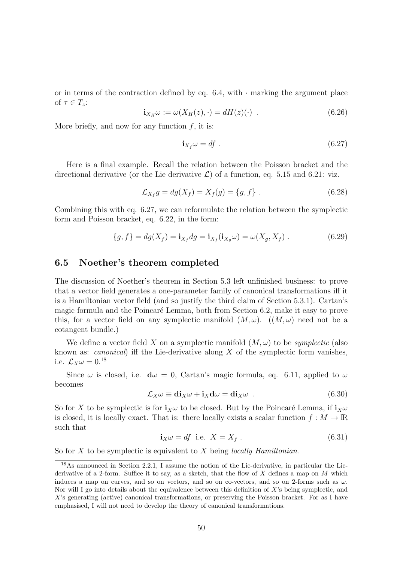or in terms of the contraction defined by eq.  $6.4$ , with  $\cdot$  marking the argument place of  $\tau \in T_z$ :

$$
\mathbf{i}_{X_H}\omega := \omega(X_H(z), \cdot) = dH(z)(\cdot) \tag{6.26}
$$

More briefly, and now for any function  $f$ , it is:

$$
\mathbf{i}_{X_f}\omega = df \tag{6.27}
$$

Here is a final example. Recall the relation between the Poisson bracket and the directional derivative (or the Lie derivative  $\mathcal{L}$ ) of a function, eq. 5.15 and 6.21: viz.

$$
\mathcal{L}_{X_f} g = dg(X_f) = X_f(g) = \{g, f\}.
$$
\n(6.28)

Combining this with eq. 6.27, we can reformulate the relation between the symplectic form and Poisson bracket, eq. 6.22, in the form:

$$
\{g, f\} = dg(X_f) = \mathbf{i}_{X_f} dg = \mathbf{i}_{X_f}(\mathbf{i}_{X_g}\omega) = \omega(X_g, X_f) . \tag{6.29}
$$

### 6.5 Noether's theorem completed

The discussion of Noether's theorem in Section 5.3 left unfinished business: to prove that a vector field generates a one-parameter family of canonical transformations iff it is a Hamiltonian vector field (and so justify the third claim of Section 5.3.1). Cartan's magic formula and the Poincaré Lemma, both from Section 6.2, make it easy to prove this, for a vector field on any symplectic manifold  $(M, \omega)$ .  $((M, \omega)$  need not be a cotangent bundle.)

We define a vector field X on a symplectic manifold  $(M, \omega)$  to be *symplectic* (also known as: *canonical*) iff the Lie-derivative along  $X$  of the symplectic form vanishes, i.e.  $\mathcal{L}_X \omega = 0.18$ 

Since  $\omega$  is closed, i.e.  $d\omega = 0$ , Cartan's magic formula, eq. 6.11, applied to  $\omega$ becomes

$$
\mathcal{L}_X \omega \equiv \mathbf{di}_X \omega + \mathbf{i}_X \mathbf{d} \omega = \mathbf{di}_X \omega \quad . \tag{6.30}
$$

So for X to be symplectic is for  $\mathbf{i}_{\chi}\omega$  to be closed. But by the Poincaré Lemma, if  $\mathbf{i}_{\chi}\omega$ is closed, it is locally exact. That is: there locally exists a scalar function  $f : M \to \mathbb{R}$ such that

$$
\mathbf{i}_X \omega = df \text{ i.e. } X = X_f. \tag{6.31}
$$

So for X to be symplectic is equivalent to X being *locally Hamiltonian*.

<sup>18</sup>As announced in Section 2.2.1, I assume the notion of the Lie-derivative, in particular the Liederivative of a 2-form. Suffice it to say, as a sketch, that the flow of X defines a map on M which induces a map on curves, and so on vectors, and so on co-vectors, and so on 2-forms such as  $\omega$ . Nor will I go into details about the equivalence between this definition of  $X$ 's being symplectic, and X's generating (active) canonical transformations, or preserving the Poisson bracket. For as I have emphasised, I will not need to develop the theory of canonical transformations.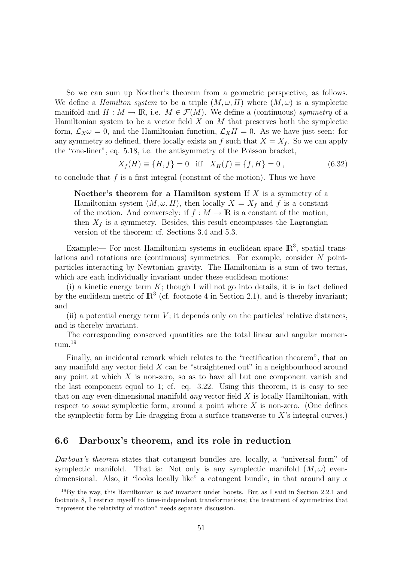So we can sum up Noether's theorem from a geometric perspective, as follows. We define a *Hamilton system* to be a triple  $(M, \omega, H)$  where  $(M, \omega)$  is a symplectic manifold and  $H : M \to \mathbb{R}$ , i.e.  $M \in \mathcal{F}(M)$ . We define a (continuous) symmetry of a Hamiltonian system to be a vector field  $X$  on  $M$  that preserves both the symplectic form,  $\mathcal{L}_X \omega = 0$ , and the Hamiltonian function,  $\mathcal{L}_X H = 0$ . As we have just seen: for any symmetry so defined, there locally exists an f such that  $X = X_f$ . So we can apply the "one-liner", eq. 5.18, i.e. the antisymmetry of the Poisson bracket,

$$
X_f(H) \equiv \{H, f\} = 0 \quad \text{iff} \quad X_H(f) \equiv \{f, H\} = 0 \,, \tag{6.32}
$$

to conclude that f is a first integral (constant of the motion). Thus we have

Noether's theorem for a Hamilton system If  $X$  is a symmetry of a Hamiltonian system  $(M, \omega, H)$ , then locally  $X = X_f$  and f is a constant of the motion. And conversely: if  $f : M \to \mathbb{R}$  is a constant of the motion, then  $X_f$  is a symmetry. Besides, this result encompasses the Lagrangian version of the theorem; cf. Sections 3.4 and 5.3.

Example:— For most Hamiltonian systems in euclidean space  $\mathbb{R}^3$ , spatial translations and rotations are (continuous) symmetries. For example, consider N pointparticles interacting by Newtonian gravity. The Hamiltonian is a sum of two terms, which are each individually invariant under these euclidean motions:

(i) a kinetic energy term  $K$ ; though I will not go into details, it is in fact defined by the euclidean metric of  $\mathbb{R}^3$  (cf. footnote 4 in Section 2.1), and is thereby invariant; and

(ii) a potential energy term  $V$ ; it depends only on the particles' relative distances, and is thereby invariant.

The corresponding conserved quantities are the total linear and angular momentum.<sup>19</sup>

Finally, an incidental remark which relates to the "rectification theorem", that on any manifold any vector field X can be "straightened out" in a neighbourhood around any point at which  $X$  is non-zero, so as to have all but one component vanish and the last component equal to 1; cf. eq. 3.22. Using this theorem, it is easy to see that on any even-dimensional manifold *any* vector field  $X$  is locally Hamiltonian, with respect to *some* symplectic form, around a point where  $X$  is non-zero. (One defines the symplectic form by Lie-dragging from a surface transverse to  $X$ 's integral curves.)

# 6.6 Darboux's theorem, and its role in reduction

Darboux's theorem states that cotangent bundles are, locally, a "universal form" of symplectic manifold. That is: Not only is any symplectic manifold  $(M, \omega)$  evendimensional. Also, it "looks locally like" a cotangent bundle, in that around any  $x$ 

<sup>&</sup>lt;sup>19</sup>By the way, this Hamiltonian is *not* invariant under boosts. But as I said in Section 2.2.1 and footnote 8, I restrict myself to time-independent transformations; the treatment of symmetries that "represent the relativity of motion" needs separate discussion.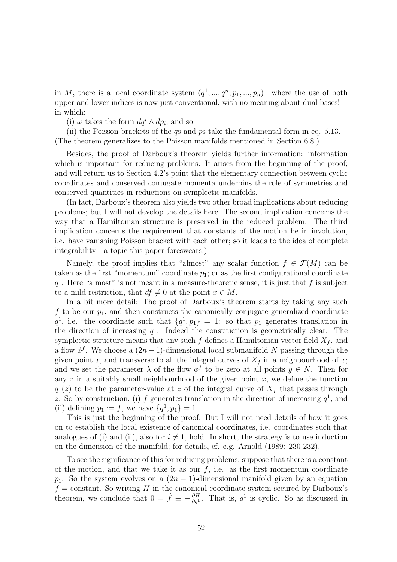in M, there is a local coordinate system  $(q<sup>1</sup>, ..., q<sup>n</sup>; p<sub>1</sub>, ..., p<sub>n</sub>)$ —where the use of both upper and lower indices is now just conventional, with no meaning about dual bases! in which:

(i)  $\omega$  takes the form  $dq^i \wedge dp_i$ ; and so

(ii) the Poisson brackets of the qs and ps take the fundamental form in eq. 5.13. (The theorem generalizes to the Poisson manifolds mentioned in Section 6.8.)

Besides, the proof of Darboux's theorem yields further information: information which is important for reducing problems. It arises from the beginning of the proof; and will return us to Section 4.2's point that the elementary connection between cyclic coordinates and conserved conjugate momenta underpins the role of symmetries and conserved quantities in reductions on symplectic manifolds.

(In fact, Darboux's theorem also yields two other broad implications about reducing problems; but I will not develop the details here. The second implication concerns the way that a Hamiltonian structure is preserved in the reduced problem. The third implication concerns the requirement that constants of the motion be in involution, i.e. have vanishing Poisson bracket with each other; so it leads to the idea of complete integrability—a topic this paper foreswears.)

Namely, the proof implies that "almost" any scalar function  $f \in \mathcal{F}(M)$  can be taken as the first "momentum" coordinate  $p_1$ ; or as the first configurational coordinate  $q<sup>1</sup>$ . Here "almost" is not meant in a measure-theoretic sense; it is just that f is subject to a mild restriction, that  $df \neq 0$  at the point  $x \in M$ .

In a bit more detail: The proof of Darboux's theorem starts by taking any such f to be our  $p_1$ , and then constructs the canonically conjugate generalized coordinate  $q^1$ , i.e. the coordinate such that  $\{q^1, p_1\} = 1$ : so that  $p_1$  generates translation in the direction of increasing  $q<sup>1</sup>$ . Indeed the construction is geometrically clear. The symplectic structure means that any such  $f$  defines a Hamiltonian vector field  $X_f$ , and a flow  $\phi^f$ . We choose a  $(2n-1)$ -dimensional local submanifold N passing through the given point x, and transverse to all the integral curves of  $X_f$  in a neighbourhood of x; and we set the parameter  $\lambda$  of the flow  $\phi^f$  to be zero at all points  $y \in N$ . Then for any  $z$  in a suitably small neighbourhood of the given point  $x$ , we define the function  $q^1(z)$  to be the parameter-value at z of the integral curve of  $X_f$  that passes through z. So by construction, (i) f generates translation in the direction of increasing  $q<sup>1</sup>$ , and (ii) defining  $p_1 := f$ , we have  $\{q^1, p_1\} = 1$ .

This is just the beginning of the proof. But I will not need details of how it goes on to establish the local existence of canonical coordinates, i.e. coordinates such that analogues of (i) and (ii), also for  $i \neq 1$ , hold. In short, the strategy is to use induction on the dimension of the manifold; for details, cf. e.g. Arnold (1989: 230-232).

To see the significance of this for reducing problems, suppose that there is a constant of the motion, and that we take it as our  $f$ , i.e. as the first momentum coordinate  $p_1$ . So the system evolves on a  $(2n - 1)$ -dimensional manifold given by an equation  $f =$ constant. So writing H in the canonical coordinate system secured by Darboux's theorem, we conclude that  $0 = \dot{f} \equiv -\frac{\partial H}{\partial q^1}$ . That is,  $q^1$  is cyclic. So as discussed in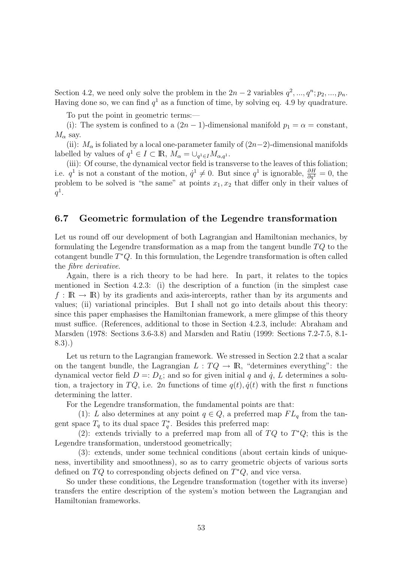Section 4.2, we need only solve the problem in the  $2n-2$  variables  $q^2, ..., q^n; p_2, ..., p_n$ . Having done so, we can find  $q<sup>1</sup>$  as a function of time, by solving eq. 4.9 by quadrature.

To put the point in geometric terms:—

(i): The system is confined to a  $(2n - 1)$ -dimensional manifold  $p_1 = \alpha = constant$ ,  $M_{\alpha}$  say.

(ii):  $M_{\alpha}$  is foliated by a local one-parameter family of  $(2n-2)$ -dimensional manifolds labelled by values of  $q^1 \in I \subset \mathbb{R}$ ,  $M_{\alpha} = \bigcup_{q^1 \in I} M_{\alpha,q^1}$ .

(iii): Of course, the dynamical vector field is transverse to the leaves of this foliation; i.e.  $q^1$  is not a constant of the motion,  $\dot{q}^1 \neq 0$ . But since  $q^1$  is ignorable,  $\frac{\partial H}{\partial q^1} = 0$ , the problem to be solved is "the same" at points  $x_1, x_2$  that differ only in their values of  $q^1$ .

# 6.7 Geometric formulation of the Legendre transformation

Let us round off our development of both Lagrangian and Hamiltonian mechanics, by formulating the Legendre transformation as a map from the tangent bundle  $TQ$  to the cotangent bundle  $T^*Q$ . In this formulation, the Legendre transformation is often called the fibre derivative.

Again, there is a rich theory to be had here. In part, it relates to the topics mentioned in Section 4.2.3: (i) the description of a function (in the simplest case  $f : \mathbb{R} \to \mathbb{R}$  by its gradients and axis-intercepts, rather than by its arguments and values; (ii) variational principles. But I shall not go into details about this theory: since this paper emphasises the Hamiltonian framework, a mere glimpse of this theory must suffice. (References, additional to those in Section 4.2.3, include: Abraham and Marsden (1978: Sections 3.6-3.8) and Marsden and Ratiu (1999: Sections 7.2-7.5, 8.1- 8.3).)

Let us return to the Lagrangian framework. We stressed in Section 2.2 that a scalar on the tangent bundle, the Lagrangian  $L: TQ \to \mathbb{R}$ , "determines everything": the dynamical vector field  $D =: D_L$ ; and so for given initial q and  $\dot{q}$ , L determines a solution, a trajectory in TQ, i.e. 2n functions of time  $q(t), \dot{q}(t)$  with the first n functions determining the latter.

For the Legendre transformation, the fundamental points are that:

(1): L also determines at any point  $q \in Q$ , a preferred map  $FL_q$  from the tangent space  $T_q$  to its dual space  $T_q^*$ . Besides this preferred map:

(2): extends trivially to a preferred map from all of  $TQ$  to  $T^*Q$ ; this is the Legendre transformation, understood geometrically;

(3): extends, under some technical conditions (about certain kinds of uniqueness, invertibility and smoothness), so as to carry geometric objects of various sorts defined on  $TQ$  to corresponding objects defined on  $T^*Q$ , and vice versa.

So under these conditions, the Legendre transformation (together with its inverse) transfers the entire description of the system's motion between the Lagrangian and Hamiltonian frameworks.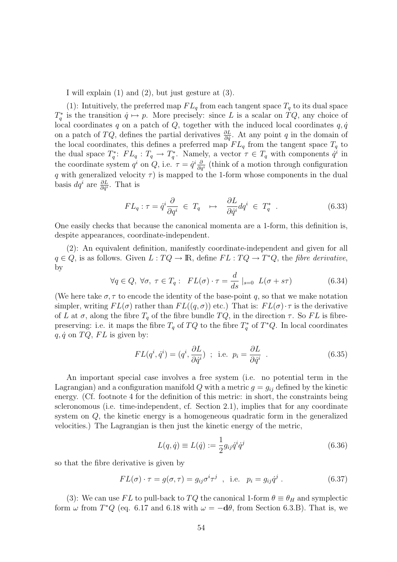I will explain (1) and (2), but just gesture at (3).

(1): Intuitively, the preferred map  $FL_q$  from each tangent space  $T_q$  to its dual space  $T_q^*$  is the transition  $\dot{q} \mapsto p$ . More precisely: since L is a scalar on  $TQ$ , any choice of local coordinates q on a patch of  $Q$ , together with the induced local coordinates  $q, \dot{q}$ on a patch of  $TQ$ , defines the partial derivatives  $\frac{\partial L}{\partial \dot{q}}$ . At any point q in the domain of the local coordinates, this defines a preferred map  $FL_q$  from the tangent space  $T_q$  to the dual space  $T_q^*$ :  $FL_q$ :  $T_q \to T_q^*$ . Namely, a vector  $\tau \in T_q$  with components  $\dot{q}^i$  in the coordinate system  $q^i$  on Q, i.e.  $\tau = \dot{q}^i \frac{\partial}{\partial q^i}$  (think of a motion through configuration q with generalized velocity  $\tau$ ) is mapped to the 1-form whose components in the dual basis  $dq^i$  are  $\frac{\partial L}{\partial \dot{q}^i}$ . That is

$$
FL_q: \tau = \dot{q}^i \frac{\partial}{\partial q^i} \in T_q \quad \mapsto \quad \frac{\partial L}{\partial \dot{q}^i} dq^i \in T_q^* \quad . \tag{6.33}
$$

One easily checks that because the canonical momenta are a 1-form, this definition is, despite appearances, coordinate-independent.

(2): An equivalent definition, manifestly coordinate-independent and given for all  $q \in Q$ , is as follows. Given  $L: TQ \to \mathbb{R}$ , define  $FL: TQ \to T^*Q$ , the fibre derivative, by

$$
\forall q \in Q, \ \forall \sigma, \ \tau \in T_q: \ FL(\sigma) \cdot \tau = \frac{d}{ds} \mid_{s=0} L(\sigma + s\tau)
$$
 (6.34)

(We here take  $\sigma, \tau$  to encode the identity of the base-point q, so that we make notation simpler, writing  $FL(\sigma)$  rather than  $FL((q, \sigma))$  etc.) That is:  $FL(\sigma) \cdot \tau$  is the derivative of L at  $\sigma$ , along the fibre  $T_q$  of the fibre bundle  $TQ$ , in the direction  $\tau$ . So FL is fibrepreserving: i.e. it maps the fibre  $T_q$  of  $TQ$  to the fibre  $T_q^*$  of  $T^*Q$ . In local coordinates  $q, \dot{q}$  on  $TQ, FL$  is given by:

$$
FL(q^i, \dot{q}^i) = (q^i, \frac{\partial L}{\partial \dot{q}^i}) \; ; \; \text{ i.e. } p_i = \frac{\partial L}{\partial \dot{q}^i} \; . \tag{6.35}
$$

An important special case involves a free system (i.e. no potential term in the Lagrangian) and a configuration manifold Q with a metric  $g = g_{ij}$  defined by the kinetic energy. (Cf. footnote 4 for the definition of this metric: in short, the constraints being scleronomous (i.e. time-independent, cf. Section 2.1), implies that for any coordinate system on Q, the kinetic energy is a homogeneous quadratic form in the generalized velocities.) The Lagrangian is then just the kinetic energy of the metric,

$$
L(q, \dot{q}) \equiv L(\dot{q}) := \frac{1}{2} g_{ij} \dot{q}^i \dot{q}^j
$$
\n(6.36)

so that the fibre derivative is given by

$$
FL(\sigma) \cdot \tau = g(\sigma, \tau) = g_{ij}\sigma^i \tau^j \quad , \text{ i.e. } p_i = g_{ij}\dot{q}^j \ . \tag{6.37}
$$

(3): We can use FL to pull-back to TQ the canonical 1-form  $\theta \equiv \theta_H$  and symplectic form  $\omega$  from  $T^*Q$  (eq. 6.17 and 6.18 with  $\omega = -d\theta$ , from Section 6.3.B). That is, we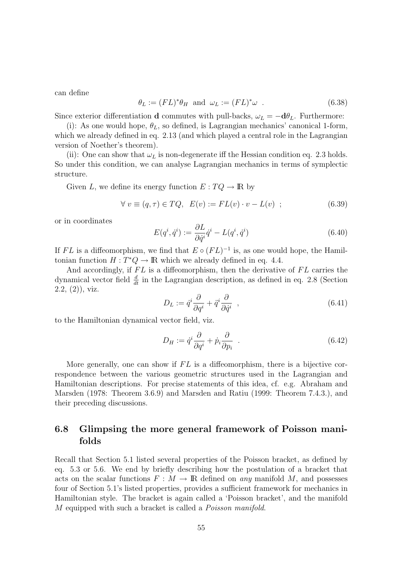can define

$$
\theta_L := (FL)^*\theta_H \text{ and } \omega_L := (FL)^*\omega . \tag{6.38}
$$

Since exterior differentiation **d** commutes with pull-backs,  $\omega_L = -d\theta_L$ . Furthermore:

(i): As one would hope,  $\theta_L$ , so defined, is Lagrangian mechanics' canonical 1-form, which we already defined in eq. 2.13 (and which played a central role in the Lagrangian version of Noether's theorem).

(ii): One can show that  $\omega_L$  is non-degenerate iff the Hessian condition eq. 2.3 holds. So under this condition, we can analyse Lagrangian mechanics in terms of symplectic structure.

Given L, we define its energy function  $E: TQ \to \mathbb{R}$  by

$$
\forall v \equiv (q, \tau) \in TQ, \ E(v) := FL(v) \cdot v - L(v) \ ; \tag{6.39}
$$

or in coordinates

$$
E(q^i, \dot{q}^i) := \frac{\partial L}{\partial \dot{q}^i} \dot{q}^i - L(q^i, \dot{q}^i)
$$
\n(6.40)

If FL is a diffeomorphism, we find that  $E \circ (FL)^{-1}$  is, as one would hope, the Hamiltonian function  $H: T^*Q \to \mathbb{R}$  which we already defined in eq. 4.4.

And accordingly, if  $FL$  is a diffeomorphism, then the derivative of  $FL$  carries the dynamical vector field  $\frac{d}{dt}$  in the Lagrangian description, as defined in eq. 2.8 (Section  $(2.2, (2))$ , viz.

$$
D_L := \dot{q}^i \frac{\partial}{\partial q^i} + \ddot{q}^i \frac{\partial}{\partial \dot{q}^i} \quad , \tag{6.41}
$$

to the Hamiltonian dynamical vector field, viz.

$$
D_H := \dot{q}^i \frac{\partial}{\partial q^i} + \dot{p}_i \frac{\partial}{\partial p_i} \quad . \tag{6.42}
$$

More generally, one can show if  $FL$  is a diffeomorphism, there is a bijective correspondence between the various geometric structures used in the Lagrangian and Hamiltonian descriptions. For precise statements of this idea, cf. e.g. Abraham and Marsden (1978: Theorem 3.6.9) and Marsden and Ratiu (1999: Theorem 7.4.3.), and their preceding discussions.

# 6.8 Glimpsing the more general framework of Poisson manifolds

Recall that Section 5.1 listed several properties of the Poisson bracket, as defined by eq. 5.3 or 5.6. We end by briefly describing how the postulation of a bracket that acts on the scalar functions  $F : M \to \mathbb{R}$  defined on any manifold M, and possesses four of Section 5.1's listed properties, provides a sufficient framework for mechanics in Hamiltonian style. The bracket is again called a 'Poisson bracket', and the manifold M equipped with such a bracket is called a *Poisson manifold*.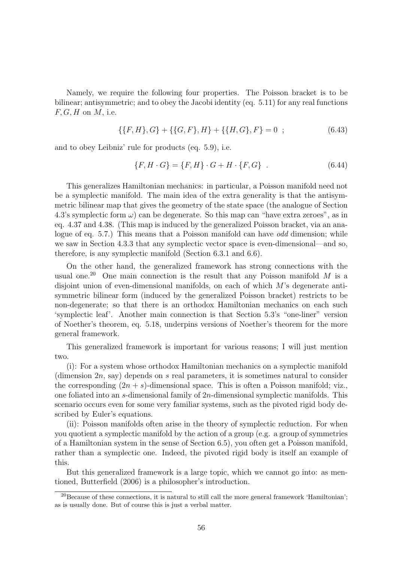Namely, we require the following four properties. The Poisson bracket is to be bilinear; antisymmetric; and to obey the Jacobi identity (eq. 5.11) for any real functions  $F, G, H$  on  $M$ , i.e.

$$
\{\{F,H\},G\} + \{\{G,F\},H\} + \{\{H,G\},F\} = 0 \tag{6.43}
$$

and to obey Leibniz' rule for products (eq. 5.9), i.e.

$$
\{F, H \cdot G\} = \{F, H\} \cdot G + H \cdot \{F, G\} \quad . \tag{6.44}
$$

This generalizes Hamiltonian mechanics: in particular, a Poisson manifold need not be a symplectic manifold. The main idea of the extra generality is that the antisymmetric bilinear map that gives the geometry of the state space (the analogue of Section 4.3's symplectic form  $\omega$ ) can be degenerate. So this map can "have extra zeroes", as in eq. 4.37 and 4.38. (This map is induced by the generalized Poisson bracket, via an analogue of eq. 5.7.) This means that a Poisson manifold can have odd dimension; while we saw in Section 4.3.3 that any symplectic vector space is even-dimensional—and so, therefore, is any symplectic manifold (Section 6.3.1 and 6.6).

On the other hand, the generalized framework has strong connections with the usual one.<sup>20</sup> One main connection is the result that any Poisson manifold  $M$  is a disjoint union of even-dimensional manifolds, on each of which M's degenerate antisymmetric bilinear form (induced by the generalized Poisson bracket) restricts to be non-degenerate; so that there is an orthodox Hamiltonian mechanics on each such 'symplectic leaf'. Another main connection is that Section 5.3's "one-liner" version of Noether's theorem, eq. 5.18, underpins versions of Noether's theorem for the more general framework.

This generalized framework is important for various reasons; I will just mention two.

(i): For a system whose orthodox Hamiltonian mechanics on a symplectic manifold (dimension  $2n$ , say) depends on s real parameters, it is sometimes natural to consider the corresponding  $(2n + s)$ -dimensional space. This is often a Poisson manifold; viz., one foliated into an s-dimensional family of 2n-dimensional symplectic manifolds. This scenario occurs even for some very familiar systems, such as the pivoted rigid body described by Euler's equations.

(ii): Poisson manifolds often arise in the theory of symplectic reduction. For when you quotient a symplectic manifold by the action of a group (e.g. a group of symmetries of a Hamiltonian system in the sense of Section 6.5), you often get a Poisson manifold, rather than a symplectic one. Indeed, the pivoted rigid body is itself an example of this.

But this generalized framework is a large topic, which we cannot go into: as mentioned, Butterfield (2006) is a philosopher's introduction.

 $20$ Because of these connections, it is natural to still call the more general framework 'Hamiltonian'; as is usually done. But of course this is just a verbal matter.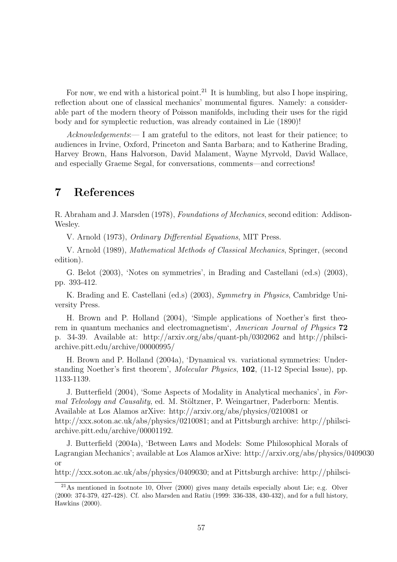For now, we end with a historical point.<sup>21</sup> It is humbling, but also I hope inspiring, reflection about one of classical mechanics' monumental figures. Namely: a considerable part of the modern theory of Poisson manifolds, including their uses for the rigid body and for symplectic reduction, was already contained in Lie (1890)!

Acknowledgements:— I am grateful to the editors, not least for their patience; to audiences in Irvine, Oxford, Princeton and Santa Barbara; and to Katherine Brading, Harvey Brown, Hans Halvorson, David Malament, Wayne Myrvold, David Wallace, and especially Graeme Segal, for conversations, comments—and corrections!

# 7 References

R. Abraham and J. Marsden (1978), Foundations of Mechanics, second edition: Addison-Wesley.

V. Arnold (1973), Ordinary Differential Equations, MIT Press.

V. Arnold (1989), Mathematical Methods of Classical Mechanics, Springer, (second edition).

G. Belot (2003), 'Notes on symmetries', in Brading and Castellani (ed.s) (2003), pp. 393-412.

K. Brading and E. Castellani (ed.s) (2003), Symmetry in Physics, Cambridge University Press.

H. Brown and P. Holland (2004), 'Simple applications of Noether's first theorem in quantum mechanics and electromagnetism', American Journal of Physics 72 p. 34-39. Available at: http://arxiv.org/abs/quant-ph/0302062 and http://philsciarchive.pitt.edu/archive/00000995/

H. Brown and P. Holland (2004a), 'Dynamical vs. variational symmetries: Understanding Noether's first theorem', Molecular Physics, 102, (11-12 Special Issue), pp. 1133-1139.

J. Butterfield (2004), 'Some Aspects of Modality in Analytical mechanics', in Formal Teleology and Causality, ed. M. Stöltzner, P. Weingartner, Paderborn: Mentis. Available at Los Alamos arXive: http://arxiv.org/abs/physics/0210081 or http://xxx.soton.ac.uk/abs/physics/0210081; and at Pittsburgh archive: http://philsciarchive.pitt.edu/archive/00001192.

J. Butterfield (2004a), 'Between Laws and Models: Some Philosophical Morals of Lagrangian Mechanics'; available at Los Alamos arXive: http://arxiv.org/abs/physics/0409030 or

http://xxx.soton.ac.uk/abs/physics/0409030; and at Pittsburgh archive: http://philsci-

 $^{21}$ As mentioned in footnote 10, Olver (2000) gives many details especially about Lie; e.g. Olver (2000: 374-379, 427-428). Cf. also Marsden and Ratiu (1999: 336-338, 430-432), and for a full history, Hawkins (2000).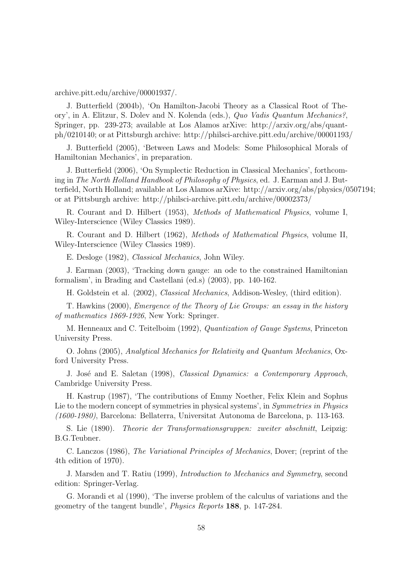archive.pitt.edu/archive/00001937/.

J. Butterfield (2004b), 'On Hamilton-Jacobi Theory as a Classical Root of Theory', in A. Elitzur, S. Dolev and N. Kolenda (eds.), Quo Vadis Quantum Mechanics?, Springer, pp. 239-273; available at Los Alamos arXive: http://arxiv.org/abs/quantph/0210140; or at Pittsburgh archive: http://philsci-archive.pitt.edu/archive/00001193/

J. Butterfield (2005), 'Between Laws and Models: Some Philosophical Morals of Hamiltonian Mechanics', in preparation.

J. Butterfield (2006), 'On Symplectic Reduction in Classical Mechanics', forthcoming in The North Holland Handbook of Philosophy of Physics, ed. J. Earman and J. Butterfield, North Holland; available at Los Alamos arXive: http://arxiv.org/abs/physics/0507194; or at Pittsburgh archive: http://philsci-archive.pitt.edu/archive/00002373/

R. Courant and D. Hilbert (1953), Methods of Mathematical Physics, volume I, Wiley-Interscience (Wiley Classics 1989).

R. Courant and D. Hilbert (1962), Methods of Mathematical Physics, volume II, Wiley-Interscience (Wiley Classics 1989).

E. Desloge (1982), Classical Mechanics, John Wiley.

J. Earman (2003), 'Tracking down gauge: an ode to the constrained Hamiltonian formalism', in Brading and Castellani (ed.s) (2003), pp. 140-162.

H. Goldstein et al. (2002), Classical Mechanics, Addison-Wesley, (third edition).

T. Hawkins (2000), Emergence of the Theory of Lie Groups: an essay in the history of mathematics 1869-1926, New York: Springer.

M. Henneaux and C. Teitelboim (1992), Quantization of Gauge Systems, Princeton University Press.

O. Johns (2005), Analytical Mechanics for Relativity and Quantum Mechanics, Oxford University Press.

J. José and E. Saletan (1998), Classical Dynamics: a Contemporary Approach, Cambridge University Press.

H. Kastrup (1987), 'The contributions of Emmy Noether, Felix Klein and Sophus Lie to the modern concept of symmetries in physical systems', in Symmetries in Physics (1600-1980), Barcelona: Bellaterra, Universitat Autonoma de Barcelona, p. 113-163.

S. Lie (1890). Theorie der Transformationsgruppen: zweiter abschnitt, Leipzig: B.G.Teubner.

C. Lanczos (1986), The Variational Principles of Mechanics, Dover; (reprint of the 4th edition of 1970).

J. Marsden and T. Ratiu (1999), Introduction to Mechanics and Symmetry, second edition: Springer-Verlag.

G. Morandi et al (1990), 'The inverse problem of the calculus of variations and the geometry of the tangent bundle', Physics Reports 188, p. 147-284.